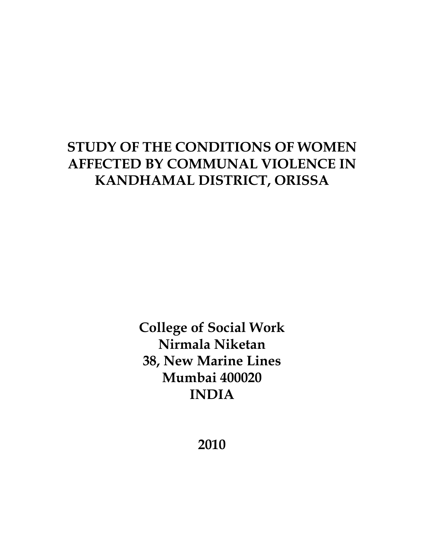# **STUDY OF THE CONDITIONS OF WOMEN AFFECTED BY COMMUNAL VIOLENCE IN KANDHAMAL DISTRICT, ORISSA**

**College of Social Work Nirmala Niketan 38, New Marine Lines Mumbai 400020 INDIA**

**2010**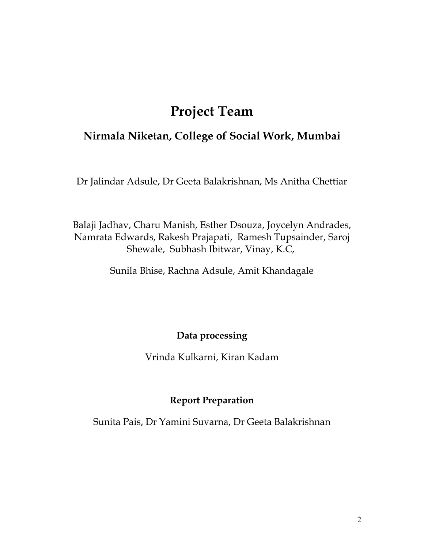# **Project Team**

## **Nirmala Niketan, College of Social Work, Mumbai**

Dr Jalindar Adsule, Dr Geeta Balakrishnan, Ms Anitha Chettiar

Balaji Jadhav, Charu Manish, Esther Dsouza, Joycelyn Andrades, Namrata Edwards, Rakesh Prajapati, Ramesh Tupsainder, Saroj Shewale, Subhash Ibitwar, Vinay, K.C,

Sunila Bhise, Rachna Adsule, Amit Khandagale

## **Data processing**

Vrinda Kulkarni, Kiran Kadam

## **Report Preparation**

Sunita Pais, Dr Yamini Suvarna, Dr Geeta Balakrishnan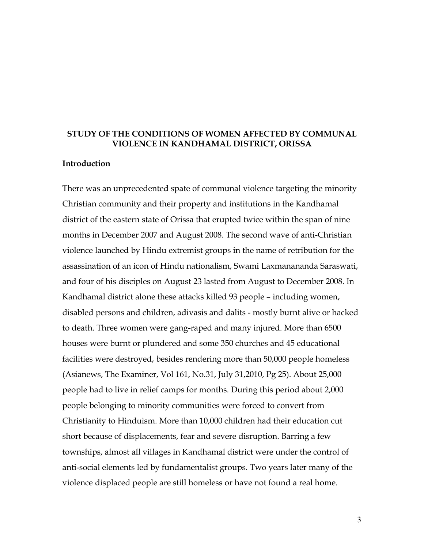#### **STUDY OF THE CONDITIONS OF WOMEN AFFECTED BY COMMUNAL VIOLENCE IN KANDHAMAL DISTRICT, ORISSA**

#### **Introduction**

There was an unprecedented spate of communal violence targeting the minority Christian community and their property and institutions in the Kandhamal district of the eastern state of Orissa that erupted twice within the span of nine months in December 2007 and August 2008. The second wave of anti-Christian violence launched by Hindu extremist groups in the name of retribution for the assassination of an icon of Hindu nationalism, Swami Laxmanananda Saraswati, and four of his disciples on August 23 lasted from August to December 2008. In Kandhamal district alone these attacks killed 93 people – including women, disabled persons and children, adivasis and dalits - mostly burnt alive or hacked to death. Three women were gang-raped and many injured. More than 6500 houses were burnt or plundered and some 350 churches and 45 educational facilities were destroyed, besides rendering more than 50,000 people homeless (Asianews, The Examiner, Vol 161, No.31, July 31,2010, Pg 25). About 25,000 people had to live in relief camps for months. During this period about 2,000 people belonging to minority communities were forced to convert from Christianity to Hinduism. More than 10,000 children had their education cut short because of displacements, fear and severe disruption. Barring a few townships, almost all villages in Kandhamal district were under the control of anti-social elements led by fundamentalist groups. Two years later many of the violence displaced people are still homeless or have not found a real home.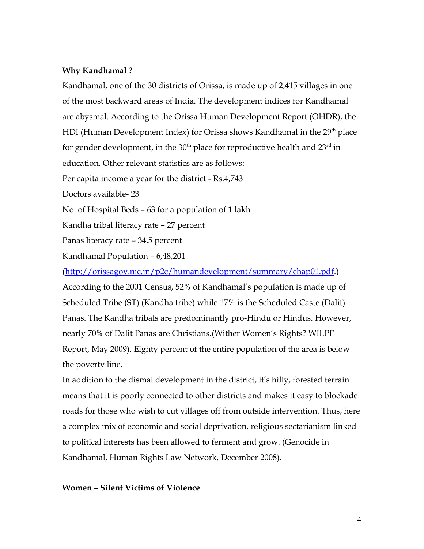#### **Why Kandhamal ?**

Kandhamal, one of the 30 districts of Orissa, is made up of 2,415 villages in one of the most backward areas of India. The development indices for Kandhamal are abysmal. According to the Orissa Human Development Report (OHDR), the HDI (Human Development Index) for Orissa shows Kandhamal in the 29<sup>th</sup> place for gender development, in the  $30<sup>th</sup>$  place for reproductive health and  $23<sup>rd</sup>$  in education. Other relevant statistics are as follows:

Per capita income a year for the district - Rs.4,743

Doctors available- 23

No. of Hospital Beds – 63 for a population of 1 lakh

Kandha tribal literacy rate – 27 percent

Panas literacy rate – 34.5 percent

Kandhamal Population – 6,48,201

[\(http://orissagov.nic.in/p2c/humandevelopment/summary/chap01.pdf.](http://orissagov.nic.in/p2c/humandevelopment/summary/chap01.pdf)) According to the 2001 Census, 52% of Kandhamal's population is made up of Scheduled Tribe (ST) (Kandha tribe) while 17% is the Scheduled Caste (Dalit) Panas. The Kandha tribals are predominantly pro-Hindu or Hindus. However, nearly 70% of Dalit Panas are Christians.(Wither Women's Rights? WILPF Report, May 2009). Eighty percent of the entire population of the area is below the poverty line.

In addition to the dismal development in the district, it's hilly, forested terrain means that it is poorly connected to other districts and makes it easy to blockade roads for those who wish to cut villages off from outside intervention. Thus, here a complex mix of economic and social deprivation, religious sectarianism linked to political interests has been allowed to ferment and grow. (Genocide in Kandhamal, Human Rights Law Network, December 2008).

#### **Women – Silent Victims of Violence**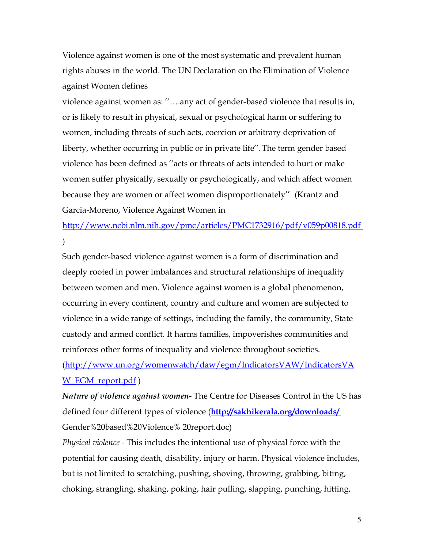Violence against women is one of the most systematic and prevalent human rights abuses in the world. The UN Declaration on the Elimination of Violence against Women defines

violence against women as: ''….any act of gender-based violence that results in, or is likely to result in physical, sexual or psychological harm or suffering to women, including threats of such acts, coercion or arbitrary deprivation of liberty, whether occurring in public or in private life''. The term gender based violence has been defined as ''acts or threats of acts intended to hurt or make women suffer physically, sexually or psychologically, and which affect women because they are women or affect women disproportionately''. (Krantz and Garcia-Moreno, Violence Against Women in

<http://www.ncbi.nlm.nih.gov/pmc/articles/PMC1732916/pdf/v059p00818.pdf> )

Such gender-based violence against women is a form of discrimination and deeply rooted in power imbalances and structural relationships of inequality between women and men. Violence against women is a global phenomenon, occurring in every continent, country and culture and women are subjected to violence in a wide range of settings, including the family, the community, State custody and armed conflict. It harms families, impoverishes communities and reinforces other forms of inequality and violence throughout societies.

[\(http://www.un.org/womenwatch/daw/egm/IndicatorsVAW/IndicatorsVA](http://www.un.org/womenwatch/daw/egm/IndicatorsVAW/IndicatorsVAW_EGM_report.pdf) W EGM report.pdf)

*Nature of violence against women***-** The Centre for Diseases Control in the US has defined four different types of violence (**<http://sakhikerala.org/downloads/>** Gender%20based%20Violence% 20report.doc)

*Physical violence -* This includes the intentional use of physical force with the potential for causing death, disability, injury or harm. Physical violence includes, but is not limited to scratching, pushing, shoving, throwing, grabbing, biting, choking, strangling, shaking, poking, hair pulling, slapping, punching, hitting,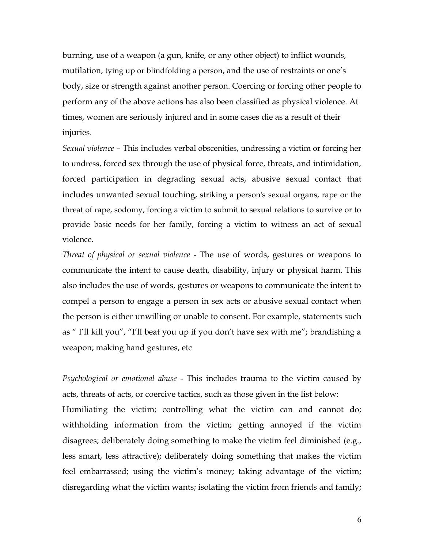burning, use of a weapon (a gun, knife, or any other object) to inflict wounds, mutilation, tying up or blindfolding a person, and the use of restraints or one's body, size or strength against another person. Coercing or forcing other people to perform any of the above actions has also been classified as physical violence. At times, women are seriously injured and in some cases die as a result of their injuries.

*Sexual violence* – This includes verbal obscenities, undressing a victim or forcing her to undress, forced sex through the use of physical force, threats, and intimidation, forced participation in degrading sexual acts, abusive sexual contact that includes unwanted sexual touching, striking a person's sexual organs, rape or the threat of rape, sodomy, forcing a victim to submit to sexual relations to survive or to provide basic needs for her family, forcing a victim to witness an act of sexual violence.

*Threat of physical or sexual violence* - The use of words, gestures or weapons to communicate the intent to cause death, disability, injury or physical harm. This also includes the use of words, gestures or weapons to communicate the intent to compel a person to engage a person in sex acts or abusive sexual contact when the person is either unwilling or unable to consent. For example, statements such as " I'll kill you", "I'll beat you up if you don't have sex with me"; brandishing a weapon; making hand gestures, etc

*Psychological or emotional abuse* - This includes trauma to the victim caused by acts, threats of acts, or coercive tactics, such as those given in the list below: Humiliating the victim; controlling what the victim can and cannot do; withholding information from the victim; getting annoyed if the victim disagrees; deliberately doing something to make the victim feel diminished (e.g., less smart, less attractive); deliberately doing something that makes the victim feel embarrassed; using the victim's money; taking advantage of the victim; disregarding what the victim wants; isolating the victim from friends and family;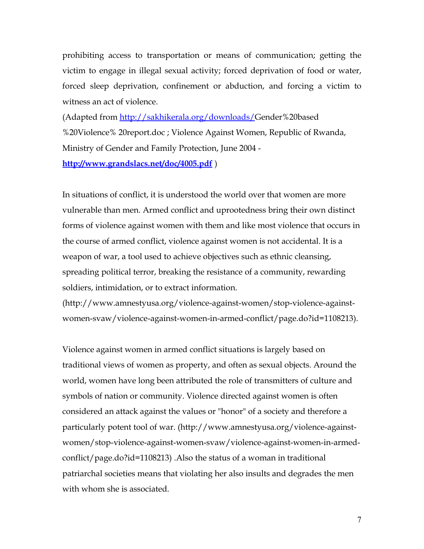prohibiting access to transportation or means of communication; getting the victim to engage in illegal sexual activity; forced deprivation of food or water, forced sleep deprivation, confinement or abduction, and forcing a victim to witness an act of violence.

(Adapted from [http://sakhikerala.org/downloads/G](http://sakhikerala.org/downloads/)ender%20based %20Violence% 20report.doc ; Violence Against Women, Republic of Rwanda, Ministry of Gender and Family Protection, June 2004 -

**<http://www.grandslacs.net/doc/4005.pdf>** )

In situations of conflict, it is understood the world over that women are more vulnerable than men. Armed conflict and uprootedness bring their own distinct forms of violence against women with them and like most violence that occurs in the course of armed conflict, violence against women is not accidental. It is a weapon of war, a tool used to achieve objectives such as ethnic cleansing, spreading political terror, breaking the resistance of a community, rewarding soldiers, intimidation, or to extract information.

(http://www.amnestyusa.org/violence-against-women/stop-violence-againstwomen-svaw/violence-against-women-in-armed-conflict/page.do?id=1108213).

Violence against women in armed conflict situations is largely based on traditional views of women as property, and often as sexual objects. Around the world, women have long been attributed the role of transmitters of culture and symbols of nation or community. Violence directed against women is often considered an attack against the values or "honor" of a society and therefore a particularly potent tool of war. (http://www.amnestyusa.org/violence-againstwomen/stop-violence-against-women-svaw/violence-against-women-in-armedconflict/page.do?id=1108213) .Also the status of a woman in traditional patriarchal societies means that violating her also insults and degrades the men with whom she is associated.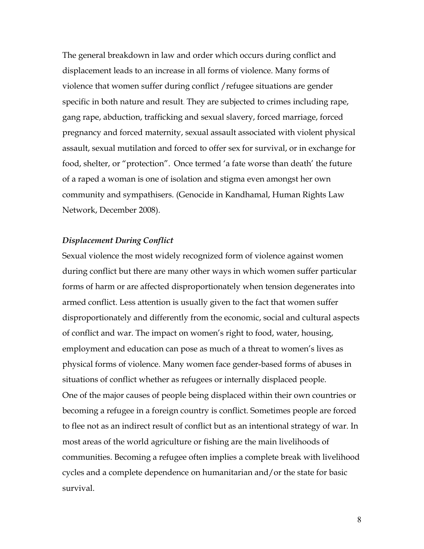The general breakdown in law and order which occurs during conflict and displacement leads to an increase in all forms of violence. Many forms of violence that women suffer during conflict /refugee situations are gender specific in both nature and result. They are subjected to crimes including rape, gang rape, abduction, trafficking and sexual slavery, forced marriage, forced pregnancy and forced maternity, sexual assault associated with violent physical assault, sexual mutilation and forced to offer sex for survival, or in exchange for food, shelter, or "protection". Once termed 'a fate worse than death' the future of a raped a woman is one of isolation and stigma even amongst her own community and sympathisers. (Genocide in Kandhamal, Human Rights Law Network, December 2008).

### *Displacement During Conflict*

Sexual violence the most widely recognized form of violence against women during conflict but there are many other ways in which women suffer particular forms of harm or are affected disproportionately when tension degenerates into armed conflict. Less attention is usually given to the fact that women suffer disproportionately and differently from the economic, social and cultural aspects of conflict and war. The impact on women's right to food, water, housing, employment and education can pose as much of a threat to women's lives as physical forms of violence. Many women face gender-based forms of abuses in situations of conflict whether as refugees or internally displaced people. One of the major causes of people being displaced within their own countries or becoming a refugee in a foreign country is conflict. Sometimes people are forced to flee not as an indirect result of conflict but as an intentional strategy of war. In most areas of the world agriculture or fishing are the main livelihoods of communities. Becoming a refugee often implies a complete break with livelihood cycles and a complete dependence on humanitarian and/or the state for basic survival.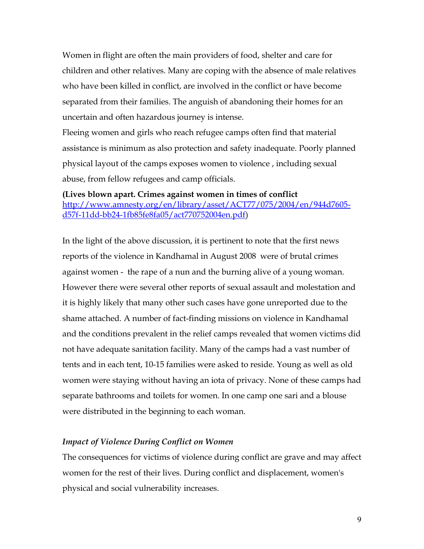Women in flight are often the main providers of food, shelter and care for children and other relatives. Many are coping with the absence of male relatives who have been killed in conflict, are involved in the conflict or have become separated from their families. The anguish of abandoning their homes for an uncertain and often hazardous journey is intense.

Fleeing women and girls who reach refugee camps often find that material assistance is minimum as also protection and safety inadequate. Poorly planned physical layout of the camps exposes women to violence , including sexual abuse, from fellow refugees and camp officials.

**(Lives blown apart. Crimes against women in times of conflict** [http://www.amnesty.org/en/library/asset/ACT77/075/2004/en/944d7605](http://www.amnesty.org/en/library/asset/ACT77/075/2004/en/944d7605-d57f-11dd-bb24-1fb85fe8fa05/act770752004en.pdf) [d57f-11dd-bb24-1fb85fe8fa05/act770752004en.pdf\)](http://www.amnesty.org/en/library/asset/ACT77/075/2004/en/944d7605-d57f-11dd-bb24-1fb85fe8fa05/act770752004en.pdf)

In the light of the above discussion, it is pertinent to note that the first news reports of the violence in Kandhamal in August 2008 were of brutal crimes against women - the rape of a nun and the burning alive of a young woman. However there were several other reports of sexual assault and molestation and it is highly likely that many other such cases have gone unreported due to the shame attached. A number of fact-finding missions on violence in Kandhamal and the conditions prevalent in the relief camps revealed that women victims did not have adequate sanitation facility. Many of the camps had a vast number of tents and in each tent, 10-15 families were asked to reside. Young as well as old women were staying without having an iota of privacy. None of these camps had separate bathrooms and toilets for women. In one camp one sari and a blouse were distributed in the beginning to each woman.

#### *Impact of Violence During Conflict on Women*

The consequences for victims of violence during conflict are grave and may affect women for the rest of their lives. During conflict and displacement, women's physical and social vulnerability increases.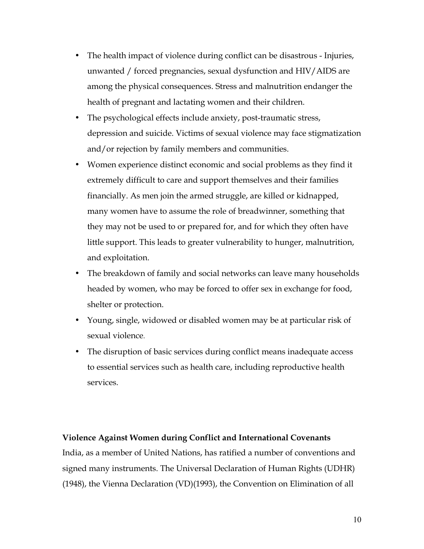- The health impact of violence during conflict can be disastrous Injuries, unwanted / forced pregnancies, sexual dysfunction and HIV/AIDS are among the physical consequences. Stress and malnutrition endanger the health of pregnant and lactating women and their children.
- The psychological effects include anxiety, post-traumatic stress, depression and suicide. Victims of sexual violence may face stigmatization and/or rejection by family members and communities.
- Women experience distinct economic and social problems as they find it extremely difficult to care and support themselves and their families financially. As men join the armed struggle, are killed or kidnapped, many women have to assume the role of breadwinner, something that they may not be used to or prepared for, and for which they often have little support. This leads to greater vulnerability to hunger, malnutrition, and exploitation.
- The breakdown of family and social networks can leave many households headed by women, who may be forced to offer sex in exchange for food, shelter or protection.
- Young, single, widowed or disabled women may be at particular risk of sexual violence.
- The disruption of basic services during conflict means inadequate access to essential services such as health care, including reproductive health services.

#### **Violence Against Women during Conflict and International Covenants**

India, as a member of United Nations, has ratified a number of conventions and signed many instruments. The Universal Declaration of Human Rights (UDHR) (1948), the Vienna Declaration (VD)(1993), the Convention on Elimination of all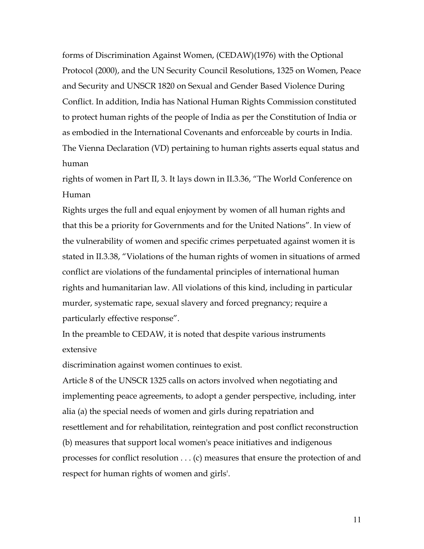forms of Discrimination Against Women, (CEDAW)(1976) with the Optional Protocol (2000), and the UN Security Council Resolutions, 1325 on Women, Peace and Security and UNSCR 1820 on Sexual and Gender Based Violence During Conflict. In addition, India has National Human Rights Commission constituted to protect human rights of the people of India as per the Constitution of India or as embodied in the International Covenants and enforceable by courts in India. The Vienna Declaration (VD) pertaining to human rights asserts equal status and human

rights of women in Part II, 3. It lays down in II.3.36, "The World Conference on Human

Rights urges the full and equal enjoyment by women of all human rights and that this be a priority for Governments and for the United Nations". In view of the vulnerability of women and specific crimes perpetuated against women it is stated in II.3.38, "Violations of the human rights of women in situations of armed conflict are violations of the fundamental principles of international human rights and humanitarian law. All violations of this kind, including in particular murder, systematic rape, sexual slavery and forced pregnancy; require a particularly effective response".

In the preamble to CEDAW, it is noted that despite various instruments extensive

discrimination against women continues to exist.

Article 8 of the UNSCR 1325 calls on actors involved when negotiating and implementing peace agreements, to adopt a gender perspective, including, inter alia (a) the special needs of women and girls during repatriation and resettlement and for rehabilitation, reintegration and post conflict reconstruction (b) measures that support local women's peace initiatives and indigenous processes for conflict resolution . . . (c) measures that ensure the protection of and respect for human rights of women and girls'.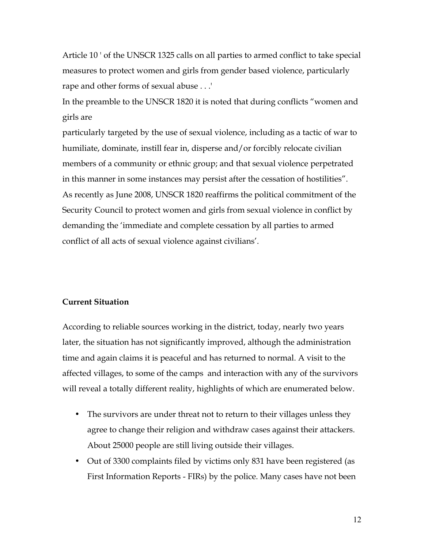Article 10 ' of the UNSCR 1325 calls on all parties to armed conflict to take special measures to protect women and girls from gender based violence, particularly rape and other forms of sexual abuse . . .'

In the preamble to the UNSCR 1820 it is noted that during conflicts "women and girls are

particularly targeted by the use of sexual violence, including as a tactic of war to humiliate, dominate, instill fear in, disperse and/or forcibly relocate civilian members of a community or ethnic group; and that sexual violence perpetrated in this manner in some instances may persist after the cessation of hostilities". As recently as June 2008, UNSCR 1820 reaffirms the political commitment of the Security Council to protect women and girls from sexual violence in conflict by demanding the 'immediate and complete cessation by all parties to armed conflict of all acts of sexual violence against civilians'.

#### **Current Situation**

According to reliable sources working in the district, today, nearly two years later, the situation has not significantly improved, although the administration time and again claims it is peaceful and has returned to normal. A visit to the affected villages, to some of the camps and interaction with any of the survivors will reveal a totally different reality, highlights of which are enumerated below.

- The survivors are under threat not to return to their villages unless they agree to change their religion and withdraw cases against their attackers. About 25000 people are still living outside their villages.
- Out of 3300 complaints filed by victims only 831 have been registered (as First Information Reports - FIRs) by the police. Many cases have not been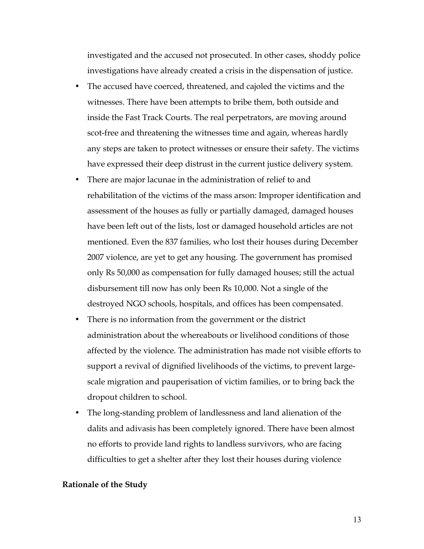investigated and the accused not prosecuted. In other cases, shoddy police investigations have already created a crisis in the dispensation of justice.

- The accused have coerced, threatened, and cajoled the victims and the witnesses. There have been attempts to bribe them, both outside and inside the Fast Track Courts. The real perpetrators, are moving around scot-free and threatening the witnesses time and again, whereas hardly any steps are taken to protect witnesses or ensure their safety. The victims have expressed their deep distrust in the current justice delivery system.
- There are major lacunae in the administration of relief to and rehabilitation of the victims of the mass arson: Improper identification and assessment of the houses as fully or partially damaged, damaged houses have been left out of the lists, lost or damaged household articles are not mentioned. Even the 837 families, who lost their houses during December 2007 violence, are yet to get any housing. The government has promised only Rs 50,000 as compensation for fully damaged houses; still the actual disbursement till now has only been Rs 10,000. Not a single of the destroyed NGO schools, hospitals, and offices has been compensated.
- There is no information from the government or the district administration about the whereabouts or livelihood conditions of those affected by the violence. The administration has made not visible efforts to support a revival of dignified livelihoods of the victims, to prevent largescale migration and pauperisation of victim families, or to bring back the dropout children to school.
- The long-standing problem of landlessness and land alienation of the dalits and adivasis has been completely ignored. There have been almost no efforts to provide land rights to landless survivors, who are facing difficulties to get a shelter after they lost their houses during violence

#### **Rationale of the Study**

13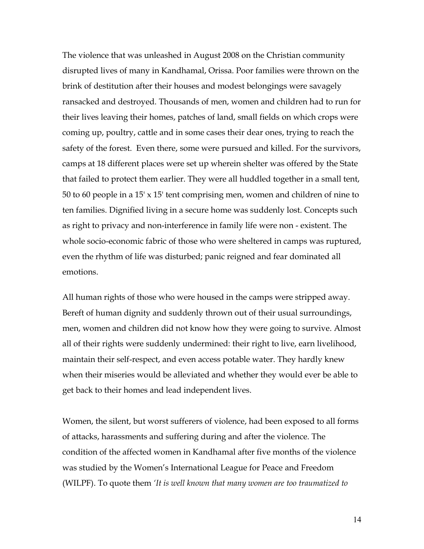The violence that was unleashed in August 2008 on the Christian community disrupted lives of many in Kandhamal, Orissa. Poor families were thrown on the brink of destitution after their houses and modest belongings were savagely ransacked and destroyed. Thousands of men, women and children had to run for their lives leaving their homes, patches of land, small fields on which crops were coming up, poultry, cattle and in some cases their dear ones, trying to reach the safety of the forest. Even there, some were pursued and killed. For the survivors, camps at 18 different places were set up wherein shelter was offered by the State that failed to protect them earlier. They were all huddled together in a small tent, 50 to 60 people in a 15' x 15' tent comprising men, women and children of nine to ten families. Dignified living in a secure home was suddenly lost. Concepts such as right to privacy and non-interference in family life were non - existent. The whole socio-economic fabric of those who were sheltered in camps was ruptured, even the rhythm of life was disturbed; panic reigned and fear dominated all emotions.

All human rights of those who were housed in the camps were stripped away. Bereft of human dignity and suddenly thrown out of their usual surroundings, men, women and children did not know how they were going to survive. Almost all of their rights were suddenly undermined: their right to live, earn livelihood, maintain their self-respect, and even access potable water. They hardly knew when their miseries would be alleviated and whether they would ever be able to get back to their homes and lead independent lives.

Women, the silent, but worst sufferers of violence, had been exposed to all forms of attacks, harassments and suffering during and after the violence. The condition of the affected women in Kandhamal after five months of the violence was studied by the Women's International League for Peace and Freedom (WILPF). To quote them *'It is well known that many women are too traumatized to*

14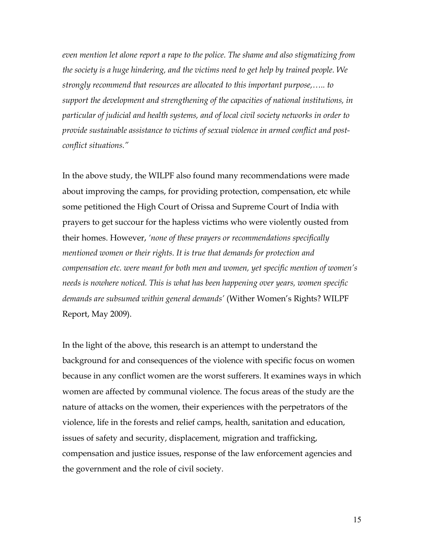*even mention let alone report a rape to the police. The shame and also stigmatizing from the society is a huge hindering, and the victims need to get help by trained people. We strongly recommend that resources are allocated to this important purpose,….. to support the development and strengthening of the capacities of national institutions, in particular of judicial and health systems, and of local civil society networks in order to provide sustainable assistance to victims of sexual violence in armed conflict and postconflict situations."*

In the above study, the WILPF also found many recommendations were made about improving the camps, for providing protection, compensation, etc while some petitioned the High Court of Orissa and Supreme Court of India with prayers to get succour for the hapless victims who were violently ousted from their homes. However, *'none of these prayers or recommendations specifically mentioned women or their rights. It is true that demands for protection and compensation etc. were meant for both men and women, yet specific mention of women's needs is nowhere noticed. This is what has been happening over years, women specific demands are subsumed within general demands'* (Wither Women's Rights? WILPF Report, May 2009).

In the light of the above, this research is an attempt to understand the background for and consequences of the violence with specific focus on women because in any conflict women are the worst sufferers. It examines ways in which women are affected by communal violence. The focus areas of the study are the nature of attacks on the women, their experiences with the perpetrators of the violence, life in the forests and relief camps, health, sanitation and education, issues of safety and security, displacement, migration and trafficking, compensation and justice issues, response of the law enforcement agencies and the government and the role of civil society.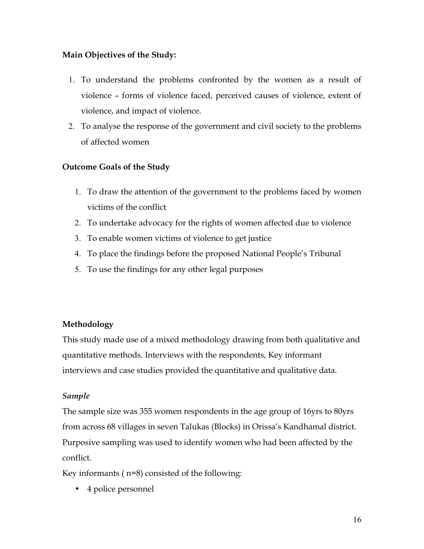## **Main Objectives of the Study:**

- 1. To understand the problems confronted by the women as a result of violence – forms of violence faced, perceived causes of violence, extent of violence, and impact of violence.
- 2. To analyse the response of the government and civil society to the problems of affected women

## **Outcome Goals of the Study**

- 1. To draw the attention of the government to the problems faced by women victims of the conflict
- 2. To undertake advocacy for the rights of women affected due to violence
- 3. To enable women victims of violence to get justice
- 4. To place the findings before the proposed National People's Tribunal
- 5. To use the findings for any other legal purposes

## **Methodology**

This study made use of a mixed methodology drawing from both qualitative and quantitative methods. Interviews with the respondents, Key informant interviews and case studies provided the quantitative and qualitative data.

## *Sample*

The sample size was 355 women respondents in the age group of 16yrs to 80yrs from across 68 villages in seven Talukas (Blocks) in Orissa's Kandhamal district. Purposive sampling was used to identify women who had been affected by the conflict.

Key informants ( n=8) consisted of the following:

• 4 police personnel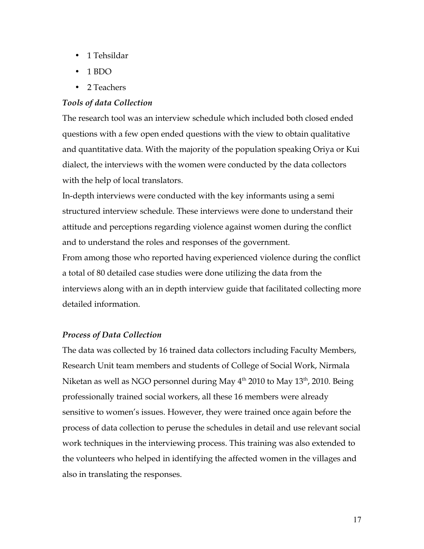- 1 Tehsildar
- 1 BDO
- 2 Teachers

#### *Tools of data Collection*

The research tool was an interview schedule which included both closed ended questions with a few open ended questions with the view to obtain qualitative and quantitative data. With the majority of the population speaking Oriya or Kui dialect, the interviews with the women were conducted by the data collectors with the help of local translators.

In-depth interviews were conducted with the key informants using a semi structured interview schedule. These interviews were done to understand their attitude and perceptions regarding violence against women during the conflict and to understand the roles and responses of the government.

From among those who reported having experienced violence during the conflict a total of 80 detailed case studies were done utilizing the data from the interviews along with an in depth interview guide that facilitated collecting more detailed information.

#### *Process of Data Collection*

The data was collected by 16 trained data collectors including Faculty Members, Research Unit team members and students of College of Social Work, Nirmala Niketan as well as NGO personnel during May  $4<sup>th</sup>$  2010 to May  $13<sup>th</sup>$ , 2010. Being professionally trained social workers, all these 16 members were already sensitive to women's issues. However, they were trained once again before the process of data collection to peruse the schedules in detail and use relevant social work techniques in the interviewing process. This training was also extended to the volunteers who helped in identifying the affected women in the villages and also in translating the responses.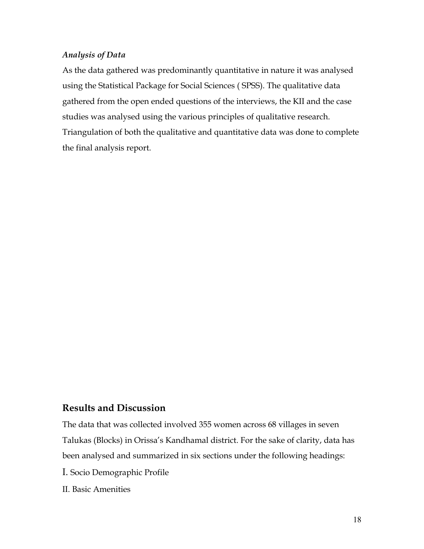### *Analysis of Data*

As the data gathered was predominantly quantitative in nature it was analysed using the Statistical Package for Social Sciences ( SPSS). The qualitative data gathered from the open ended questions of the interviews, the KII and the case studies was analysed using the various principles of qualitative research. Triangulation of both the qualitative and quantitative data was done to complete the final analysis report.

### **Results and Discussion**

The data that was collected involved 355 women across 68 villages in seven Talukas (Blocks) in Orissa's Kandhamal district. For the sake of clarity, data has been analysed and summarized in six sections under the following headings:

I. Socio Demographic Profile

II. Basic Amenities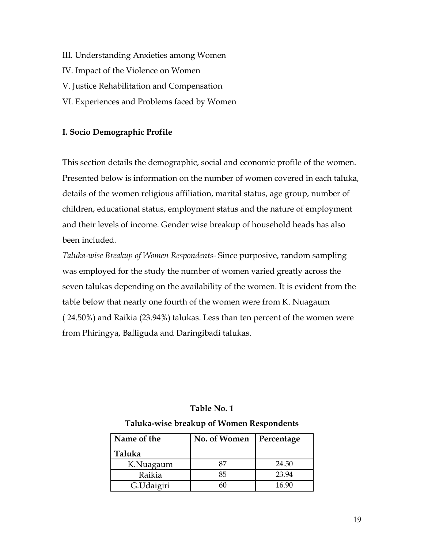III. Understanding Anxieties among Women IV. Impact of the Violence on Women V. Justice Rehabilitation and Compensation VI. Experiences and Problems faced by Women

## **I. Socio Demographic Profile**

This section details the demographic, social and economic profile of the women. Presented below is information on the number of women covered in each taluka, details of the women religious affiliation, marital status, age group, number of children, educational status, employment status and the nature of employment and their levels of income. Gender wise breakup of household heads has also been included.

*Taluka-wise Breakup of Women Respondents-* Since purposive, random sampling was employed for the study the number of women varied greatly across the seven talukas depending on the availability of the women. It is evident from the table below that nearly one fourth of the women were from K. Nuagaum ( 24.50%) and Raikia (23.94%) talukas. Less than ten percent of the women were from Phiringya, Balliguda and Daringibadi talukas.

## **Table No. 1**

### **Taluka-wise breakup of Women Respondents**

| Name of the | No. of Women | Percentage |
|-------------|--------------|------------|
| Taluka      |              |            |
| K.Nuagaum   | 87           | 24.50      |
| Raikia      | 85           | 23.94      |
| G.Udaigiri  |              | 16 90      |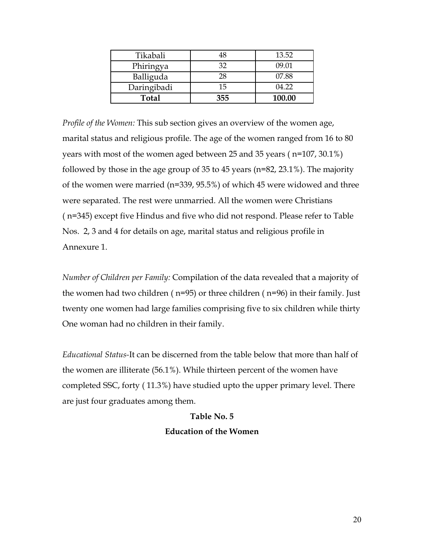| Tikabali     | 48  | 13.52  |
|--------------|-----|--------|
| Phiringya    | 32  | 09.01  |
| Balliguda    | 28  | 07.88  |
| Daringibadi  | 15  | 04.22  |
| <b>Total</b> | 355 | 100.00 |

*Profile of the Women:* This sub section gives an overview of the women age, marital status and religious profile. The age of the women ranged from 16 to 80 years with most of the women aged between 25 and 35 years ( n=107, 30.1%) followed by those in the age group of 35 to 45 years (n=82, 23.1%). The majority of the women were married (n=339, 95.5%) of which 45 were widowed and three were separated. The rest were unmarried. All the women were Christians ( n=345) except five Hindus and five who did not respond. Please refer to Table Nos. 2, 3 and 4 for details on age, marital status and religious profile in Annexure 1.

*Number of Children per Family:* Compilation of the data revealed that a majority of the women had two children ( n=95) or three children ( n=96) in their family. Just twenty one women had large families comprising five to six children while thirty One woman had no children in their family.

*Educational Status-*It can be discerned from the table below that more than half of the women are illiterate (56.1%). While thirteen percent of the women have completed SSC, forty ( 11.3%) have studied upto the upper primary level. There are just four graduates among them.

# **Table No. 5**

## **Education of the Women**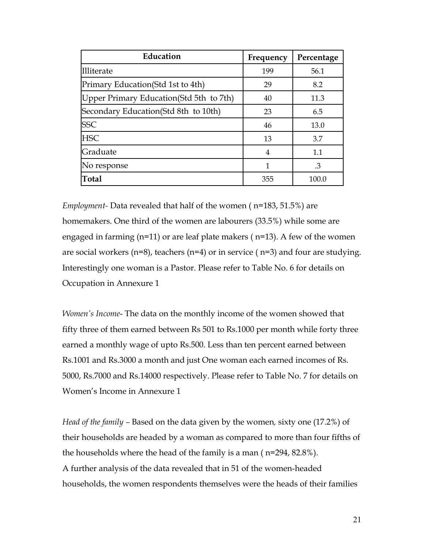| Education                                | Frequency | Percentage |
|------------------------------------------|-----------|------------|
| IIliterate                               | 199       | 56.1       |
| Primary Education (Std 1st to 4th)       | 29        | 8.2        |
| Upper Primary Education (Std 5th to 7th) | 40        | 11.3       |
| Secondary Education (Std 8th to 10th)    | 23        | 6.5        |
| <b>SSC</b>                               | 46        | 13.0       |
| <b>HSC</b>                               | 13        | 3.7        |
| Graduate                                 | 4         | 1.1        |
| No response                              | 1         | .3         |
| <b>Total</b>                             | 355       | 100.0      |

*Employment-* Data revealed that half of the women ( n=183, 51.5%) are homemakers. One third of the women are labourers (33.5%) while some are engaged in farming (n=11) or are leaf plate makers ( n=13). A few of the women are social workers ( $n=8$ ), teachers ( $n=4$ ) or in service ( $n=3$ ) and four are studying. Interestingly one woman is a Pastor. Please refer to Table No. 6 for details on Occupation in Annexure 1

*Women's Income*- The data on the monthly income of the women showed that fifty three of them earned between Rs 501 to Rs.1000 per month while forty three earned a monthly wage of upto Rs.500. Less than ten percent earned between Rs.1001 and Rs.3000 a month and just One woman each earned incomes of Rs. 5000, Rs.7000 and Rs.14000 respectively. Please refer to Table No. 7 for details on Women's Income in Annexure 1

*Head of the family –* Based on the data given by the women*,* sixty one (17.2%) of their households are headed by a woman as compared to more than four fifths of the households where the head of the family is a man ( n=294, 82.8%). A further analysis of the data revealed that in 51 of the women-headed households, the women respondents themselves were the heads of their families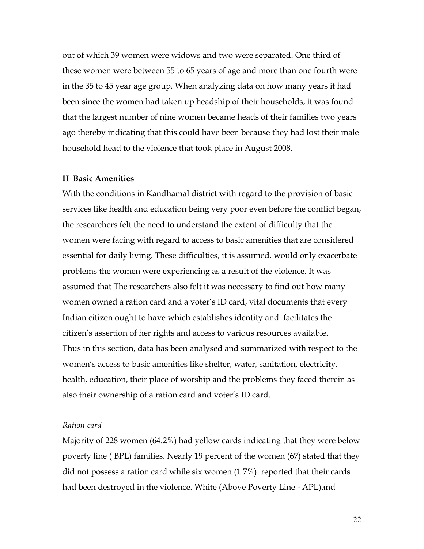out of which 39 women were widows and two were separated. One third of these women were between 55 to 65 years of age and more than one fourth were in the 35 to 45 year age group. When analyzing data on how many years it had been since the women had taken up headship of their households, it was found that the largest number of nine women became heads of their families two years ago thereby indicating that this could have been because they had lost their male household head to the violence that took place in August 2008.

#### **II Basic Amenities**

With the conditions in Kandhamal district with regard to the provision of basic services like health and education being very poor even before the conflict began, the researchers felt the need to understand the extent of difficulty that the women were facing with regard to access to basic amenities that are considered essential for daily living. These difficulties, it is assumed, would only exacerbate problems the women were experiencing as a result of the violence. It was assumed that The researchers also felt it was necessary to find out how many women owned a ration card and a voter's ID card, vital documents that every Indian citizen ought to have which establishes identity and facilitates the citizen's assertion of her rights and access to various resources available. Thus in this section, data has been analysed and summarized with respect to the women's access to basic amenities like shelter, water, sanitation, electricity, health, education, their place of worship and the problems they faced therein as also their ownership of a ration card and voter's ID card.

#### *Ration card*

Majority of 228 women (64.2%) had yellow cards indicating that they were below poverty line ( BPL) families. Nearly 19 percent of the women (67) stated that they did not possess a ration card while six women (1.7%) reported that their cards had been destroyed in the violence. White (Above Poverty Line - APL)and

22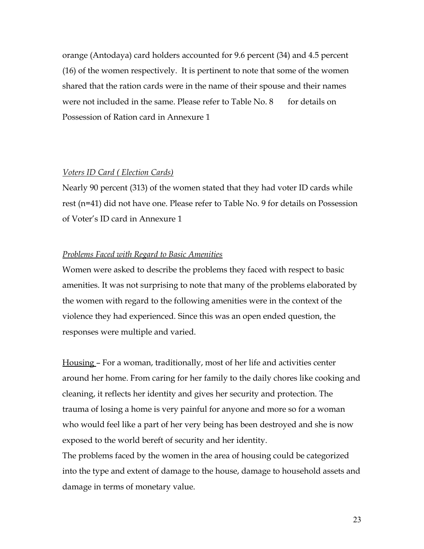orange (Antodaya) card holders accounted for 9.6 percent (34) and 4.5 percent (16) of the women respectively. It is pertinent to note that some of the women shared that the ration cards were in the name of their spouse and their names were not included in the same. Please refer to Table  $No. 8$  for details on Possession of Ration card in Annexure 1

#### *Voters ID Card ( Election Cards)*

Nearly 90 percent (313) of the women stated that they had voter ID cards while rest (n=41) did not have one. Please refer to Table No. 9 for details on Possession of Voter's ID card in Annexure 1

#### *Problems Faced with Regard to Basic Amenities*

Women were asked to describe the problems they faced with respect to basic amenities. It was not surprising to note that many of the problems elaborated by the women with regard to the following amenities were in the context of the violence they had experienced. Since this was an open ended question, the responses were multiple and varied.

Housing – For a woman, traditionally, most of her life and activities center around her home. From caring for her family to the daily chores like cooking and cleaning, it reflects her identity and gives her security and protection. The trauma of losing a home is very painful for anyone and more so for a woman who would feel like a part of her very being has been destroyed and she is now exposed to the world bereft of security and her identity.

The problems faced by the women in the area of housing could be categorized into the type and extent of damage to the house, damage to household assets and damage in terms of monetary value.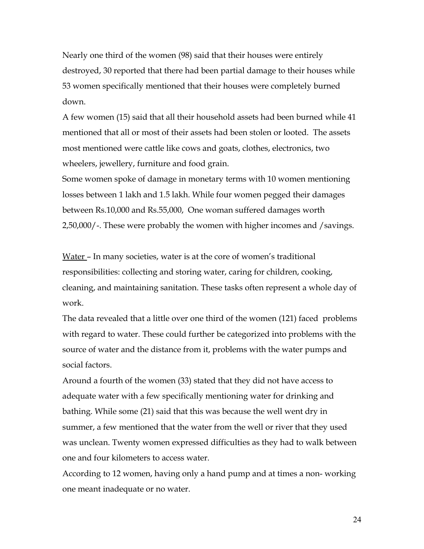Nearly one third of the women (98) said that their houses were entirely destroyed, 30 reported that there had been partial damage to their houses while 53 women specifically mentioned that their houses were completely burned down.

A few women (15) said that all their household assets had been burned while 41 mentioned that all or most of their assets had been stolen or looted. The assets most mentioned were cattle like cows and goats, clothes, electronics, two wheelers, jewellery, furniture and food grain.

Some women spoke of damage in monetary terms with 10 women mentioning losses between 1 lakh and 1.5 lakh. While four women pegged their damages between Rs.10,000 and Rs.55,000, One woman suffered damages worth 2,50,000/-. These were probably the women with higher incomes and /savings.

Water – In many societies, water is at the core of women's traditional responsibilities: collecting and storing water, caring for children, cooking, cleaning, and maintaining sanitation. These tasks often represent a whole day of work.

The data revealed that a little over one third of the women (121) faced problems with regard to water. These could further be categorized into problems with the source of water and the distance from it, problems with the water pumps and social factors.

Around a fourth of the women (33) stated that they did not have access to adequate water with a few specifically mentioning water for drinking and bathing. While some (21) said that this was because the well went dry in summer, a few mentioned that the water from the well or river that they used was unclean. Twenty women expressed difficulties as they had to walk between one and four kilometers to access water.

According to 12 women, having only a hand pump and at times a non- working one meant inadequate or no water.

24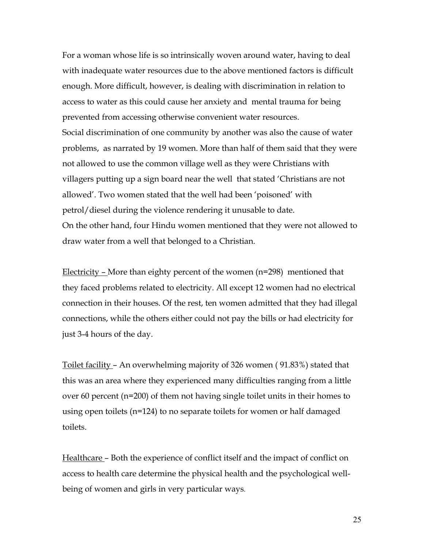For a woman whose life is so intrinsically woven around water, having to deal with inadequate water resources due to the above mentioned factors is difficult enough. More difficult, however, is dealing with discrimination in relation to access to water as this could cause her anxiety and mental trauma for being prevented from accessing otherwise convenient water resources. Social discrimination of one community by another was also the cause of water problems, as narrated by 19 women. More than half of them said that they were not allowed to use the common village well as they were Christians with villagers putting up a sign board near the well that stated 'Christians are not allowed'. Two women stated that the well had been 'poisoned' with petrol/diesel during the violence rendering it unusable to date. On the other hand, four Hindu women mentioned that they were not allowed to draw water from a well that belonged to a Christian.

Electricity – More than eighty percent of the women (n=298) mentioned that they faced problems related to electricity. All except 12 women had no electrical connection in their houses. Of the rest, ten women admitted that they had illegal connections, while the others either could not pay the bills or had electricity for just 3-4 hours of the day.

Toilet facility – An overwhelming majority of 326 women ( 91.83%) stated that this was an area where they experienced many difficulties ranging from a little over 60 percent (n=200) of them not having single toilet units in their homes to using open toilets (n=124) to no separate toilets for women or half damaged toilets.

Healthcare – Both the experience of conflict itself and the impact of conflict on access to health care determine the physical health and the psychological wellbeing of women and girls in very particular ways.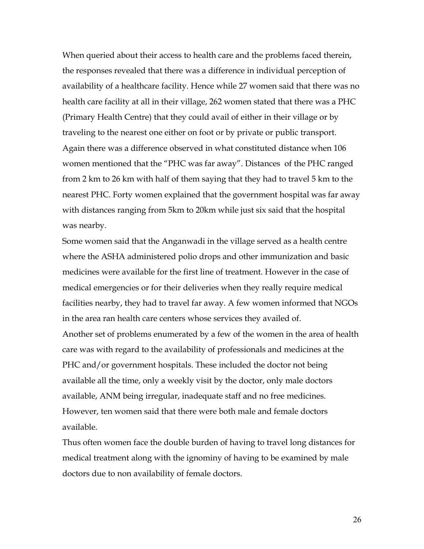When queried about their access to health care and the problems faced therein, the responses revealed that there was a difference in individual perception of availability of a healthcare facility. Hence while 27 women said that there was no health care facility at all in their village, 262 women stated that there was a PHC (Primary Health Centre) that they could avail of either in their village or by traveling to the nearest one either on foot or by private or public transport. Again there was a difference observed in what constituted distance when 106 women mentioned that the "PHC was far away". Distances of the PHC ranged from 2 km to 26 km with half of them saying that they had to travel 5 km to the nearest PHC. Forty women explained that the government hospital was far away with distances ranging from 5km to 20km while just six said that the hospital was nearby.

Some women said that the Anganwadi in the village served as a health centre where the ASHA administered polio drops and other immunization and basic medicines were available for the first line of treatment. However in the case of medical emergencies or for their deliveries when they really require medical facilities nearby, they had to travel far away. A few women informed that NGOs in the area ran health care centers whose services they availed of. Another set of problems enumerated by a few of the women in the area of health care was with regard to the availability of professionals and medicines at the PHC and/or government hospitals. These included the doctor not being available all the time, only a weekly visit by the doctor, only male doctors available, ANM being irregular, inadequate staff and no free medicines. However, ten women said that there were both male and female doctors available.

Thus often women face the double burden of having to travel long distances for medical treatment along with the ignominy of having to be examined by male doctors due to non availability of female doctors.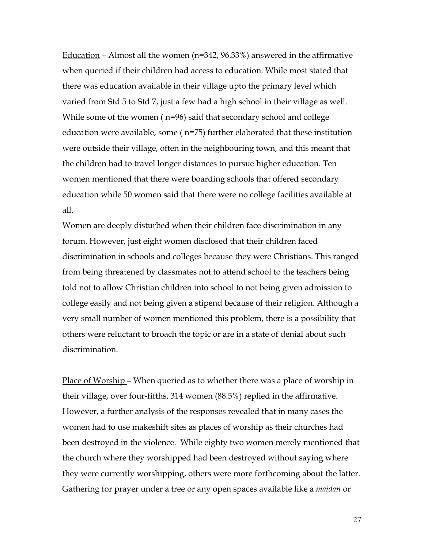<u>Education</u> – Almost all the women ( $n=342, 96.33\%$ ) answered in the affirmative when queried if their children had access to education. While most stated that there was education available in their village upto the primary level which varied from Std 5 to Std 7, just a few had a high school in their village as well. While some of the women ( n=96) said that secondary school and college education were available, some ( n=75) further elaborated that these institution were outside their village, often in the neighbouring town, and this meant that the children had to travel longer distances to pursue higher education. Ten women mentioned that there were boarding schools that offered secondary education while 50 women said that there were no college facilities available at all.

Women are deeply disturbed when their children face discrimination in any forum. However, just eight women disclosed that their children faced discrimination in schools and colleges because they were Christians. This ranged from being threatened by classmates not to attend school to the teachers being told not to allow Christian children into school to not being given admission to college easily and not being given a stipend because of their religion. Although a very small number of women mentioned this problem, there is a possibility that others were reluctant to broach the topic or are in a state of denial about such discrimination.

Place of Worship – When queried as to whether there was a place of worship in their village, over four-fifths, 314 women (88.5%) replied in the affirmative. However, a further analysis of the responses revealed that in many cases the women had to use makeshift sites as places of worship as their churches had been destroyed in the violence. While eighty two women merely mentioned that the church where they worshipped had been destroyed without saying where they were currently worshipping, others were more forthcoming about the latter. Gathering for prayer under a tree or any open spaces available like a *maidan* or

27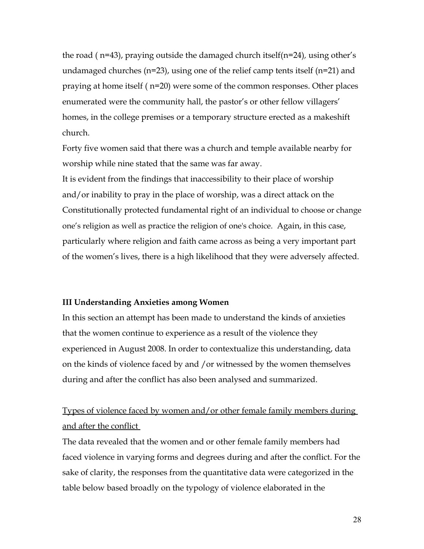the road ( n=43), praying outside the damaged church itself(n=24)*,* using other's undamaged churches (n=23), using one of the relief camp tents itself (n=21) and praying at home itself ( n=20) were some of the common responses. Other places enumerated were the community hall, the pastor's or other fellow villagers' homes, in the college premises or a temporary structure erected as a makeshift church.

Forty five women said that there was a church and temple available nearby for worship while nine stated that the same was far away.

It is evident from the findings that inaccessibility to their place of worship and/or inability to pray in the place of worship, was a direct attack on the Constitutionally protected fundamental right of an individual to choose or change one's religion as well as practice the religion of one's choice. Again, in this case, particularly where religion and faith came across as being a very important part of the women's lives, there is a high likelihood that they were adversely affected.

#### **III Understanding Anxieties among Women**

In this section an attempt has been made to understand the kinds of anxieties that the women continue to experience as a result of the violence they experienced in August 2008. In order to contextualize this understanding, data on the kinds of violence faced by and /or witnessed by the women themselves during and after the conflict has also been analysed and summarized.

## Types of violence faced by women and/or other female family members during and after the conflict

The data revealed that the women and or other female family members had faced violence in varying forms and degrees during and after the conflict. For the sake of clarity, the responses from the quantitative data were categorized in the table below based broadly on the typology of violence elaborated in the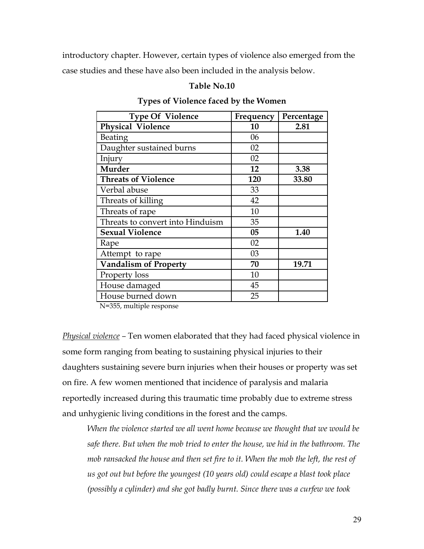introductory chapter. However, certain types of violence also emerged from the case studies and these have also been included in the analysis below.

## **Table No.10**

| <b>Type Of Violence</b>          | Frequency | Percentage |
|----------------------------------|-----------|------------|
| <b>Physical Violence</b>         | 10        | 2.81       |
| Beating                          | 06        |            |
| Daughter sustained burns         | 02        |            |
| Injury                           | 02        |            |
| <b>Murder</b>                    | 12        | 3.38       |
| <b>Threats of Violence</b>       | 120       | 33.80      |
| Verbal abuse                     | 33        |            |
| Threats of killing               | 42        |            |
| Threats of rape                  | 10        |            |
| Threats to convert into Hinduism | 35        |            |
| <b>Sexual Violence</b>           | 05        | 1.40       |
| Rape                             | 02        |            |
| Attempt to rape                  | 03        |            |
| <b>Vandalism of Property</b>     | 70        | 19.71      |
| Property loss                    | 10        |            |
| House damaged                    | 45        |            |
| House burned down                | 25        |            |

## **Types of Violence faced by the Women**

N=355, multiple response

*Physical violence –* Ten women elaborated that they had faced physical violence in some form ranging from beating to sustaining physical injuries to their daughters sustaining severe burn injuries when their houses or property was set on fire. A few women mentioned that incidence of paralysis and malaria reportedly increased during this traumatic time probably due to extreme stress and unhygienic living conditions in the forest and the camps.

*When the violence started we all went home because we thought that we would be safe there. But when the mob tried to enter the house, we hid in the bathroom. The mob ransacked the house and then set fire to it. When the mob the left, the rest of us got out but before the youngest (10 years old) could escape a blast took place (possibly a cylinder) and she got badly burnt. Since there was a curfew we took*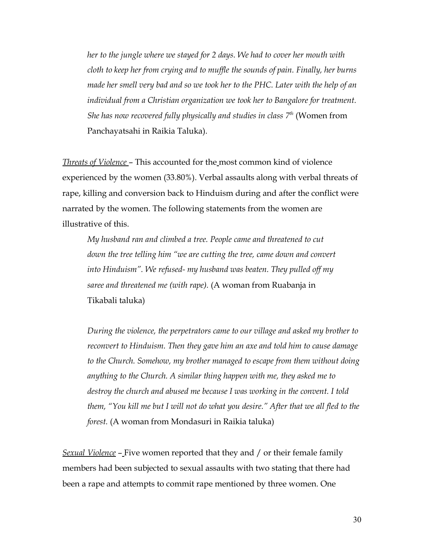*her to the jungle where we stayed for 2 days. We had to cover her mouth with cloth to keep her from crying and to muffle the sounds of pain. Finally, her burns made her smell very bad and so we took her to the PHC. Later with the help of an individual from a Christian organization we took her to Bangalore for treatment. She has now recovered fully physically and studies in class 7th* (Women from Panchayatsahi in Raikia Taluka).

*Threats of Violence* – This accounted for the most common kind of violence experienced by the women (33.80%). Verbal assaults along with verbal threats of rape, killing and conversion back to Hinduism during and after the conflict were narrated by the women. The following statements from the women are illustrative of this.

*My husband ran and climbed a tree. People came and threatened to cut down the tree telling him "we are cutting the tree, came down and convert into Hinduism". We refused- my husband was beaten. They pulled off my saree and threatened me (with rape).* (A woman from Ruabanja in Tikabali taluka)

*During the violence, the perpetrators came to our village and asked my brother to reconvert to Hinduism. Then they gave him an axe and told him to cause damage to the Church. Somehow, my brother managed to escape from them without doing anything to the Church. A similar thing happen with me, they asked me to destroy the church and abused me because I was working in the convent. I told them, "You kill me but I will not do what you desire." After that we all fled to the forest.* (A woman from Mondasuri in Raikia taluka)

*Sexual Violence* – Five women reported that they and / or their female family members had been subjected to sexual assaults with two stating that there had been a rape and attempts to commit rape mentioned by three women. One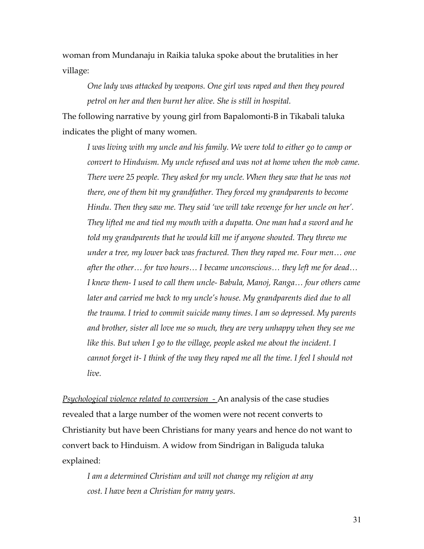woman from Mundanaju in Raikia taluka spoke about the brutalities in her village:

*One lady was attacked by weapons. One girl was raped and then they poured petrol on her and then burnt her alive. She is still in hospital.*

The following narrative by young girl from Bapalomonti-B in Tikabali taluka indicates the plight of many women.

*I was living with my uncle and his family. We were told to either go to camp or convert to Hinduism. My uncle refused and was not at home when the mob came. There were 25 people. They asked for my uncle. When they saw that he was not there, one of them bit my grandfather. They forced my grandparents to become Hindu. Then they saw me. They said 'we will take revenge for her uncle on her'. They lifted me and tied my mouth with a dupatta. One man had a sword and he told my grandparents that he would kill me if anyone shouted. They threw me under a tree, my lower back was fractured. Then they raped me. Four men… one after the other… for two hours… I became unconscious… they left me for dead… I knew them- I used to call them uncle- Babula, Manoj, Ranga… four others came later and carried me back to my uncle's house. My grandparents died due to all the trauma. I tried to commit suicide many times. I am so depressed. My parents and brother, sister all love me so much, they are very unhappy when they see me like this. But when I go to the village, people asked me about the incident. I cannot forget it- I think of the way they raped me all the time. I feel I should not live.* 

*Psychological violence related to conversion -* An analysis of the case studies revealed that a large number of the women were not recent converts to Christianity but have been Christians for many years and hence do not want to convert back to Hinduism. A widow from Sindrigan in Baliguda taluka explained:

*I am a determined Christian and will not change my religion at any cost. I have been a Christian for many years.*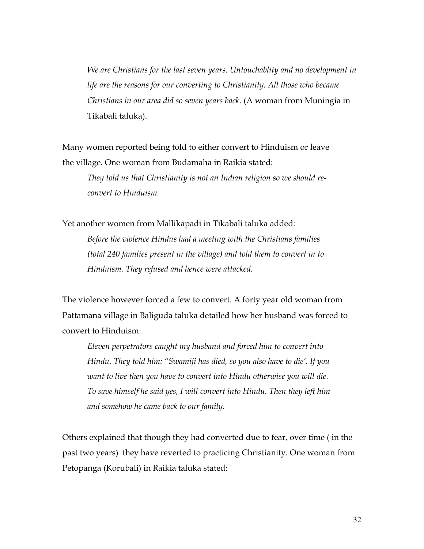*We are Christians for the last seven years. Untouchablity and no development in life are the reasons for our converting to Christianity. All those who became Christians in our area did so seven years back.* (A woman from Muningia in Tikabali taluka).

Many women reported being told to either convert to Hinduism or leave the village. One woman from Budamaha in Raikia stated:

*They told us that Christianity is not an Indian religion so we should reconvert to Hinduism.* 

Yet another women from Mallikapadi in Tikabali taluka added:

*Before the violence Hindus had a meeting with the Christians families (total 240 families present in the village) and told them to convert in to Hinduism. They refused and hence were attacked.*

The violence however forced a few to convert. A forty year old woman from Pattamana village in Baliguda taluka detailed how her husband was forced to convert to Hinduism:

*Eleven perpetrators caught my husband and forced him to convert into Hindu. They told him: "Swamiji has died, so you also have to die'. If you want to live then you have to convert into Hindu otherwise you will die. To save himself he said yes, I will convert into Hindu. Then they left him and somehow he came back to our family.*

Others explained that though they had converted due to fear, over time ( in the past two years) they have reverted to practicing Christianity. One woman from Petopanga (Korubali) in Raikia taluka stated: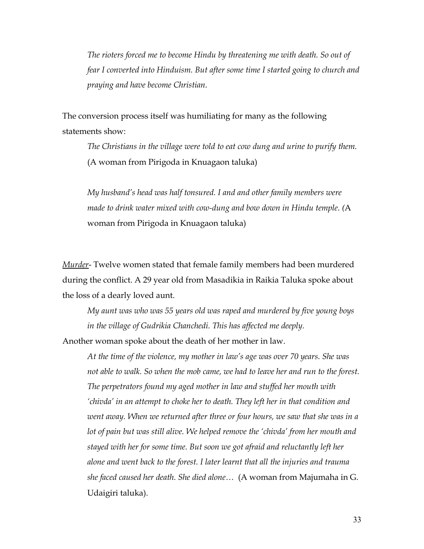*The rioters forced me to become Hindu by threatening me with death. So out of fear I converted into Hinduism. But after some time I started going to church and praying and have become Christian.* 

The conversion process itself was humiliating for many as the following statements show:

*The Christians in the village were told to eat cow dung and urine to purify them.* (A woman from Pirigoda in Knuagaon taluka)

*My husband's head was half tonsured. I and and other family members were made to drink water mixed with cow-dung and bow down in Hindu temple. (*A woman from Pirigoda in Knuagaon taluka)

*Murder*- Twelve women stated that female family members had been murdered during the conflict. A 29 year old from Masadikia in Raikia Taluka spoke about the loss of a dearly loved aunt.

*My aunt was who was 55 years old was raped and murdered by five young boys in the village of Gudrikia Chanchedi. This has affected me deeply.*

Another woman spoke about the death of her mother in law.

*At the time of the violence, my mother in law's age was over 70 years. She was not able to walk. So when the mob came, we had to leave her and run to the forest. The perpetrators found my aged mother in law and stuffed her mouth with 'chivda' in an attempt to choke her to death. They left her in that condition and went away. When we returned after three or four hours, we saw that she was in a lot of pain but was still alive. We helped remove the 'chivda' from her mouth and stayed with her for some time. But soon we got afraid and reluctantly left her alone and went back to the forest. I later learnt that all the injuries and trauma she faced caused her death. She died alone…* (A woman from Majumaha in G. Udaigiri taluka).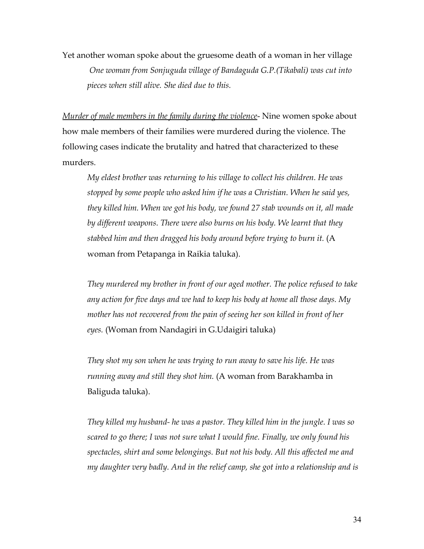Yet another woman spoke about the gruesome death of a woman in her village  *One woman from Sonjuguda village of Bandaguda G.P.(Tikabali) was cut into pieces when still alive. She died due to this.* 

*Murder of male members in the family during the violence*- Nine women spoke about how male members of their families were murdered during the violence. The following cases indicate the brutality and hatred that characterized to these murders.

*My eldest brother was returning to his village to collect his children. He was stopped by some people who asked him if he was a Christian. When he said yes, they killed him. When we got his body, we found 27 stab wounds on it, all made by different weapons. There were also burns on his body. We learnt that they stabbed him and then dragged his body around before trying to burn it.* (A woman from Petapanga in Raikia taluka).

*They murdered my brother in front of our aged mother. The police refused to take any action for five days and we had to keep his body at home all those days. My mother has not recovered from the pain of seeing her son killed in front of her eyes.* (Woman from Nandagiri in G.Udaigiri taluka)

*They shot my son when he was trying to run away to save his life. He was running away and still they shot him.* (A woman from Barakhamba in Baliguda taluka).

*They killed my husband- he was a pastor. They killed him in the jungle. I was so scared to go there; I was not sure what I would fine. Finally, we only found his spectacles, shirt and some belongings. But not his body. All this affected me and my daughter very badly. And in the relief camp, she got into a relationship and is*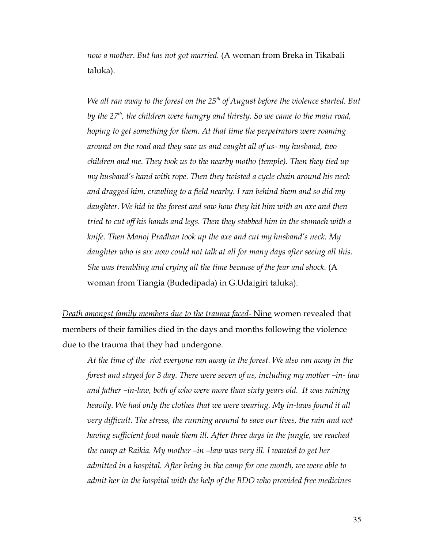*now a mother. But has not got married.* (A woman from Breka in Tikabali taluka).

*We all ran away to the forest on the 25th of August before the violence started. But by the 27th, the children were hungry and thirsty. So we came to the main road, hoping to get something for them. At that time the perpetrators were roaming around on the road and they saw us and caught all of us- my husband, two children and me. They took us to the nearby motho (temple). Then they tied up my husband's hand with rope. Then they twisted a cycle chain around his neck and dragged him, crawling to a field nearby. I ran behind them and so did my daughter. We hid in the forest and saw how they hit him with an axe and then tried to cut off his hands and legs. Then they stabbed him in the stomach with a knife. Then Manoj Pradhan took up the axe and cut my husband's neck. My daughter who is six now could not talk at all for many days after seeing all this. She was trembling and crying all the time because of the fear and shock.* (A woman from Tiangia (Budedipada) in G.Udaigiri taluka).

 *Death amongst family members due to the trauma faced-* Nine women revealed that members of their families died in the days and months following the violence due to the trauma that they had undergone.

*At the time of the riot everyone ran away in the forest. We also ran away in the forest and stayed for 3 day. There were seven of us, including my mother –in- law and father –in-law, both of who were more than sixty years old. It was raining heavily. We had only the clothes that we were wearing. My in-laws found it all very difficult. The stress, the running around to save our lives, the rain and not having sufficient food made them ill. After three days in the jungle, we reached the camp at Raikia. My mother –in –law was very ill. I wanted to get her admitted in a hospital. After being in the camp for one month, we were able to admit her in the hospital with the help of the BDO who provided free medicines*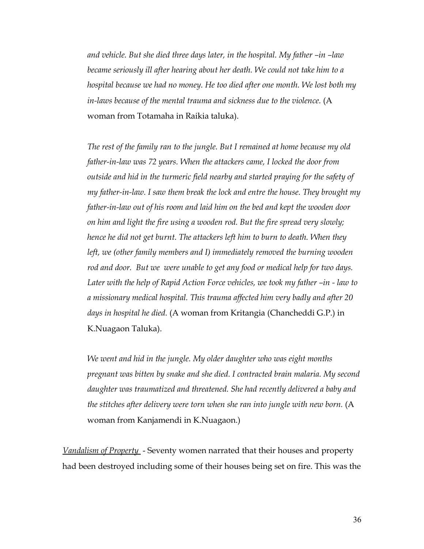*and vehicle. But she died three days later, in the hospital. My father –in –law became seriously ill after hearing about her death. We could not take him to a hospital because we had no money. He too died after one month. We lost both my in-laws because of the mental trauma and sickness due to the violence.* (A woman from Totamaha in Raikia taluka).

*The rest of the family ran to the jungle. But I remained at home because my old father-in-law was 72 years. When the attackers came, I locked the door from outside and hid in the turmeric field nearby and started praying for the safety of my father-in-law. I saw them break the lock and entre the house. They brought my father-in-law out of his room and laid him on the bed and kept the wooden door on him and light the fire using a wooden rod. But the fire spread very slowly; hence he did not get burnt. The attackers left him to burn to death. When they left, we (other family members and I) immediately removed the burning wooden rod and door. But we were unable to get any food or medical help for two days. Later with the help of Rapid Action Force vehicles, we took my father –in - law to a missionary medical hospital. This trauma affected him very badly and after 20 days in hospital he died.* (A woman from Kritangia (Chancheddi G.P.) in K.Nuagaon Taluka).

*We went and hid in the jungle. My older daughter who was eight months pregnant was bitten by snake and she died. I contracted brain malaria. My second daughter was traumatized and threatened. She had recently delivered a baby and* the stitches after delivery were torn when she ran into jungle with new born. (A woman from Kanjamendi in K.Nuagaon.)

*Vandalism of Property* - Seventy women narrated that their houses and property had been destroyed including some of their houses being set on fire. This was the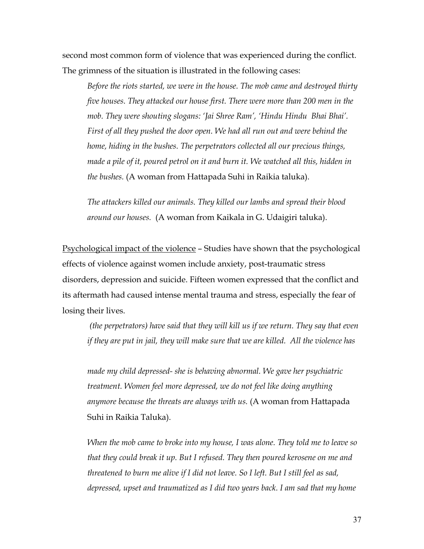second most common form of violence that was experienced during the conflict. The grimness of the situation is illustrated in the following cases:

*Before the riots started, we were in the house. The mob came and destroyed thirty five houses. They attacked our house first. There were more than 200 men in the mob. They were shouting slogans: 'Jai Shree Ram', 'Hindu Hindu Bhai Bhai'. First of all they pushed the door open. We had all run out and were behind the home, hiding in the bushes. The perpetrators collected all our precious things, made a pile of it, poured petrol on it and burn it. We watched all this, hidden in the bushes.* (A woman from Hattapada Suhi in Raikia taluka).

*The attackers killed our animals. They killed our lambs and spread their blood around our houses.* (A woman from Kaikala in G. Udaigiri taluka).

Psychological impact of the violence – Studies have shown that the psychological effects of violence against women include anxiety, post-traumatic stress disorders, depression and suicide. Fifteen women expressed that the conflict and its aftermath had caused intense mental trauma and stress, especially the fear of losing their lives.

 *(the perpetrators) have said that they will kill us if we return. They say that even if they are put in jail, they will make sure that we are killed. All the violence has* 

*made my child depressed- she is behaving abnormal. We gave her psychiatric treatment. Women feel more depressed, we do not feel like doing anything anymore because the threats are always with us.* (A woman from Hattapada Suhi in Raikia Taluka).

*When the mob came to broke into my house, I was alone. They told me to leave so that they could break it up. But I refused. They then poured kerosene on me and threatened to burn me alive if I did not leave. So I left. But I still feel as sad, depressed, upset and traumatized as I did two years back. I am sad that my home*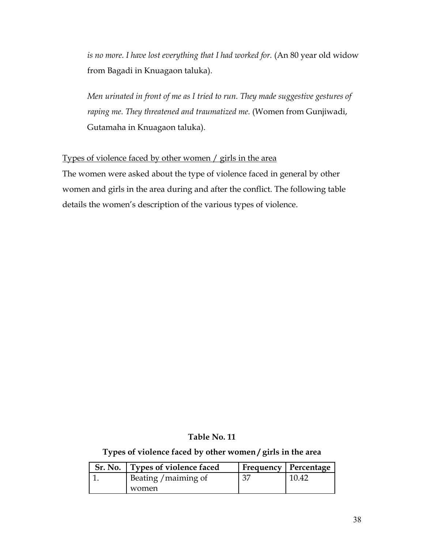is no more. I have lost everything that I had worked for. (An 80 year old widow from Bagadi in Knuagaon taluka).

*Men urinated in front of me as I tried to run. They made suggestive gestures of* raping me. They threatened and traumatized me. (Women from Gunjiwadi, Gutamaha in Knuagaon taluka).

# Types of violence faced by other women / girls in the area

The women were asked about the type of violence faced in general by other women and girls in the area during and after the conflict. The following table details the women's description of the various types of violence.

## **Table No. 11**

# **Types of violence faced by other women / girls in the area**

| Sr. No.   Types of violence faced |    | Frequency   Percentage |
|-----------------------------------|----|------------------------|
| Beating / maiming of              | 37 | 10.42                  |
| women                             |    |                        |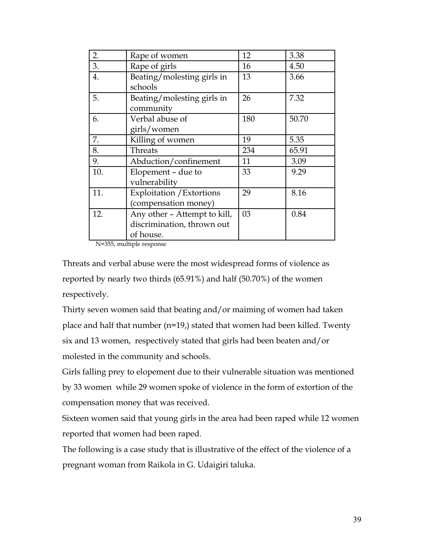| 2.  | Rape of women                | 12  | 3.38  |
|-----|------------------------------|-----|-------|
| 3.  | Rape of girls                | 16  | 4.50  |
| 4.  | Beating/molesting girls in   | 13  | 3.66  |
|     | schools                      |     |       |
| 5.  | Beating/molesting girls in   | 26  | 7.32  |
|     | community                    |     |       |
| 6.  | Verbal abuse of              | 180 | 50.70 |
|     | girls/women                  |     |       |
| 7.  | Killing of women             | 19  | 5.35  |
| 8.  | Threats                      | 234 | 65.91 |
| 9.  | Abduction/confinement        | 11  | 3.09  |
| 10. | Elopement - due to           | 33  | 9.29  |
|     | vulnerability                |     |       |
| 11. | Exploitation / Extortions    | 29  | 8.16  |
|     | (compensation money)         |     |       |
| 12. | Any other - Attempt to kill, | 03  | 0.84  |
|     | discrimination, thrown out   |     |       |
|     | of house.                    |     |       |

N=355, multiple response

Threats and verbal abuse were the most widespread forms of violence as reported by nearly two thirds (65.91%) and half (50.70%) of the women respectively.

Thirty seven women said that beating and/or maiming of women had taken place and half that number (n=19,) stated that women had been killed. Twenty six and 13 women, respectively stated that girls had been beaten and/or molested in the community and schools.

Girls falling prey to elopement due to their vulnerable situation was mentioned by 33 women while 29 women spoke of violence in the form of extortion of the compensation money that was received.

Sixteen women said that young girls in the area had been raped while 12 women reported that women had been raped.

The following is a case study that is illustrative of the effect of the violence of a pregnant woman from Raikola in G. Udaigiri taluka.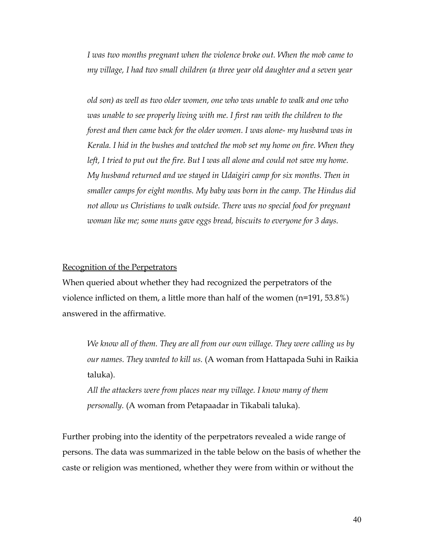*I was two months pregnant when the violence broke out. When the mob came to my village, I had two small children (a three year old daughter and a seven year* 

*old son) as well as two older women, one who was unable to walk and one who was unable to see properly living with me. I first ran with the children to the forest and then came back for the older women. I was alone- my husband was in Kerala. I hid in the bushes and watched the mob set my home on fire. When they left, I tried to put out the fire. But I was all alone and could not save my home. My husband returned and we stayed in Udaigiri camp for six months. Then in smaller camps for eight months. My baby was born in the camp. The Hindus did not allow us Christians to walk outside. There was no special food for pregnant woman like me; some nuns gave eggs bread, biscuits to everyone for 3 days.*

#### Recognition of the Perpetrators

When queried about whether they had recognized the perpetrators of the violence inflicted on them, a little more than half of the women (n=191, 53.8%) answered in the affirmative.

*We know all of them. They are all from our own village. They were calling us by our names. They wanted to kill us.* (A woman from Hattapada Suhi in Raikia taluka).

*All the attackers were from places near my village. I know many of them personally.* (A woman from Petapaadar in Tikabali taluka).

Further probing into the identity of the perpetrators revealed a wide range of persons. The data was summarized in the table below on the basis of whether the caste or religion was mentioned, whether they were from within or without the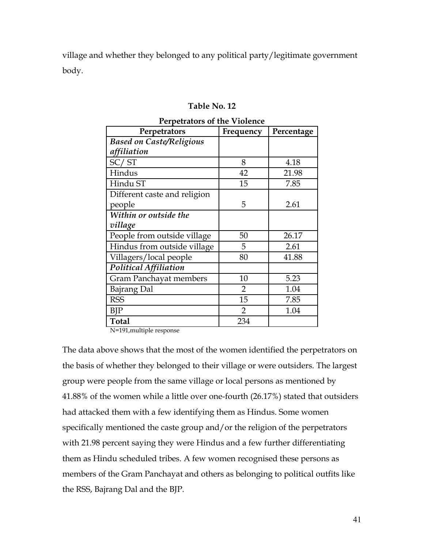village and whether they belonged to any political party/legitimate government body.

#### **Table No. 12**

| Perpetrators                    | Frequency      | Percentage |
|---------------------------------|----------------|------------|
| <b>Based on Caste/Religious</b> |                |            |
| affiliation                     |                |            |
| SC/ST                           | 8              | 4.18       |
| Hindus                          | 42             | 21.98      |
| Hindu ST                        | 15             | 7.85       |
| Different caste and religion    |                |            |
| people                          | 5              | 2.61       |
| Within or outside the           |                |            |
| village                         |                |            |
| People from outside village     | 50             | 26.17      |
| Hindus from outside village     | 5              | 2.61       |
| Villagers/local people          | 80             | 41.88      |
| <b>Political Affiliation</b>    |                |            |
| <b>Gram Panchayat members</b>   | 10             | 5.23       |
| <b>Bajrang Dal</b>              | $\overline{2}$ | 1.04       |
| <b>RSS</b>                      | 15             | 7.85       |
| BJP                             | $\overline{2}$ | 1.04       |
| <b>Total</b>                    | 234            |            |

#### **Perpetrators of the Violence**

N=191,multiple response

The data above shows that the most of the women identified the perpetrators on the basis of whether they belonged to their village or were outsiders. The largest group were people from the same village or local persons as mentioned by 41.88% of the women while a little over one-fourth (26.17%) stated that outsiders had attacked them with a few identifying them as Hindus. Some women specifically mentioned the caste group and/or the religion of the perpetrators with 21.98 percent saying they were Hindus and a few further differentiating them as Hindu scheduled tribes. A few women recognised these persons as members of the Gram Panchayat and others as belonging to political outfits like the RSS, Bajrang Dal and the BJP.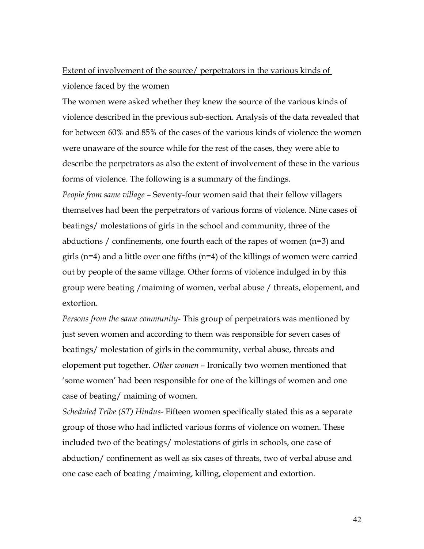# Extent of involvement of the source/ perpetrators in the various kinds of violence faced by the women

The women were asked whether they knew the source of the various kinds of violence described in the previous sub-section. Analysis of the data revealed that for between 60% and 85% of the cases of the various kinds of violence the women were unaware of the source while for the rest of the cases, they were able to describe the perpetrators as also the extent of involvement of these in the various forms of violence. The following is a summary of the findings.

*People from same village* – Seventy-four women said that their fellow villagers themselves had been the perpetrators of various forms of violence. Nine cases of beatings/ molestations of girls in the school and community, three of the abductions / confinements, one fourth each of the rapes of women  $(n=3)$  and girls ( $n=4$ ) and a little over one fifths ( $n=4$ ) of the killings of women were carried out by people of the same village. Other forms of violence indulged in by this group were beating /maiming of women, verbal abuse / threats, elopement, and extortion.

*Persons from the same community-* This group of perpetrators was mentioned by just seven women and according to them was responsible for seven cases of beatings/ molestation of girls in the community, verbal abuse, threats and elopement put together. *Other women* – Ironically two women mentioned that 'some women' had been responsible for one of the killings of women and one case of beating/ maiming of women.

*Scheduled Tribe (ST) Hindus-* Fifteen women specifically stated this as a separate group of those who had inflicted various forms of violence on women. These included two of the beatings/ molestations of girls in schools, one case of abduction/ confinement as well as six cases of threats, two of verbal abuse and one case each of beating /maiming, killing, elopement and extortion.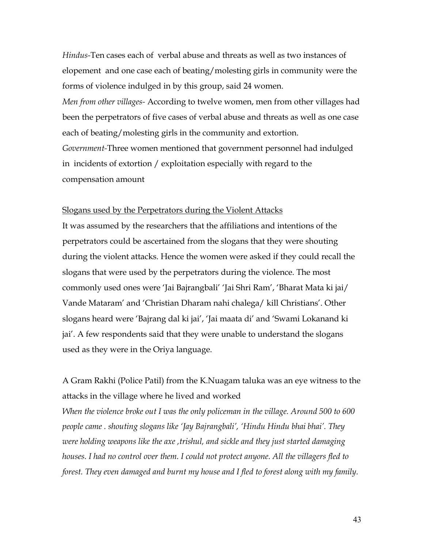*Hindus-*Ten cases each of verbal abuse and threats as well as two instances of elopement and one case each of beating/molesting girls in community were the forms of violence indulged in by this group, said 24 women.

*Men from other villages-* According to twelve women, men from other villages had been the perpetrators of five cases of verbal abuse and threats as well as one case each of beating/molesting girls in the community and extortion. *Government-*Three women mentioned that government personnel had indulged

in incidents of extortion / exploitation especially with regard to the compensation amount

#### Slogans used by the Perpetrators during the Violent Attacks

It was assumed by the researchers that the affiliations and intentions of the perpetrators could be ascertained from the slogans that they were shouting during the violent attacks. Hence the women were asked if they could recall the slogans that were used by the perpetrators during the violence. The most commonly used ones were 'Jai Bajrangbali' 'Jai Shri Ram', 'Bharat Mata ki jai/ Vande Mataram' and 'Christian Dharam nahi chalega/ kill Christians'. Other slogans heard were 'Bajrang dal ki jai', 'Jai maata di' and 'Swami Lokanand ki jai'. A few respondents said that they were unable to understand the slogans used as they were in the Oriya language.

A Gram Rakhi (Police Patil) from the K.Nuagam taluka was an eye witness to the attacks in the village where he lived and worked *When the violence broke out I was the only policeman in the village. Around 500 to 600 people came . shouting slogans like 'Jay Bajrangbali', 'Hindu Hindu bhai bhai'. They were holding weapons like the axe ,trishul, and sickle and they just started damaging houses. I had no control over them. I could not protect anyone. All the villagers fled to forest. They even damaged and burnt my house and I fled to forest along with my family.*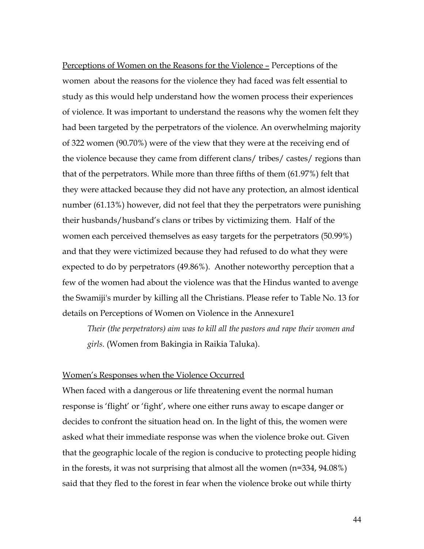Perceptions of Women on the Reasons for the Violence – Perceptions of the women about the reasons for the violence they had faced was felt essential to study as this would help understand how the women process their experiences of violence. It was important to understand the reasons why the women felt they had been targeted by the perpetrators of the violence. An overwhelming majority of 322 women (90.70%) were of the view that they were at the receiving end of the violence because they came from different clans/ tribes/ castes/ regions than that of the perpetrators. While more than three fifths of them (61.97%) felt that they were attacked because they did not have any protection, an almost identical number (61.13%) however, did not feel that they the perpetrators were punishing their husbands/husband's clans or tribes by victimizing them. Half of the women each perceived themselves as easy targets for the perpetrators (50.99%) and that they were victimized because they had refused to do what they were expected to do by perpetrators (49.86%). Another noteworthy perception that a few of the women had about the violence was that the Hindus wanted to avenge the Swamiji's murder by killing all the Christians. Please refer to Table No. 13 for details on Perceptions of Women on Violence in the Annexure1

*Their (the perpetrators) aim was to kill all the pastors and rape their women and girls.* (Women from Bakingia in Raikia Taluka).

#### Women's Responses when the Violence Occurred

When faced with a dangerous or life threatening event the normal human response is 'flight' or 'fight', where one either runs away to escape danger or decides to confront the situation head on. In the light of this, the women were asked what their immediate response was when the violence broke out. Given that the geographic locale of the region is conducive to protecting people hiding in the forests, it was not surprising that almost all the women (n=334, 94.08%) said that they fled to the forest in fear when the violence broke out while thirty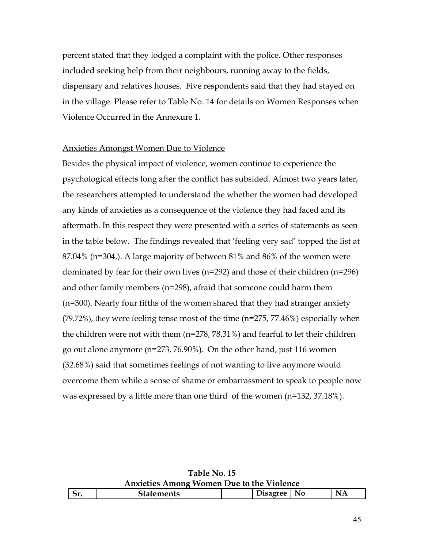percent stated that they lodged a complaint with the police. Other responses included seeking help from their neighbours, running away to the fields, dispensary and relatives houses. Five respondents said that they had stayed on in the village. Please refer to Table No. 14 for details on Women Responses when Violence Occurred in the Annexure 1.

#### Anxieties Amongst Women Due to Violence

Besides the physical impact of violence, women continue to experience the psychological effects long after the conflict has subsided. Almost two years later, the researchers attempted to understand the whether the women had developed any kinds of anxieties as a consequence of the violence they had faced and its aftermath. In this respect they were presented with a series of statements as seen in the table below. The findings revealed that 'feeling very sad' topped the list at 87.04% (n=304,). A large majority of between 81% and 86% of the women were dominated by fear for their own lives (n=292) and those of their children (n=296) and other family members (n=298), afraid that someone could harm them (n=300). Nearly four fifths of the women shared that they had stranger anxiety (79.72%), they were feeling tense most of the time (n=275, 77.46%) especially when the children were not with them (n=278, 78.31%) and fearful to let their children go out alone anymore (n=273, 76.90%). On the other hand, just 116 women (32.68%) said that sometimes feelings of not wanting to live anymore would overcome them while a sense of shame or embarrassment to speak to people now was expressed by a little more than one third of the women (n=132, 37.18%).

**Table No. 15 Anxieties Among Women Due to the Violence**

| $\overline{\phantom{0}}$<br>$\mathbf{D}$ | 11 L.D | . . | N <sub>0</sub> | N<br>. |
|------------------------------------------|--------|-----|----------------|--------|
|                                          |        |     |                |        |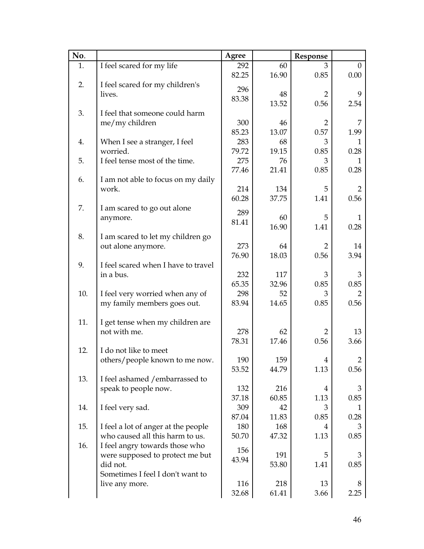| No. |                                     | Agree |       | Response       |                |
|-----|-------------------------------------|-------|-------|----------------|----------------|
| 1.  | I feel scared for my life           | 292   | 60    | 3              | $\Omega$       |
|     |                                     | 82.25 | 16.90 | 0.85           | 0.00           |
| 2.  | I feel scared for my children's     |       |       |                |                |
|     | lives.                              | 296   | 48    | $\overline{2}$ | 9              |
|     |                                     | 83.38 | 13.52 | 0.56           | 2.54           |
| 3.  | I feel that someone could harm      |       |       |                |                |
|     | me/my children                      | 300   | 46    | $\overline{2}$ | 7              |
|     |                                     | 85.23 | 13.07 | 0.57           | 1.99           |
| 4.  | When I see a stranger, I feel       | 283   | 68    | 3              | 1              |
|     | worried.                            | 79.72 | 19.15 | 0.85           | 0.28           |
| 5.  | I feel tense most of the time.      | 275   | 76    | 3              | 1              |
|     |                                     | 77.46 | 21.41 | 0.85           | 0.28           |
| 6.  | I am not able to focus on my daily  |       |       |                |                |
|     | work.                               | 214   | 134   | 5              | $\overline{2}$ |
|     |                                     | 60.28 | 37.75 | 1.41           | 0.56           |
| 7.  | I am scared to go out alone         |       |       |                |                |
|     | anymore.                            | 289   | 60    | 5              | $\mathbf{1}$   |
|     |                                     | 81.41 | 16.90 | 1.41           | 0.28           |
| 8.  | I am scared to let my children go   |       |       |                |                |
|     | out alone anymore.                  | 273   | 64    | $\overline{2}$ | 14             |
|     |                                     | 76.90 | 18.03 | 0.56           | 3.94           |
| 9.  | I feel scared when I have to travel |       |       |                |                |
|     | in a bus.                           | 232   | 117   | 3              | 3              |
|     |                                     | 65.35 | 32.96 | 0.85           | 0.85           |
| 10. | I feel very worried when any of     | 298   | 52    | 3              |                |
|     | my family members goes out.         | 83.94 | 14.65 | 0.85           | 0.56           |
|     |                                     |       |       |                |                |
| 11. | I get tense when my children are    |       |       |                |                |
|     | not with me.                        | 278   | 62    | 2              | 13             |
|     |                                     | 78.31 | 17.46 | 0.56           | 3.66           |
| 12. | I do not like to meet               |       |       |                |                |
|     | others/people known to me now.      | 190   | 159   | $\overline{4}$ | $\overline{2}$ |
|     |                                     | 53.52 | 44.79 | 1.13           | 0.56           |
| 13. | I feel ashamed /embarrassed to      |       |       |                |                |
|     | speak to people now.                | 132   | 216   | $\overline{4}$ | 3              |
|     |                                     | 37.18 | 60.85 | 1.13           | 0.85           |
| 14. | I feel very sad.                    | 309   | 42    | 3              |                |
|     |                                     | 87.04 | 11.83 | 0.85           | 0.28           |
| 15. | I feel a lot of anger at the people | 180   | 168   | 4              | 3              |
|     | who caused all this harm to us.     | 50.70 | 47.32 | 1.13           | 0.85           |
| 16. | I feel angry towards those who      |       |       |                |                |
|     | were supposed to protect me but     | 156   | 191   | 5              | 3              |
|     | did not.                            | 43.94 | 53.80 | 1.41           | 0.85           |
|     | Sometimes I feel I don't want to    |       |       |                |                |
|     | live any more.                      | 116   | 218   | 13             | 8              |
|     |                                     | 32.68 | 61.41 | 3.66           | 2.25           |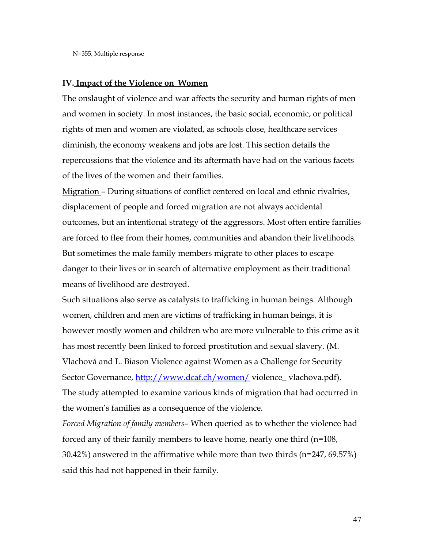#### **IV. Impact of the Violence on Women**

The onslaught of violence and war affects the security and human rights of men and women in society. In most instances, the basic social, economic, or political rights of men and women are violated, as schools close, healthcare services diminish, the economy weakens and jobs are lost. This section details the repercussions that the violence and its aftermath have had on the various facets of the lives of the women and their families.

Migration – During situations of conflict centered on local and ethnic rivalries, displacement of people and forced migration are not always accidental outcomes, but an intentional strategy of the aggressors. Most often entire families are forced to flee from their homes, communities and abandon their livelihoods. But sometimes the male family members migrate to other places to escape danger to their lives or in search of alternative employment as their traditional means of livelihood are destroyed.

Such situations also serve as catalysts to trafficking in human beings. Although women, children and men are victims of trafficking in human beings, it is however mostly women and children who are more vulnerable to this crime as it has most recently been linked to forced prostitution and sexual slavery. (M. Vlachová and L. Biason Violence against Women as a Challenge for Security Sector Governance, http://www.dcaf.ch/women/violence\_vlachova.pdf). The study attempted to examine various kinds of migration that had occurred in the women's families as a consequence of the violence.

*Forced Migration of family members*– When queried as to whether the violence had forced any of their family members to leave home, nearly one third (n=108, 30.42%) answered in the affirmative while more than two thirds (n=247, 69.57%) said this had not happened in their family.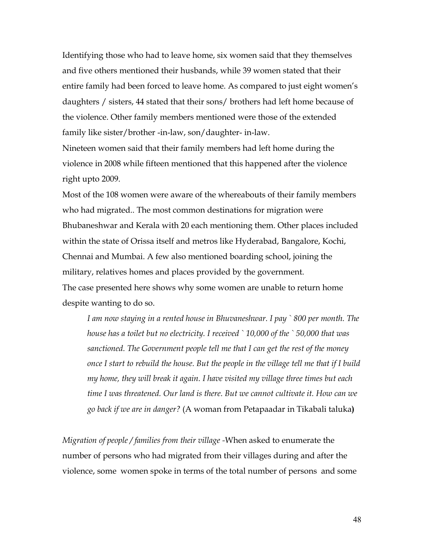Identifying those who had to leave home, six women said that they themselves and five others mentioned their husbands, while 39 women stated that their entire family had been forced to leave home. As compared to just eight women's daughters / sisters, 44 stated that their sons/ brothers had left home because of the violence. Other family members mentioned were those of the extended family like sister/brother -in-law, son/daughter- in-law.

Nineteen women said that their family members had left home during the violence in 2008 while fifteen mentioned that this happened after the violence right upto 2009.

Most of the 108 women were aware of the whereabouts of their family members who had migrated.. The most common destinations for migration were Bhubaneshwar and Kerala with 20 each mentioning them. Other places included within the state of Orissa itself and metros like Hyderabad, Bangalore, Kochi, Chennai and Mumbai. A few also mentioned boarding school, joining the military, relatives homes and places provided by the government. The case presented here shows why some women are unable to return home despite wanting to do so.

*I am now staying in a rented house in Bhuvaneshwar. I pay ` 800 per month. The house has a toilet but no electricity. I received ` 10,000 of the ` 50,000 that was sanctioned. The Government people tell me that I can get the rest of the money once I start to rebuild the house. But the people in the village tell me that if I build my home, they will break it again. I have visited my village three times but each time I was threatened. Our land is there. But we cannot cultivate it. How can we go back if we are in danger?* (A woman from Petapaadar in Tikabali taluka**)**

*Migration of people / families from their village -*When asked to enumerate the number of persons who had migrated from their villages during and after the violence, some women spoke in terms of the total number of persons and some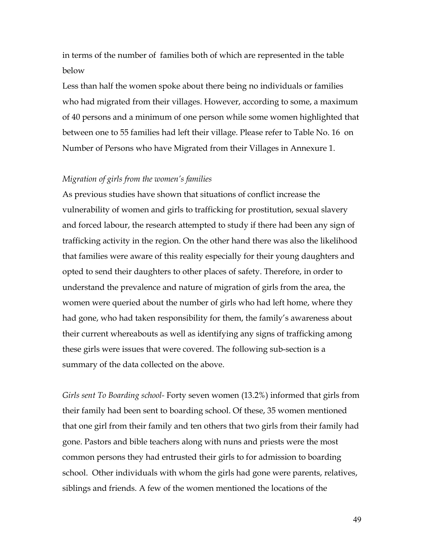in terms of the number of families both of which are represented in the table below

Less than half the women spoke about there being no individuals or families who had migrated from their villages. However, according to some, a maximum of 40 persons and a minimum of one person while some women highlighted that between one to 55 families had left their village. Please refer to Table No. 16 on Number of Persons who have Migrated from their Villages in Annexure 1.

#### *Migration of girls from the women's families*

As previous studies have shown that situations of conflict increase the vulnerability of women and girls to trafficking for prostitution, sexual slavery and forced labour, the research attempted to study if there had been any sign of trafficking activity in the region. On the other hand there was also the likelihood that families were aware of this reality especially for their young daughters and opted to send their daughters to other places of safety. Therefore, in order to understand the prevalence and nature of migration of girls from the area, the women were queried about the number of girls who had left home, where they had gone, who had taken responsibility for them, the family's awareness about their current whereabouts as well as identifying any signs of trafficking among these girls were issues that were covered. The following sub-section is a summary of the data collected on the above.

*Girls sent To Boarding school-* Forty seven women (13.2%) informed that girls from their family had been sent to boarding school. Of these, 35 women mentioned that one girl from their family and ten others that two girls from their family had gone. Pastors and bible teachers along with nuns and priests were the most common persons they had entrusted their girls to for admission to boarding school. Other individuals with whom the girls had gone were parents, relatives, siblings and friends. A few of the women mentioned the locations of the

49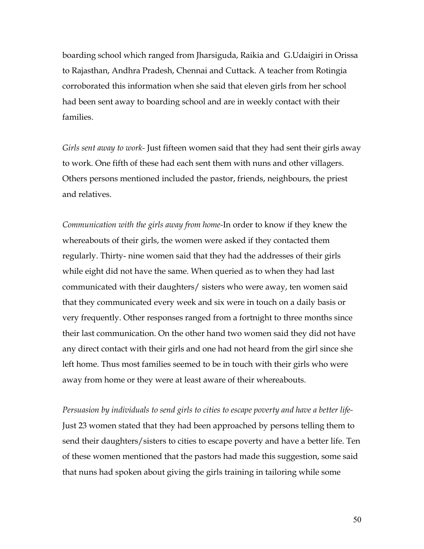boarding school which ranged from Jharsiguda, Raikia and G.Udaigiri in Orissa to Rajasthan, Andhra Pradesh, Chennai and Cuttack. A teacher from Rotingia corroborated this information when she said that eleven girls from her school had been sent away to boarding school and are in weekly contact with their families.

*Girls sent away to work-* Just fifteen women said that they had sent their girls away to work. One fifth of these had each sent them with nuns and other villagers. Others persons mentioned included the pastor, friends, neighbours, the priest and relatives.

*Communication with the girls away from home-*In order to know if they knew the whereabouts of their girls, the women were asked if they contacted them regularly. Thirty- nine women said that they had the addresses of their girls while eight did not have the same. When queried as to when they had last communicated with their daughters/ sisters who were away, ten women said that they communicated every week and six were in touch on a daily basis or very frequently. Other responses ranged from a fortnight to three months since their last communication. On the other hand two women said they did not have any direct contact with their girls and one had not heard from the girl since she left home. Thus most families seemed to be in touch with their girls who were away from home or they were at least aware of their whereabouts.

*Persuasion by individuals to send girls to cities to escape poverty and have a better life-*Just 23 women stated that they had been approached by persons telling them to send their daughters/sisters to cities to escape poverty and have a better life. Ten of these women mentioned that the pastors had made this suggestion, some said that nuns had spoken about giving the girls training in tailoring while some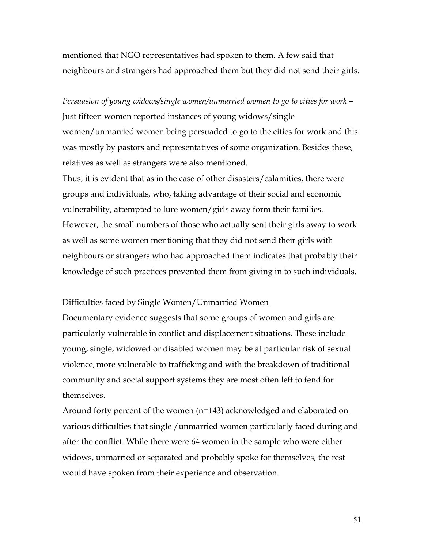mentioned that NGO representatives had spoken to them. A few said that neighbours and strangers had approached them but they did not send their girls.

*Persuasion of young widows/single women/unmarried women to go to cities for work –* Just fifteen women reported instances of young widows/single women/unmarried women being persuaded to go to the cities for work and this was mostly by pastors and representatives of some organization. Besides these, relatives as well as strangers were also mentioned.

Thus, it is evident that as in the case of other disasters/calamities, there were groups and individuals, who, taking advantage of their social and economic vulnerability, attempted to lure women/girls away form their families. However, the small numbers of those who actually sent their girls away to work as well as some women mentioning that they did not send their girls with neighbours or strangers who had approached them indicates that probably their knowledge of such practices prevented them from giving in to such individuals.

#### Difficulties faced by Single Women/Unmarried Women

Documentary evidence suggests that some groups of women and girls are particularly vulnerable in conflict and displacement situations. These include young, single, widowed or disabled women may be at particular risk of sexual violence, more vulnerable to trafficking and with the breakdown of traditional community and social support systems they are most often left to fend for themselves.

Around forty percent of the women (n=143) acknowledged and elaborated on various difficulties that single /unmarried women particularly faced during and after the conflict. While there were 64 women in the sample who were either widows, unmarried or separated and probably spoke for themselves, the rest would have spoken from their experience and observation.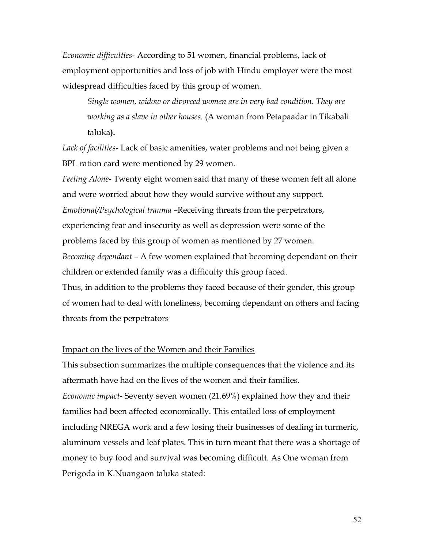*Economic difficulties-* According to 51 women, financial problems, lack of employment opportunities and loss of job with Hindu employer were the most widespread difficulties faced by this group of women.

*Single women, widow or divorced women are in very bad condition. They are working as a slave in other houses.* (A woman from Petapaadar in Tikabali taluka**).**

*Lack of facilities-* Lack of basic amenities, water problems and not being given a BPL ration card were mentioned by 29 women.

*Feeling Alone-* Twenty eight women said that many of these women felt all alone and were worried about how they would survive without any support. *Emotional/Psychological trauma* –Receiving threats from the perpetrators, experiencing fear and insecurity as well as depression were some of the problems faced by this group of women as mentioned by 27 women. *Becoming dependant –* A few women explained that becoming dependant on their children or extended family was a difficulty this group faced. Thus, in addition to the problems they faced because of their gender, this group of women had to deal with loneliness, becoming dependant on others and facing threats from the perpetrators

#### Impact on the lives of the Women and their Families

This subsection summarizes the multiple consequences that the violence and its aftermath have had on the lives of the women and their families. *Economic impact-* Seventy seven women (21.69%) explained how they and their families had been affected economically. This entailed loss of employment including NREGA work and a few losing their businesses of dealing in turmeric, aluminum vessels and leaf plates. This in turn meant that there was a shortage of money to buy food and survival was becoming difficult. As One woman from Perigoda in K.Nuangaon taluka stated: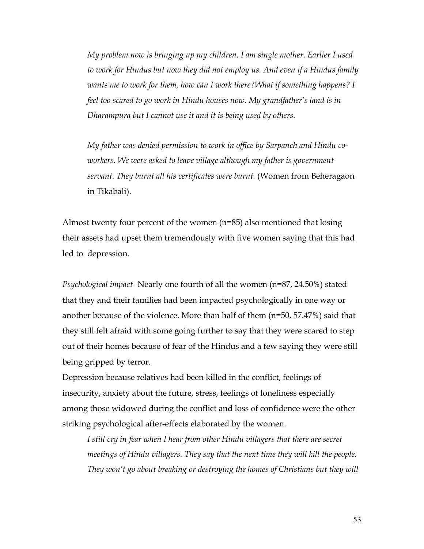*My problem now is bringing up my children. I am single mother. Earlier I used to work for Hindus but now they did not employ us. And even if a Hindus family wants me to work for them, how can I work there?What if something happens? I feel too scared to go work in Hindu houses now. My grandfather's land is in Dharampura but I cannot use it and it is being used by others.*

*My father was denied permission to work in office by Sarpanch and Hindu coworkers. We were asked to leave village although my father is government servant. They burnt all his certificates were burnt.* (Women from Beheragaon in Tikabali).

Almost twenty four percent of the women (n=85) also mentioned that losing their assets had upset them tremendously with five women saying that this had led to depression.

*Psychological impact-* Nearly one fourth of all the women (n=87, 24.50%) stated that they and their families had been impacted psychologically in one way or another because of the violence. More than half of them (n=50, 57.47%) said that they still felt afraid with some going further to say that they were scared to step out of their homes because of fear of the Hindus and a few saying they were still being gripped by terror.

Depression because relatives had been killed in the conflict, feelings of insecurity, anxiety about the future, stress, feelings of loneliness especially among those widowed during the conflict and loss of confidence were the other striking psychological after-effects elaborated by the women.

*I still cry in fear when I hear from other Hindu villagers that there are secret meetings of Hindu villagers. They say that the next time they will kill the people. They won't go about breaking or destroying the homes of Christians but they will*

53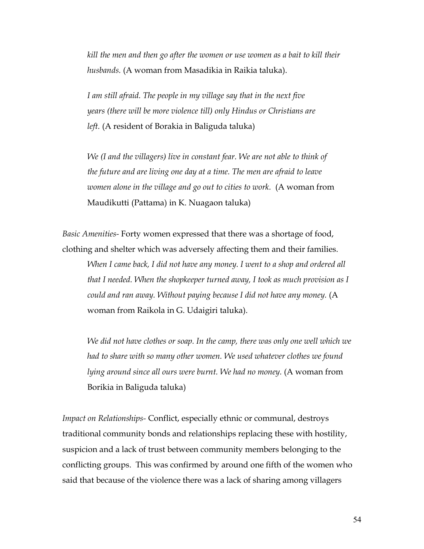*kill the men and then go after the women or use women as a bait to kill their husbands.* (A woman from Masadikia in Raikia taluka).

*I am still afraid. The people in my village say that in the next five years (there will be more violence till) only Hindus or Christians are left.* (A resident of Borakia in Baliguda taluka)

*We (I and the villagers) live in constant fear. We are not able to think of the future and are living one day at a time. The men are afraid to leave women alone in the village and go out to cities to work.* (A woman from Maudikutti (Pattama) in K. Nuagaon taluka)

*Basic Amenities-* Forty women expressed that there was a shortage of food, clothing and shelter which was adversely affecting them and their families.

*When I came back, I did not have any money. I went to a shop and ordered all that I needed. When the shopkeeper turned away, I took as much provision as I could and ran away. Without paying because I did not have any money.* (A woman from Raikola in G. Udaigiri taluka).

*We did not have clothes or soap. In the camp, there was only one well which we had to share with so many other women. We used whatever clothes we found lying around since all ours were burnt. We had no money.* (A woman from Borikia in Baliguda taluka)

*Impact on Relationships-* Conflict, especially ethnic or communal, destroys traditional community bonds and relationships replacing these with hostility, suspicion and a lack of trust between community members belonging to the conflicting groups. This was confirmed by around one fifth of the women who said that because of the violence there was a lack of sharing among villagers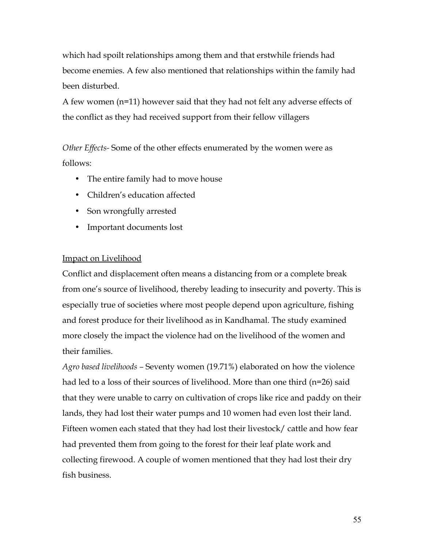which had spoilt relationships among them and that erstwhile friends had become enemies. A few also mentioned that relationships within the family had been disturbed.

A few women (n=11) however said that they had not felt any adverse effects of the conflict as they had received support from their fellow villagers

*Other Effects-* Some of the other effects enumerated by the women were as follows:

- The entire family had to move house
- Children's education affected
- Son wrongfully arrested
- Important documents lost

# Impact on Livelihood

Conflict and displacement often means a distancing from or a complete break from one's source of livelihood, thereby leading to insecurity and poverty. This is especially true of societies where most people depend upon agriculture, fishing and forest produce for their livelihood as in Kandhamal. The study examined more closely the impact the violence had on the livelihood of the women and their families.

*Agro based livelihoods –* Seventy women (19.71%) elaborated on how the violence had led to a loss of their sources of livelihood. More than one third (n=26) said that they were unable to carry on cultivation of crops like rice and paddy on their lands, they had lost their water pumps and 10 women had even lost their land. Fifteen women each stated that they had lost their livestock/ cattle and how fear had prevented them from going to the forest for their leaf plate work and collecting firewood. A couple of women mentioned that they had lost their dry fish business.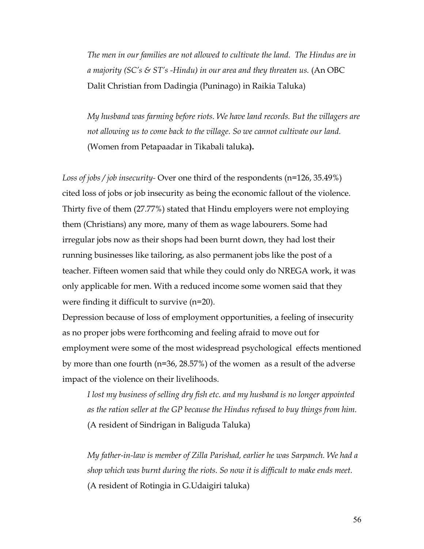*The men in our families are not allowed to cultivate the land. The Hindus are in a majority (SC's & ST's -Hindu) in our area and they threaten us.* (An OBC Dalit Christian from Dadingia (Puninago) in Raikia Taluka)

*My husband was farming before riots. We have land records. But the villagers are not allowing us to come back to the village. So we cannot cultivate our land.* (Women from Petapaadar in Tikabali taluka**).** 

*Loss of jobs / job insecurity-* Over one third of the respondents (n=126, 35.49%) cited loss of jobs or job insecurity as being the economic fallout of the violence. Thirty five of them (27.77%) stated that Hindu employers were not employing them (Christians) any more, many of them as wage labourers. Some had irregular jobs now as their shops had been burnt down, they had lost their running businesses like tailoring, as also permanent jobs like the post of a teacher. Fifteen women said that while they could only do NREGA work, it was only applicable for men. With a reduced income some women said that they were finding it difficult to survive (n=20).

Depression because of loss of employment opportunities, a feeling of insecurity as no proper jobs were forthcoming and feeling afraid to move out for employment were some of the most widespread psychological effects mentioned by more than one fourth (n=36, 28.57%) of the women as a result of the adverse impact of the violence on their livelihoods.

*I lost my business of selling dry fish etc. and my husband is no longer appointed as the ration seller at the GP because the Hindus refused to buy things from him.* (A resident of Sindrigan in Baliguda Taluka)

*My father-in-law is member of Zilla Parishad, earlier he was Sarpanch. We had a shop which was burnt during the riots. So now it is difficult to make ends meet.* (A resident of Rotingia in G.Udaigiri taluka)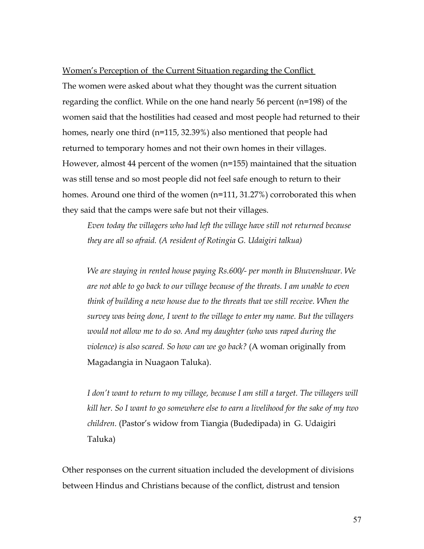#### Women's Perception of the Current Situation regarding the Conflict

The women were asked about what they thought was the current situation regarding the conflict. While on the one hand nearly 56 percent (n=198) of the women said that the hostilities had ceased and most people had returned to their homes, nearly one third (n=115, 32.39%) also mentioned that people had returned to temporary homes and not their own homes in their villages. However, almost 44 percent of the women (n=155) maintained that the situation was still tense and so most people did not feel safe enough to return to their homes. Around one third of the women (n=111, 31.27%) corroborated this when they said that the camps were safe but not their villages.

*Even today the villagers who had left the village have still not returned because they are all so afraid. (A resident of Rotingia G. Udaigiri talkua)*

*We are staying in rented house paying Rs.600/- per month in Bhuvenshwar. We are not able to go back to our village because of the threats. I am unable to even think of building a new house due to the threats that we still receive. When the survey was being done, I went to the village to enter my name. But the villagers would not allow me to do so. And my daughter (who was raped during the violence) is also scared. So how can we go back?* (A woman originally from Magadangia in Nuagaon Taluka).

*I don't want to return to my village, because I am still a target. The villagers will kill her. So I want to go somewhere else to earn a livelihood for the sake of my two children.* (Pastor's widow from Tiangia (Budedipada) in G. Udaigiri Taluka)

Other responses on the current situation included the development of divisions between Hindus and Christians because of the conflict, distrust and tension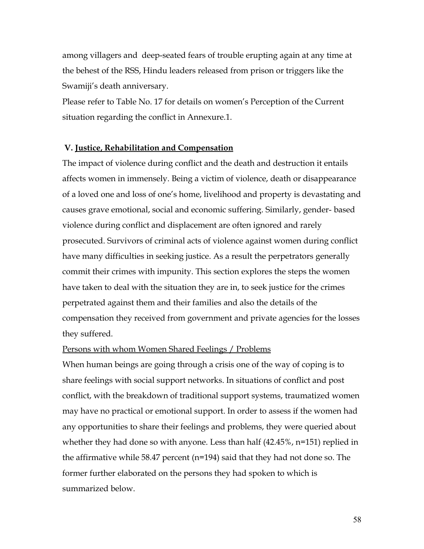among villagers and deep-seated fears of trouble erupting again at any time at the behest of the RSS, Hindu leaders released from prison or triggers like the Swamiji's death anniversary.

Please refer to Table No. 17 for details on women's Perception of the Current situation regarding the conflict in Annexure.1.

#### **V. Justice, Rehabilitation and Compensation**

The impact of violence during conflict and the death and destruction it entails affects women in immensely. Being a victim of violence, death or disappearance of a loved one and loss of one's home, livelihood and property is devastating and causes grave emotional, social and economic suffering. Similarly, gender- based violence during conflict and displacement are often ignored and rarely prosecuted. Survivors of criminal acts of violence against women during conflict have many difficulties in seeking justice. As a result the perpetrators generally commit their crimes with impunity. This section explores the steps the women have taken to deal with the situation they are in, to seek justice for the crimes perpetrated against them and their families and also the details of the compensation they received from government and private agencies for the losses they suffered.

#### Persons with whom Women Shared Feelings / Problems

When human beings are going through a crisis one of the way of coping is to share feelings with social support networks. In situations of conflict and post conflict, with the breakdown of traditional support systems, traumatized women may have no practical or emotional support. In order to assess if the women had any opportunities to share their feelings and problems, they were queried about whether they had done so with anyone. Less than half (42.45%, n=151) replied in the affirmative while 58.47 percent (n=194) said that they had not done so. The former further elaborated on the persons they had spoken to which is summarized below.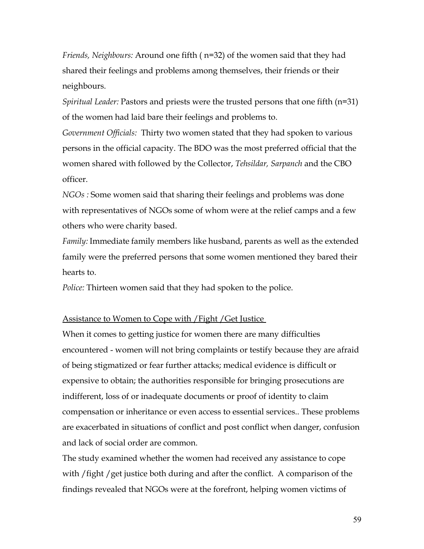*Friends, Neighbours:* Around one fifth ( n=32) of the women said that they had shared their feelings and problems among themselves, their friends or their neighbours.

*Spiritual Leader:* Pastors and priests were the trusted persons that one fifth (n=31) of the women had laid bare their feelings and problems to.

*Government Officials:* Thirty two women stated that they had spoken to various persons in the official capacity. The BDO was the most preferred official that the women shared with followed by the Collector, *Tehsildar, Sarpanch* and the CBO officer.

*NGOs :* Some women said that sharing their feelings and problems was done with representatives of NGOs some of whom were at the relief camps and a few others who were charity based.

*Family:* Immediate family members like husband, parents as well as the extended family were the preferred persons that some women mentioned they bared their hearts to.

*Police:* Thirteen women said that they had spoken to the police.

#### Assistance to Women to Cope with / Fight / Get Justice

When it comes to getting justice for women there are many difficulties encountered - women will not bring complaints or testify because they are afraid of being stigmatized or fear further attacks; medical evidence is difficult or expensive to obtain; the authorities responsible for bringing prosecutions are indifferent, loss of or inadequate documents or proof of identity to claim compensation or inheritance or even access to essential services.. These problems are exacerbated in situations of conflict and post conflict when danger, confusion and lack of social order are common.

The study examined whether the women had received any assistance to cope with / fight / get justice both during and after the conflict. A comparison of the findings revealed that NGOs were at the forefront, helping women victims of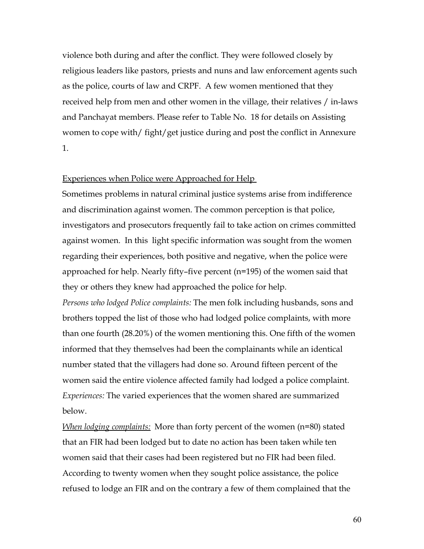violence both during and after the conflict. They were followed closely by religious leaders like pastors, priests and nuns and law enforcement agents such as the police, courts of law and CRPF. A few women mentioned that they received help from men and other women in the village, their relatives / in-laws and Panchayat members. Please refer to Table No. 18 for details on Assisting women to cope with/ fight/get justice during and post the conflict in Annexure 1.

#### Experiences when Police were Approached for Help

Sometimes problems in natural criminal justice systems arise from indifference and discrimination against women. The common perception is that police, investigators and prosecutors frequently fail to take action on crimes committed against women. In this light specific information was sought from the women regarding their experiences, both positive and negative, when the police were approached for help. Nearly fifty–five percent (n=195) of the women said that they or others they knew had approached the police for help.

*Persons who lodged Police complaints:* The men folk including husbands, sons and brothers topped the list of those who had lodged police complaints, with more than one fourth (28.20%) of the women mentioning this. One fifth of the women informed that they themselves had been the complainants while an identical number stated that the villagers had done so. Around fifteen percent of the women said the entire violence affected family had lodged a police complaint. *Experiences:* The varied experiences that the women shared are summarized below.

*When lodging complaints:* More than forty percent of the women (n=80) stated that an FIR had been lodged but to date no action has been taken while ten women said that their cases had been registered but no FIR had been filed. According to twenty women when they sought police assistance, the police refused to lodge an FIR and on the contrary a few of them complained that the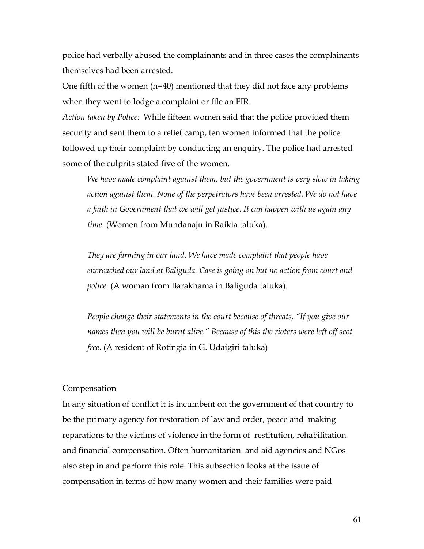police had verbally abused the complainants and in three cases the complainants themselves had been arrested.

One fifth of the women  $(n=40)$  mentioned that they did not face any problems when they went to lodge a complaint or file an FIR.

*Action taken by Police:* While fifteen women said that the police provided them security and sent them to a relief camp, ten women informed that the police followed up their complaint by conducting an enquiry. The police had arrested some of the culprits stated five of the women.

*We have made complaint against them, but the government is very slow in taking action against them. None of the perpetrators have been arrested. We do not have a faith in Government that we will get justice. It can happen with us again any time.* (Women from Mundanaju in Raikia taluka).

*They are farming in our land. We have made complaint that people have encroached our land at Baliguda. Case is going on but no action from court and police.* (A woman from Barakhama in Baliguda taluka).

*People change their statements in the court because of threats, "If you give our names then you will be burnt alive." Because of this the rioters were left off scot free.* (A resident of Rotingia in G. Udaigiri taluka)

#### **Compensation**

In any situation of conflict it is incumbent on the government of that country to be the primary agency for restoration of law and order, peace and making reparations to the victims of violence in the form of restitution, rehabilitation and financial compensation. Often humanitarian and aid agencies and NGos also step in and perform this role. This subsection looks at the issue of compensation in terms of how many women and their families were paid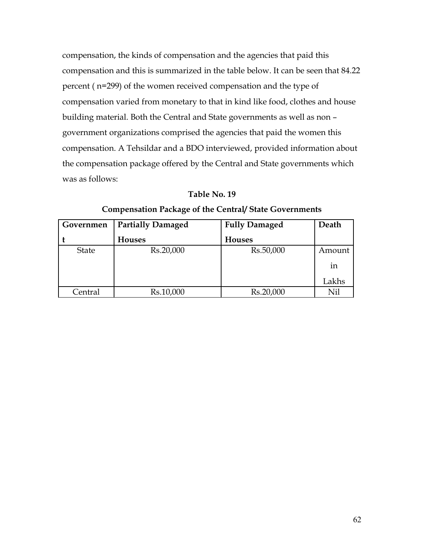compensation, the kinds of compensation and the agencies that paid this compensation and this is summarized in the table below. It can be seen that 84.22 percent ( n=299) of the women received compensation and the type of compensation varied from monetary to that in kind like food, clothes and house building material. Both the Central and State governments as well as non – government organizations comprised the agencies that paid the women this compensation. A Tehsildar and a BDO interviewed, provided information about the compensation package offered by the Central and State governments which was as follows:

# **Table No. 19**

| Governmen    | <b>Partially Damaged</b> | <b>Fully Damaged</b> | Death  |
|--------------|--------------------------|----------------------|--------|
|              | <b>Houses</b>            | <b>Houses</b>        |        |
| <b>State</b> | Rs.20,000                | Rs.50,000            | Amount |
|              |                          |                      | 1n     |
|              |                          |                      | Lakhs  |
| Central      | Rs.10,000                | Rs.20,000            | Nil    |

#### **Compensation Package of the Central/ State Governments**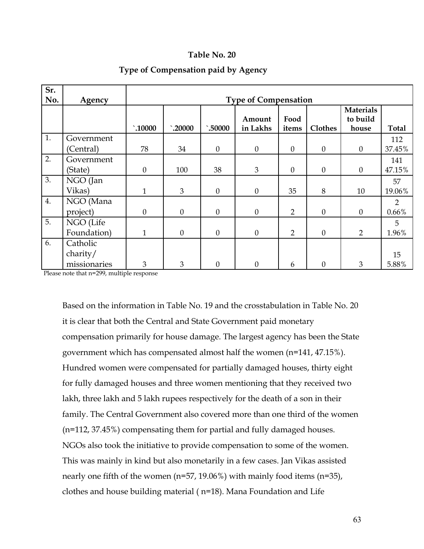#### **Table No. 20**

| Sr.<br>No. | Agency                   | <b>Type of Compensation</b> |                  |              |                    |                |          |                                       |                         |
|------------|--------------------------|-----------------------------|------------------|--------------|--------------------|----------------|----------|---------------------------------------|-------------------------|
|            |                          | $\hat{.}10000$              | $\hat{ }$ .20000 | `.50000      | Amount<br>in Lakhs | Food<br>items  | Clothes  | <b>Materials</b><br>to build<br>house | Total                   |
| 1.         | Government<br>(Central)  | 78                          | 34               | $\theta$     | $\mathbf{0}$       | $\theta$       | $\theta$ | $\boldsymbol{0}$                      | 112<br>37.45%           |
| 2.         | Government<br>(State)    | $\overline{0}$              | 100              | 38           | 3                  | $\theta$       | $\theta$ | $\theta$                              | 141<br>47.15%           |
| 3.         | NGO (Jan<br>Vikas)       | $\mathbf{1}$                | 3                | $\theta$     | $\theta$           | 35             | 8        | 10                                    | 57<br>19.06%            |
| 4.         | NGO (Mana<br>project)    | $\overline{0}$              | $\boldsymbol{0}$ | $\mathbf{0}$ | $\overline{0}$     | $\overline{2}$ | $\theta$ | $\boldsymbol{0}$                      | $\overline{2}$<br>0.66% |
| 5.         | NGO (Life<br>Foundation) | $\mathbf{1}$                | $\theta$         | $\theta$     | $\theta$           | $\overline{2}$ | $\theta$ | $\overline{2}$                        | 5<br>1.96%              |
| 6.         | Catholic<br>charity/     |                             |                  |              |                    |                |          |                                       | 15                      |
|            | missionaries             | 3                           | 3                | $\theta$     | $\Omega$           | 6              | $\Omega$ | 3                                     | 5.88%                   |

#### **Type of Compensation paid by Agency**

Please note that n=299, multiple response

Based on the information in Table No. 19 and the crosstabulation in Table No. 20 it is clear that both the Central and State Government paid monetary compensation primarily for house damage. The largest agency has been the State government which has compensated almost half the women (n=141, 47.15%). Hundred women were compensated for partially damaged houses, thirty eight for fully damaged houses and three women mentioning that they received two lakh, three lakh and 5 lakh rupees respectively for the death of a son in their family. The Central Government also covered more than one third of the women (n=112, 37.45%) compensating them for partial and fully damaged houses. NGOs also took the initiative to provide compensation to some of the women. This was mainly in kind but also monetarily in a few cases. Jan Vikas assisted nearly one fifth of the women (n=57, 19.06%) with mainly food items (n=35), clothes and house building material ( n=18). Mana Foundation and Life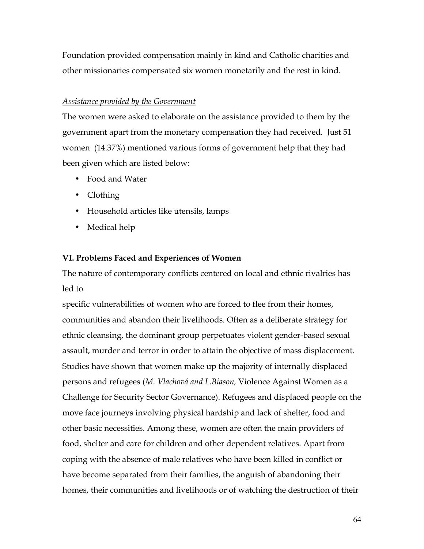Foundation provided compensation mainly in kind and Catholic charities and other missionaries compensated six women monetarily and the rest in kind.

# *Assistance provided by the Government*

The women were asked to elaborate on the assistance provided to them by the government apart from the monetary compensation they had received. Just 51 women (14.37%) mentioned various forms of government help that they had been given which are listed below:

- Food and Water
- Clothing
- Household articles like utensils, lamps
- Medical help

# **VI. Problems Faced and Experiences of Women**

The nature of contemporary conflicts centered on local and ethnic rivalries has led to

specific vulnerabilities of women who are forced to flee from their homes, communities and abandon their livelihoods. Often as a deliberate strategy for ethnic cleansing, the dominant group perpetuates violent gender-based sexual assault, murder and terror in order to attain the objective of mass displacement. Studies have shown that women make up the majority of internally displaced persons and refugees (*M. Vlachová and L.Biason,* Violence Against Women as a Challenge for Security Sector Governance). Refugees and displaced people on the move face journeys involving physical hardship and lack of shelter, food and other basic necessities. Among these, women are often the main providers of food, shelter and care for children and other dependent relatives. Apart from coping with the absence of male relatives who have been killed in conflict or have become separated from their families, the anguish of abandoning their homes, their communities and livelihoods or of watching the destruction of their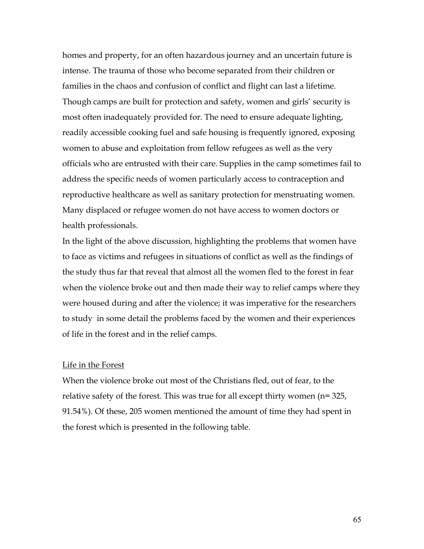homes and property, for an often hazardous journey and an uncertain future is intense. The trauma of those who become separated from their children or families in the chaos and confusion of conflict and flight can last a lifetime. Though camps are built for protection and safety, women and girls' security is most often inadequately provided for. The need to ensure adequate lighting, readily accessible cooking fuel and safe housing is frequently ignored, exposing women to abuse and exploitation from fellow refugees as well as the very officials who are entrusted with their care. Supplies in the camp sometimes fail to address the specific needs of women particularly access to contraception and reproductive healthcare as well as sanitary protection for menstruating women. Many displaced or refugee women do not have access to women doctors or health professionals.

In the light of the above discussion, highlighting the problems that women have to face as victims and refugees in situations of conflict as well as the findings of the study thus far that reveal that almost all the women fled to the forest in fear when the violence broke out and then made their way to relief camps where they were housed during and after the violence; it was imperative for the researchers to study in some detail the problems faced by the women and their experiences of life in the forest and in the relief camps.

#### Life in the Forest

When the violence broke out most of the Christians fled, out of fear, to the relative safety of the forest. This was true for all except thirty women (n= 325, 91.54%). Of these, 205 women mentioned the amount of time they had spent in the forest which is presented in the following table.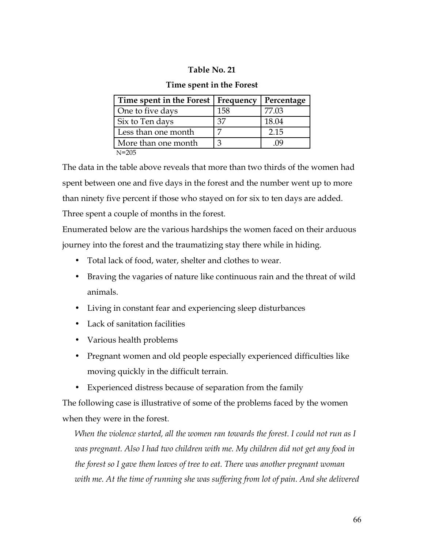# **Table No. 21**

## **Time spent in the Forest**

| Time spent in the Forest   Frequency |     | Percentage |
|--------------------------------------|-----|------------|
| One to five days                     | 158 | 77.03      |
| Six to Ten days                      | 37  | 18.04      |
| Less than one month                  |     | 2.15       |
| More than one month                  |     |            |
| $N = 205$                            |     |            |

The data in the table above reveals that more than two thirds of the women had spent between one and five days in the forest and the number went up to more than ninety five percent if those who stayed on for six to ten days are added. Three spent a couple of months in the forest.

Enumerated below are the various hardships the women faced on their arduous journey into the forest and the traumatizing stay there while in hiding.

- Total lack of food, water, shelter and clothes to wear.
- Braving the vagaries of nature like continuous rain and the threat of wild animals.
- Living in constant fear and experiencing sleep disturbances
- Lack of sanitation facilities
- Various health problems
- Pregnant women and old people especially experienced difficulties like moving quickly in the difficult terrain.
- Experienced distress because of separation from the family

The following case is illustrative of some of the problems faced by the women when they were in the forest.

*When the violence started, all the women ran towards the forest. I could not run as I was pregnant. Also I had two children with me. My children did not get any food in the forest so I gave them leaves of tree to eat. There was another pregnant woman with me. At the time of running she was suffering from lot of pain. And she delivered*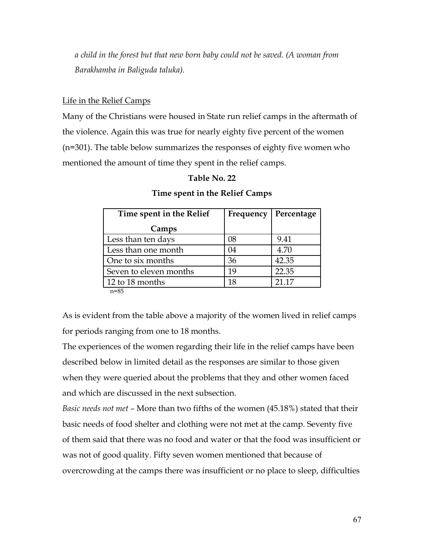*a child in the forest but that new born baby could not be saved. (A woman from Barakhamba in Baliguda taluka).*

# Life in the Relief Camps

Many of the Christians were housed in State run relief camps in the aftermath of the violence. Again this was true for nearly eighty five percent of the women (n=301). The table below summarizes the responses of eighty five women who mentioned the amount of time they spent in the relief camps.

# **Table No. 22**

| Time spent in the Relief | Frequency | Percentage |
|--------------------------|-----------|------------|
| Camps                    |           |            |
| Less than ten days       | 08        | 9.41       |
| Less than one month      | 04        | 4.70       |
| One to six months        | 36        | 42.35      |
| Seven to eleven months   | 19        | 22.35      |
| 12 to 18 months          | 18        | 21.17      |

# **Time spent in the Relief Camps**

n=85

As is evident from the table above a majority of the women lived in relief camps for periods ranging from one to 18 months.

The experiences of the women regarding their life in the relief camps have been described below in limited detail as the responses are similar to those given when they were queried about the problems that they and other women faced and which are discussed in the next subsection.

*Basic needs not met –* More than two fifths of the women (45.18%) stated that their basic needs of food shelter and clothing were not met at the camp. Seventy five of them said that there was no food and water or that the food was insufficient or was not of good quality. Fifty seven women mentioned that because of overcrowding at the camps there was insufficient or no place to sleep, difficulties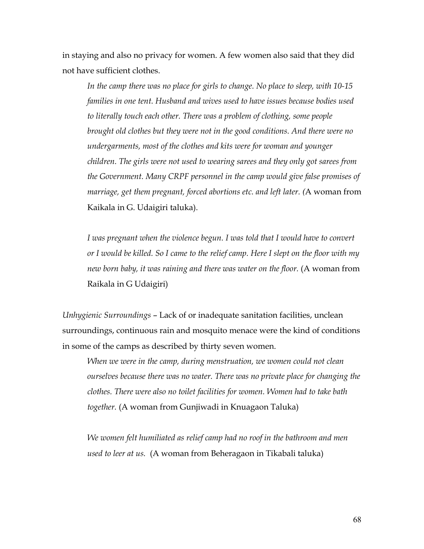in staying and also no privacy for women. A few women also said that they did not have sufficient clothes.

*In the camp there was no place for girls to change. No place to sleep, with 10-15 families in one tent. Husband and wives used to have issues because bodies used to literally touch each other. There was a problem of clothing, some people brought old clothes but they were not in the good conditions. And there were no undergarments, most of the clothes and kits were for woman and younger children. The girls were not used to wearing sarees and they only got sarees from the Government. Many CRPF personnel in the camp would give false promises of marriage, get them pregnant, forced abortions etc. and left later. (*A woman from Kaikala in G. Udaigiri taluka).

*I was pregnant when the violence begun. I was told that I would have to convert or I would be killed. So I came to the relief camp. Here I slept on the floor with my new born baby, it was raining and there was water on the floor.* (A woman from Raikala in G Udaigiri)

*Unhygienic Surroundings* – Lack of or inadequate sanitation facilities, unclean surroundings, continuous rain and mosquito menace were the kind of conditions in some of the camps as described by thirty seven women.

*When we were in the camp, during menstruation, we women could not clean ourselves because there was no water. There was no private place for changing the clothes. There were also no toilet facilities for women. Women had to take bath together.* (A woman from Gunjiwadi in Knuagaon Taluka)

*We women felt humiliated as relief camp had no roof in the bathroom and men used to leer at us.* (A woman from Beheragaon in Tikabali taluka)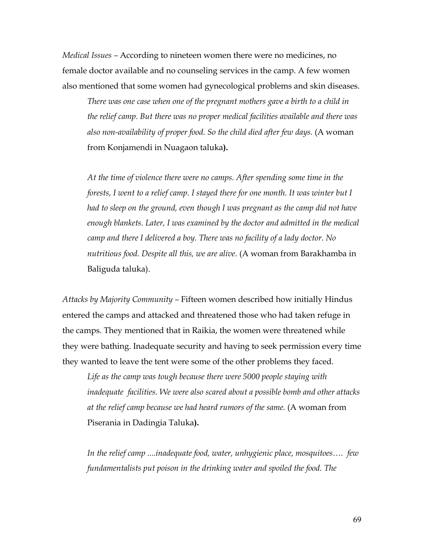*Medical Issues –* According to nineteen women there were no medicines, no female doctor available and no counseling services in the camp. A few women also mentioned that some women had gynecological problems and skin diseases.

*There was one case when one of the pregnant mothers gave a birth to a child in the relief camp. But there was no proper medical facilities available and there was also non-availability of proper food. So the child died after few days.* (A woman from Konjamendi in Nuagaon taluka**).**

*At the time of violence there were no camps. After spending some time in the forests, I went to a relief camp. I stayed there for one month. It was winter but I had to sleep on the ground, even though I was pregnant as the camp did not have enough blankets. Later, I was examined by the doctor and admitted in the medical camp and there I delivered a boy. There was no facility of a lady doctor. No nutritious food. Despite all this, we are alive.* (A woman from Barakhamba in Baliguda taluka).

*Attacks by Majority Community –* Fifteen women described how initially Hindus entered the camps and attacked and threatened those who had taken refuge in the camps. They mentioned that in Raikia, the women were threatened while they were bathing. Inadequate security and having to seek permission every time they wanted to leave the tent were some of the other problems they faced.

*Life as the camp was tough because there were 5000 people staying with inadequate facilities. We were also scared about a possible bomb and other attacks at the relief camp because we had heard rumors of the same.* (A woman from Piserania in Dadingia Taluka**).** 

*In the relief camp ....inadequate food, water, unhygienic place, mosquitoes…. few fundamentalists put poison in the drinking water and spoiled the food. The*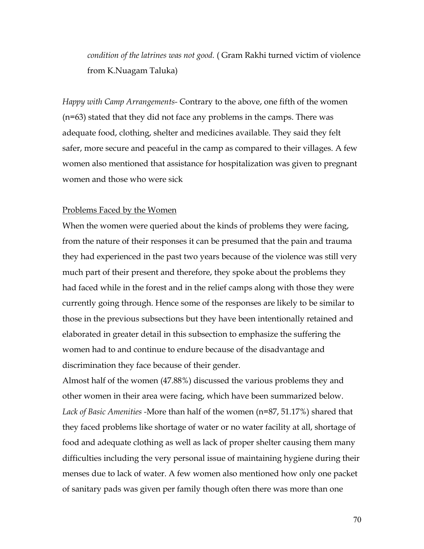*condition of the latrines was not good.* ( Gram Rakhi turned victim of violence from K.Nuagam Taluka)

*Happy with Camp Arrangements-* Contrary to the above, one fifth of the women (n=63) stated that they did not face any problems in the camps. There was adequate food, clothing, shelter and medicines available. They said they felt safer, more secure and peaceful in the camp as compared to their villages. A few women also mentioned that assistance for hospitalization was given to pregnant women and those who were sick

#### Problems Faced by the Women

When the women were queried about the kinds of problems they were facing, from the nature of their responses it can be presumed that the pain and trauma they had experienced in the past two years because of the violence was still very much part of their present and therefore, they spoke about the problems they had faced while in the forest and in the relief camps along with those they were currently going through. Hence some of the responses are likely to be similar to those in the previous subsections but they have been intentionally retained and elaborated in greater detail in this subsection to emphasize the suffering the women had to and continue to endure because of the disadvantage and discrimination they face because of their gender.

Almost half of the women (47.88%) discussed the various problems they and other women in their area were facing, which have been summarized below. *Lack of Basic Amenities -*More than half of the women (n=87, 51.17%) shared that they faced problems like shortage of water or no water facility at all, shortage of food and adequate clothing as well as lack of proper shelter causing them many difficulties including the very personal issue of maintaining hygiene during their menses due to lack of water. A few women also mentioned how only one packet of sanitary pads was given per family though often there was more than one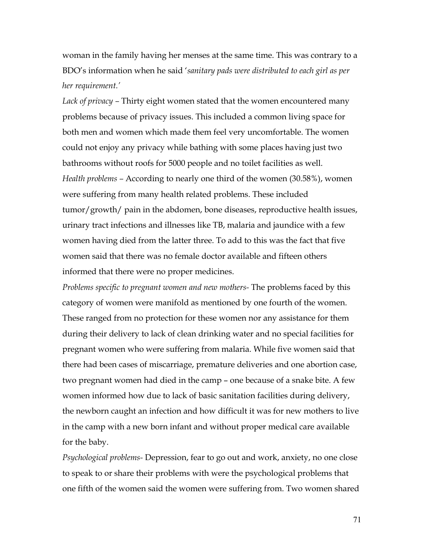woman in the family having her menses at the same time. This was contrary to a BDO's information when he said '*sanitary pads were distributed to each girl as per her requirement.'*

*Lack of privacy –* Thirty eight women stated that the women encountered many problems because of privacy issues. This included a common living space for both men and women which made them feel very uncomfortable. The women could not enjoy any privacy while bathing with some places having just two bathrooms without roofs for 5000 people and no toilet facilities as well. *Health problems –* According to nearly one third of the women (30.58%), women were suffering from many health related problems. These included tumor/growth/ pain in the abdomen, bone diseases, reproductive health issues, urinary tract infections and illnesses like TB, malaria and jaundice with a few women having died from the latter three. To add to this was the fact that five women said that there was no female doctor available and fifteen others informed that there were no proper medicines.

*Problems specific to pregnant women and new mothers-* The problems faced by this category of women were manifold as mentioned by one fourth of the women. These ranged from no protection for these women nor any assistance for them during their delivery to lack of clean drinking water and no special facilities for pregnant women who were suffering from malaria. While five women said that there had been cases of miscarriage, premature deliveries and one abortion case, two pregnant women had died in the camp – one because of a snake bite. A few women informed how due to lack of basic sanitation facilities during delivery, the newborn caught an infection and how difficult it was for new mothers to live in the camp with a new born infant and without proper medical care available for the baby.

*Psychological problems-* Depression, fear to go out and work, anxiety, no one close to speak to or share their problems with were the psychological problems that one fifth of the women said the women were suffering from. Two women shared

71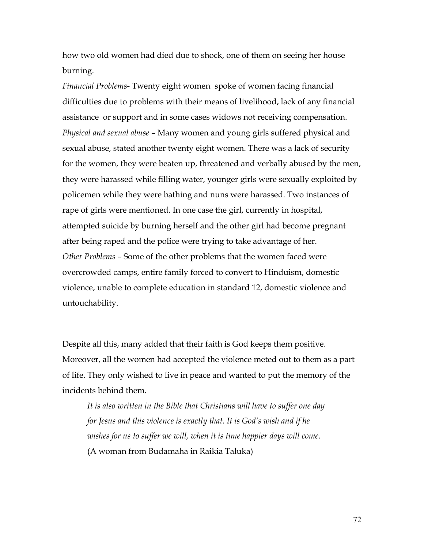how two old women had died due to shock, one of them on seeing her house burning.

*Financial Problems-* Twenty eight women spoke of women facing financial difficulties due to problems with their means of livelihood, lack of any financial assistance or support and in some cases widows not receiving compensation. *Physical and sexual abuse* – Many women and young girls suffered physical and sexual abuse, stated another twenty eight women. There was a lack of security for the women, they were beaten up, threatened and verbally abused by the men, they were harassed while filling water, younger girls were sexually exploited by policemen while they were bathing and nuns were harassed. Two instances of rape of girls were mentioned. In one case the girl, currently in hospital, attempted suicide by burning herself and the other girl had become pregnant after being raped and the police were trying to take advantage of her. *Other Problems –* Some of the other problems that the women faced were overcrowded camps, entire family forced to convert to Hinduism, domestic violence, unable to complete education in standard 12, domestic violence and untouchability.

Despite all this, many added that their faith is God keeps them positive. Moreover, all the women had accepted the violence meted out to them as a part of life. They only wished to live in peace and wanted to put the memory of the incidents behind them.

*It is also written in the Bible that Christians will have to suffer one day for Jesus and this violence is exactly that. It is God's wish and if he wishes for us to suffer we will, when it is time happier days will come.* (A woman from Budamaha in Raikia Taluka)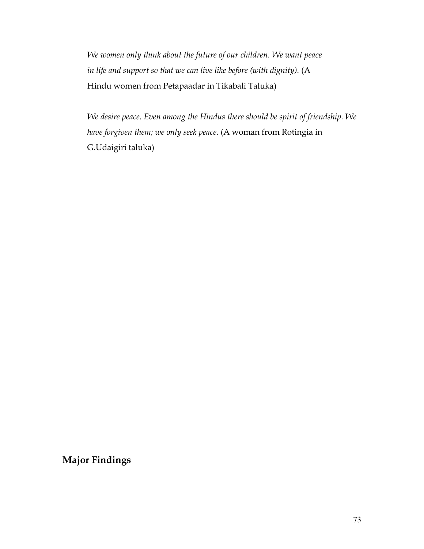*We women only think about the future of our children. We want peace* in life and support so that we can live like before (with dignity). (A Hindu women from Petapaadar in Tikabali Taluka)

*We desire peace. Even among the Hindus there should be spirit of friendship. We have forgiven them; we only seek peace.* (A woman from Rotingia in G.Udaigiri taluka)

**Major Findings**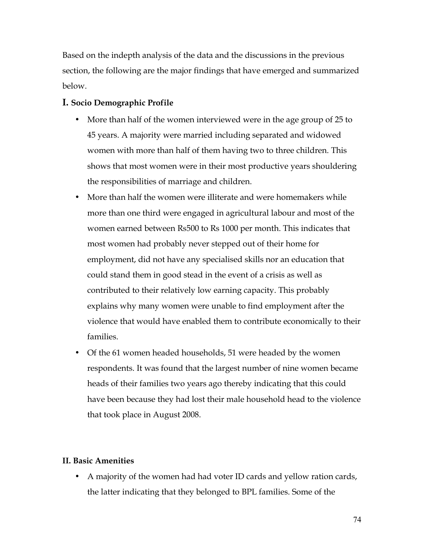Based on the indepth analysis of the data and the discussions in the previous section, the following are the major findings that have emerged and summarized below.

### **I. Socio Demographic Profile**

- More than half of the women interviewed were in the age group of 25 to 45 years. A majority were married including separated and widowed women with more than half of them having two to three children. This shows that most women were in their most productive years shouldering the responsibilities of marriage and children.
- More than half the women were illiterate and were homemakers while more than one third were engaged in agricultural labour and most of the women earned between Rs500 to Rs 1000 per month. This indicates that most women had probably never stepped out of their home for employment, did not have any specialised skills nor an education that could stand them in good stead in the event of a crisis as well as contributed to their relatively low earning capacity. This probably explains why many women were unable to find employment after the violence that would have enabled them to contribute economically to their families.
- Of the 61 women headed households, 51 were headed by the women respondents. It was found that the largest number of nine women became heads of their families two years ago thereby indicating that this could have been because they had lost their male household head to the violence that took place in August 2008.

### **II. Basic Amenities**

• A majority of the women had had voter ID cards and yellow ration cards, the latter indicating that they belonged to BPL families. Some of the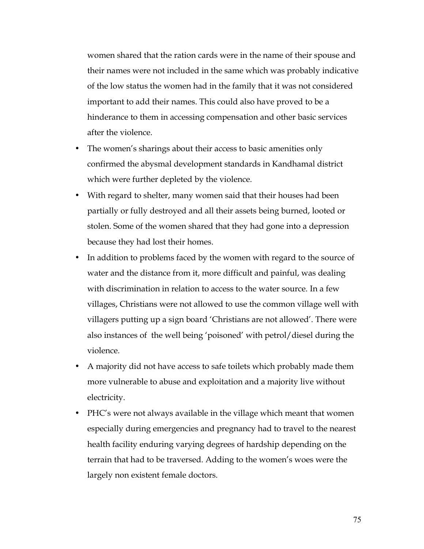women shared that the ration cards were in the name of their spouse and their names were not included in the same which was probably indicative of the low status the women had in the family that it was not considered important to add their names. This could also have proved to be a hinderance to them in accessing compensation and other basic services after the violence.

- The women's sharings about their access to basic amenities only confirmed the abysmal development standards in Kandhamal district which were further depleted by the violence.
- With regard to shelter, many women said that their houses had been partially or fully destroyed and all their assets being burned, looted or stolen. Some of the women shared that they had gone into a depression because they had lost their homes.
- In addition to problems faced by the women with regard to the source of water and the distance from it, more difficult and painful, was dealing with discrimination in relation to access to the water source. In a few villages, Christians were not allowed to use the common village well with villagers putting up a sign board 'Christians are not allowed'. There were also instances of the well being 'poisoned' with petrol/diesel during the violence.
- A majority did not have access to safe toilets which probably made them more vulnerable to abuse and exploitation and a majority live without electricity.
- PHC's were not always available in the village which meant that women especially during emergencies and pregnancy had to travel to the nearest health facility enduring varying degrees of hardship depending on the terrain that had to be traversed. Adding to the women's woes were the largely non existent female doctors.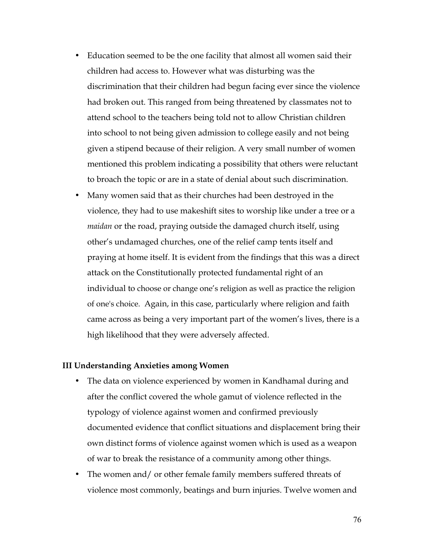- Education seemed to be the one facility that almost all women said their children had access to. However what was disturbing was the discrimination that their children had begun facing ever since the violence had broken out. This ranged from being threatened by classmates not to attend school to the teachers being told not to allow Christian children into school to not being given admission to college easily and not being given a stipend because of their religion. A very small number of women mentioned this problem indicating a possibility that others were reluctant to broach the topic or are in a state of denial about such discrimination.
- Many women said that as their churches had been destroyed in the violence, they had to use makeshift sites to worship like under a tree or a *maidan* or the road, praying outside the damaged church itself, using other's undamaged churches, one of the relief camp tents itself and praying at home itself. It is evident from the findings that this was a direct attack on the Constitutionally protected fundamental right of an individual to choose or change one's religion as well as practice the religion of one's choice. Again, in this case, particularly where religion and faith came across as being a very important part of the women's lives, there is a high likelihood that they were adversely affected.

#### **III Understanding Anxieties among Women**

- The data on violence experienced by women in Kandhamal during and after the conflict covered the whole gamut of violence reflected in the typology of violence against women and confirmed previously documented evidence that conflict situations and displacement bring their own distinct forms of violence against women which is used as a weapon of war to break the resistance of a community among other things.
- The women and/ or other female family members suffered threats of violence most commonly, beatings and burn injuries. Twelve women and

76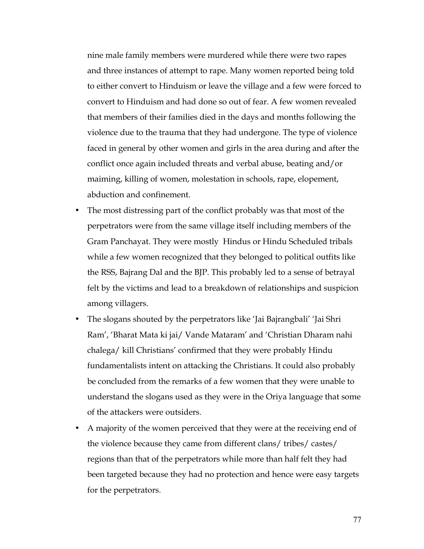nine male family members were murdered while there were two rapes and three instances of attempt to rape. Many women reported being told to either convert to Hinduism or leave the village and a few were forced to convert to Hinduism and had done so out of fear. A few women revealed that members of their families died in the days and months following the violence due to the trauma that they had undergone. The type of violence faced in general by other women and girls in the area during and after the conflict once again included threats and verbal abuse, beating and/or maiming, killing of women, molestation in schools, rape, elopement, abduction and confinement.

- The most distressing part of the conflict probably was that most of the perpetrators were from the same village itself including members of the Gram Panchayat. They were mostly Hindus or Hindu Scheduled tribals while a few women recognized that they belonged to political outfits like the RSS, Bajrang Dal and the BJP. This probably led to a sense of betrayal felt by the victims and lead to a breakdown of relationships and suspicion among villagers.
- The slogans shouted by the perpetrators like 'Jai Bajrangbali' 'Jai Shri Ram', 'Bharat Mata ki jai/ Vande Mataram' and 'Christian Dharam nahi chalega/ kill Christians' confirmed that they were probably Hindu fundamentalists intent on attacking the Christians. It could also probably be concluded from the remarks of a few women that they were unable to understand the slogans used as they were in the Oriya language that some of the attackers were outsiders.
- A majority of the women perceived that they were at the receiving end of the violence because they came from different clans/ tribes/ castes/ regions than that of the perpetrators while more than half felt they had been targeted because they had no protection and hence were easy targets for the perpetrators.

77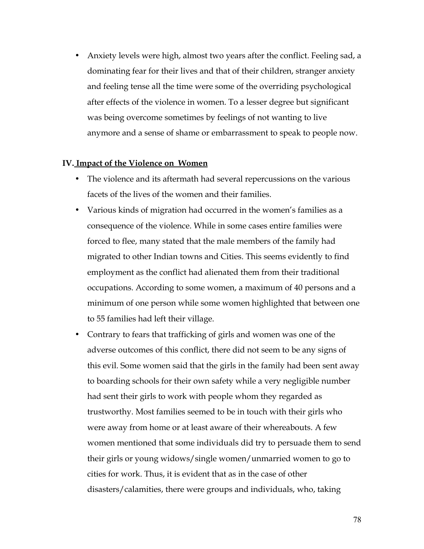• Anxiety levels were high, almost two years after the conflict. Feeling sad, a dominating fear for their lives and that of their children, stranger anxiety and feeling tense all the time were some of the overriding psychological after effects of the violence in women. To a lesser degree but significant was being overcome sometimes by feelings of not wanting to live anymore and a sense of shame or embarrassment to speak to people now.

#### **IV. Impact of the Violence on Women**

- The violence and its aftermath had several repercussions on the various facets of the lives of the women and their families.
- Various kinds of migration had occurred in the women's families as a consequence of the violence. While in some cases entire families were forced to flee, many stated that the male members of the family had migrated to other Indian towns and Cities. This seems evidently to find employment as the conflict had alienated them from their traditional occupations. According to some women, a maximum of 40 persons and a minimum of one person while some women highlighted that between one to 55 families had left their village.
- Contrary to fears that trafficking of girls and women was one of the adverse outcomes of this conflict, there did not seem to be any signs of this evil. Some women said that the girls in the family had been sent away to boarding schools for their own safety while a very negligible number had sent their girls to work with people whom they regarded as trustworthy. Most families seemed to be in touch with their girls who were away from home or at least aware of their whereabouts. A few women mentioned that some individuals did try to persuade them to send their girls or young widows/single women/unmarried women to go to cities for work. Thus, it is evident that as in the case of other disasters/calamities, there were groups and individuals, who, taking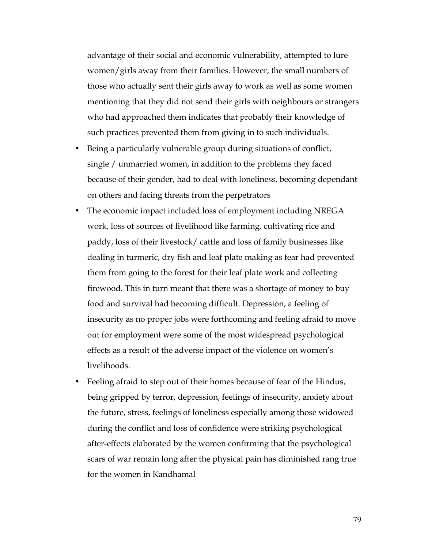advantage of their social and economic vulnerability, attempted to lure women/girls away from their families. However, the small numbers of those who actually sent their girls away to work as well as some women mentioning that they did not send their girls with neighbours or strangers who had approached them indicates that probably their knowledge of such practices prevented them from giving in to such individuals.

- Being a particularly vulnerable group during situations of conflict, single / unmarried women, in addition to the problems they faced because of their gender, had to deal with loneliness, becoming dependant on others and facing threats from the perpetrators
- The economic impact included loss of employment including NREGA work, loss of sources of livelihood like farming, cultivating rice and paddy, loss of their livestock/ cattle and loss of family businesses like dealing in turmeric, dry fish and leaf plate making as fear had prevented them from going to the forest for their leaf plate work and collecting firewood. This in turn meant that there was a shortage of money to buy food and survival had becoming difficult. Depression, a feeling of insecurity as no proper jobs were forthcoming and feeling afraid to move out for employment were some of the most widespread psychological effects as a result of the adverse impact of the violence on women's livelihoods.
- Feeling afraid to step out of their homes because of fear of the Hindus, being gripped by terror, depression, feelings of insecurity, anxiety about the future, stress, feelings of loneliness especially among those widowed during the conflict and loss of confidence were striking psychological after-effects elaborated by the women confirming that the psychological scars of war remain long after the physical pain has diminished rang true for the women in Kandhamal

79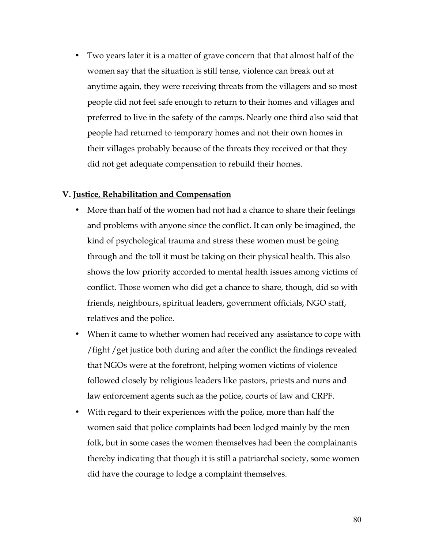• Two years later it is a matter of grave concern that that almost half of the women say that the situation is still tense, violence can break out at anytime again, they were receiving threats from the villagers and so most people did not feel safe enough to return to their homes and villages and preferred to live in the safety of the camps. Nearly one third also said that people had returned to temporary homes and not their own homes in their villages probably because of the threats they received or that they did not get adequate compensation to rebuild their homes.

#### **V. Justice, Rehabilitation and Compensation**

- More than half of the women had not had a chance to share their feelings and problems with anyone since the conflict. It can only be imagined, the kind of psychological trauma and stress these women must be going through and the toll it must be taking on their physical health. This also shows the low priority accorded to mental health issues among victims of conflict. Those women who did get a chance to share, though, did so with friends, neighbours, spiritual leaders, government officials, NGO staff, relatives and the police.
- When it came to whether women had received any assistance to cope with /fight /get justice both during and after the conflict the findings revealed that NGOs were at the forefront, helping women victims of violence followed closely by religious leaders like pastors, priests and nuns and law enforcement agents such as the police, courts of law and CRPF.
- With regard to their experiences with the police, more than half the women said that police complaints had been lodged mainly by the men folk, but in some cases the women themselves had been the complainants thereby indicating that though it is still a patriarchal society, some women did have the courage to lodge a complaint themselves.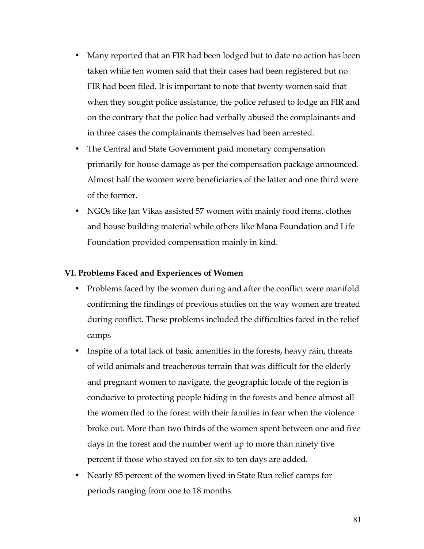- Many reported that an FIR had been lodged but to date no action has been taken while ten women said that their cases had been registered but no FIR had been filed. It is important to note that twenty women said that when they sought police assistance, the police refused to lodge an FIR and on the contrary that the police had verbally abused the complainants and in three cases the complainants themselves had been arrested.
- The Central and State Government paid monetary compensation primarily for house damage as per the compensation package announced. Almost half the women were beneficiaries of the latter and one third were of the former.
- NGOs like Jan Vikas assisted 57 women with mainly food items, clothes and house building material while others like Mana Foundation and Life Foundation provided compensation mainly in kind.

#### **VI. Problems Faced and Experiences of Women**

- Problems faced by the women during and after the conflict were manifold confirming the findings of previous studies on the way women are treated during conflict. These problems included the difficulties faced in the relief camps
- Inspite of a total lack of basic amenities in the forests, heavy rain, threats of wild animals and treacherous terrain that was difficult for the elderly and pregnant women to navigate, the geographic locale of the region is conducive to protecting people hiding in the forests and hence almost all the women fled to the forest with their families in fear when the violence broke out. More than two thirds of the women spent between one and five days in the forest and the number went up to more than ninety five percent if those who stayed on for six to ten days are added.
- Nearly 85 percent of the women lived in State Run relief camps for periods ranging from one to 18 months.

81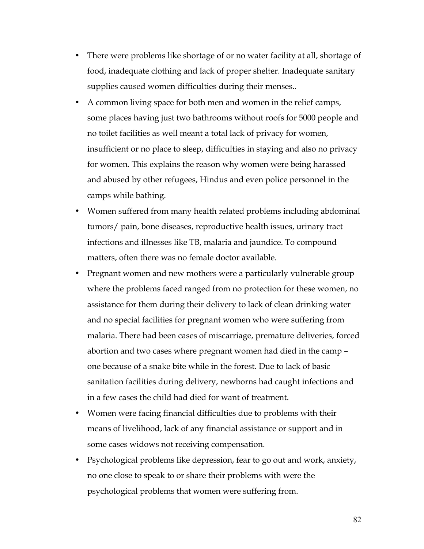- There were problems like shortage of or no water facility at all, shortage of food, inadequate clothing and lack of proper shelter. Inadequate sanitary supplies caused women difficulties during their menses..
- A common living space for both men and women in the relief camps, some places having just two bathrooms without roofs for 5000 people and no toilet facilities as well meant a total lack of privacy for women, insufficient or no place to sleep, difficulties in staying and also no privacy for women. This explains the reason why women were being harassed and abused by other refugees, Hindus and even police personnel in the camps while bathing.
- Women suffered from many health related problems including abdominal tumors/ pain, bone diseases, reproductive health issues, urinary tract infections and illnesses like TB, malaria and jaundice. To compound matters, often there was no female doctor available.
- Pregnant women and new mothers were a particularly vulnerable group where the problems faced ranged from no protection for these women, no assistance for them during their delivery to lack of clean drinking water and no special facilities for pregnant women who were suffering from malaria. There had been cases of miscarriage, premature deliveries, forced abortion and two cases where pregnant women had died in the camp – one because of a snake bite while in the forest. Due to lack of basic sanitation facilities during delivery, newborns had caught infections and in a few cases the child had died for want of treatment.
- Women were facing financial difficulties due to problems with their means of livelihood, lack of any financial assistance or support and in some cases widows not receiving compensation.
- Psychological problems like depression, fear to go out and work, anxiety, no one close to speak to or share their problems with were the psychological problems that women were suffering from.

82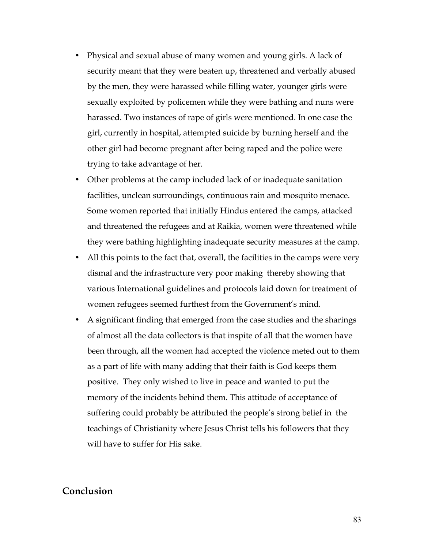- Physical and sexual abuse of many women and young girls. A lack of security meant that they were beaten up, threatened and verbally abused by the men, they were harassed while filling water, younger girls were sexually exploited by policemen while they were bathing and nuns were harassed. Two instances of rape of girls were mentioned. In one case the girl, currently in hospital, attempted suicide by burning herself and the other girl had become pregnant after being raped and the police were trying to take advantage of her.
- Other problems at the camp included lack of or inadequate sanitation facilities, unclean surroundings, continuous rain and mosquito menace. Some women reported that initially Hindus entered the camps, attacked and threatened the refugees and at Raikia, women were threatened while they were bathing highlighting inadequate security measures at the camp.
- All this points to the fact that, overall, the facilities in the camps were very dismal and the infrastructure very poor making thereby showing that various International guidelines and protocols laid down for treatment of women refugees seemed furthest from the Government's mind.
- A significant finding that emerged from the case studies and the sharings of almost all the data collectors is that inspite of all that the women have been through, all the women had accepted the violence meted out to them as a part of life with many adding that their faith is God keeps them positive. They only wished to live in peace and wanted to put the memory of the incidents behind them. This attitude of acceptance of suffering could probably be attributed the people's strong belief in the teachings of Christianity where Jesus Christ tells his followers that they will have to suffer for His sake.

### **Conclusion**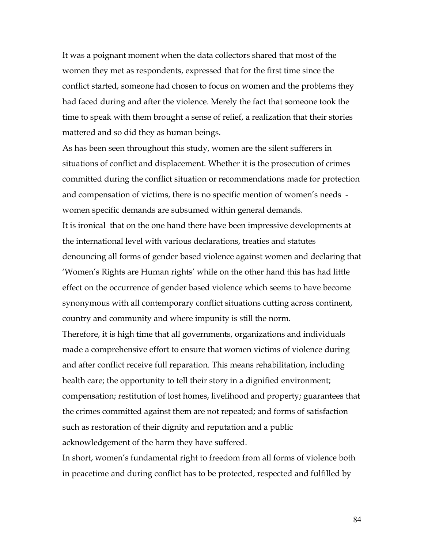It was a poignant moment when the data collectors shared that most of the women they met as respondents, expressed that for the first time since the conflict started, someone had chosen to focus on women and the problems they had faced during and after the violence. Merely the fact that someone took the time to speak with them brought a sense of relief, a realization that their stories mattered and so did they as human beings.

As has been seen throughout this study, women are the silent sufferers in situations of conflict and displacement. Whether it is the prosecution of crimes committed during the conflict situation or recommendations made for protection and compensation of victims, there is no specific mention of women's needs women specific demands are subsumed within general demands.

It is ironical that on the one hand there have been impressive developments at the international level with various declarations, treaties and statutes denouncing all forms of gender based violence against women and declaring that 'Women's Rights are Human rights' while on the other hand this has had little effect on the occurrence of gender based violence which seems to have become synonymous with all contemporary conflict situations cutting across continent, country and community and where impunity is still the norm.

Therefore, it is high time that all governments, organizations and individuals made a comprehensive effort to ensure that women victims of violence during and after conflict receive full reparation. This means rehabilitation, including health care; the opportunity to tell their story in a dignified environment; compensation; restitution of lost homes, livelihood and property; guarantees that the crimes committed against them are not repeated; and forms of satisfaction such as restoration of their dignity and reputation and a public acknowledgement of the harm they have suffered.

In short, women's fundamental right to freedom from all forms of violence both in peacetime and during conflict has to be protected, respected and fulfilled by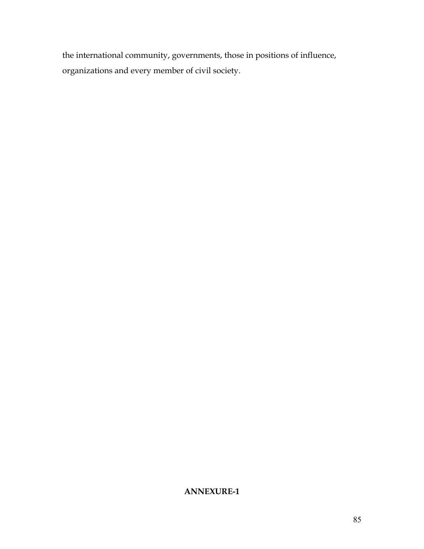the international community, governments, those in positions of influence, organizations and every member of civil society.

# **ANNEXURE-1**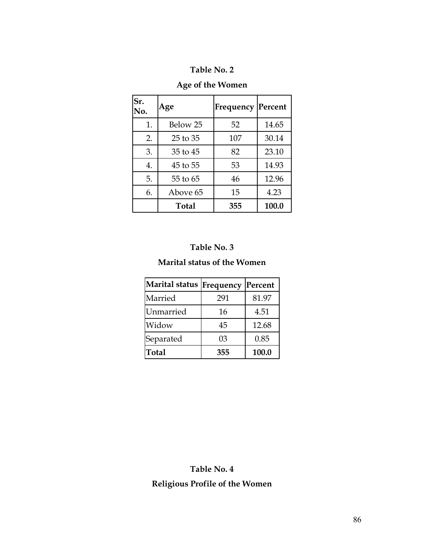# **Table No. 2**

# **Age of the Women**

| Sr.<br>No. | Age          | Frequency  Percent |       |
|------------|--------------|--------------------|-------|
| 1.         | Below 25     | 52                 | 14.65 |
| 2.         | 25 to 35     | 107                | 30.14 |
| 3.         | 35 to 45     | 82                 | 23.10 |
| 4.         | 45 to 55     | 53                 | 14.93 |
| 5.         | 55 to 65     | 46                 | 12.96 |
| 6.         | Above 65     | 15                 | 4.23  |
|            | <b>Total</b> | 355                | 100.0 |

# **Table No. 3**

## **Marital status of the Women**

| Marital status   Frequency |     | Percent |
|----------------------------|-----|---------|
| Married                    | 291 | 81.97   |
| <b>Unmarried</b>           | 16  | 4.51    |
| Widow                      | 45  | 12.68   |
| Separated                  | 03  | 0.85    |
| Total                      | 355 | 100.0   |

# **Table No. 4 Religious Profile of the Women**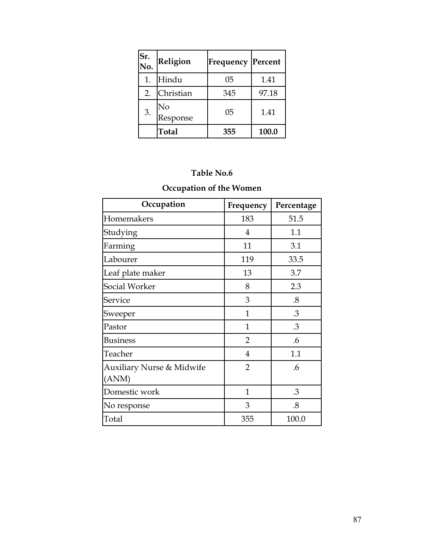| Sr.<br>No. | <b>Religion</b> | <b>Frequency Percent</b> |       |
|------------|-----------------|--------------------------|-------|
| 1.         | Hindu           | 05                       | 1.41  |
| 2.         | Christian       | 345                      | 97.18 |
| 3.         | No<br>Response  | 05                       | 1.41  |
|            | Total           | 355                      | 100.0 |

## **Table No.6**

# **Occupation of the Women**

| Occupation                                    | Frequency      | Percentage        |
|-----------------------------------------------|----------------|-------------------|
| Homemakers                                    | 183            | 51.5              |
| Studying                                      | 4              | 1.1               |
| Farming                                       | 11             | 3.1               |
| Labourer                                      | 119            | 33.5              |
| Leaf plate maker                              | 13             | 3.7               |
| Social Worker                                 | 8              | 2.3               |
| Service                                       | 3              | $\boldsymbol{.8}$ |
| Sweeper                                       | $\mathbf{1}$   | .3                |
| Pastor                                        | $\mathbf{1}$   | .3                |
| <b>Business</b>                               | $\overline{2}$ | .6                |
| Teacher                                       | $\overline{4}$ | 1.1               |
| <b>Auxiliary Nurse &amp; Midwife</b><br>(ANM) | $\overline{2}$ | .6                |
| Domestic work                                 | $\mathbf{1}$   | .3                |
| No response                                   | 3              | .8                |
| Total                                         | 355            | 100.0             |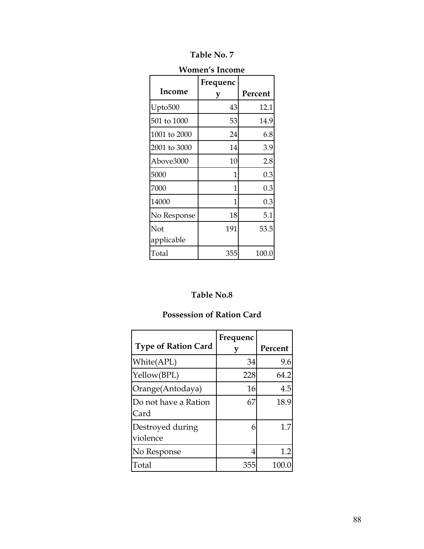| <b>Table No. 7</b> |
|--------------------|
|--------------------|

| ллинен э писание  |               |         |  |  |
|-------------------|---------------|---------|--|--|
| Income            | Frequenc<br>у | Percent |  |  |
| Upto500           | 43            | 12.1    |  |  |
| 501 to 1000       | 53            | 14.9    |  |  |
| 1001 to 2000      | 24            | 6.8     |  |  |
| 2001 to 3000      | 14            | 3.9     |  |  |
| Above3000         | 10            | 2.8     |  |  |
| 5000              | 1             | 0.3     |  |  |
| 7000              | 1             | 0.3     |  |  |
| 14000             | 1             | 0.3     |  |  |
| No Response       | 18            | 5.1     |  |  |
| Not<br>applicable | 191           | 53.5    |  |  |
| Total             | 355           | 100.0   |  |  |

### **Women's Income**

# **Table No.8**

# **Possession of Ration Card**

|                              | Frequenc |         |
|------------------------------|----------|---------|
| <b>Type of Ration Card</b>   |          | Percent |
| White(APL)                   | 34       | 9.6     |
| Yellow(BPL)                  | 228      | 64.2    |
| Orange(Antodaya)             | 16       | 4.5     |
| Do not have a Ration<br>Card | 67       | 18.9    |
| Destroyed during<br>violence | 6        | 1.7     |
| No Response                  | 4        | 1.2     |
| Total                        | 355      | 100     |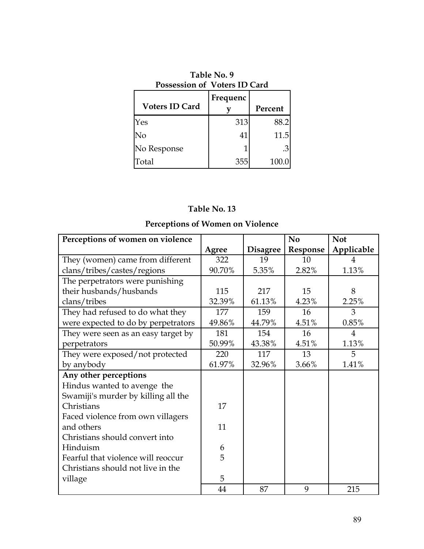| Table No. 9<br>Possession of Voters ID Card |          |         |  |
|---------------------------------------------|----------|---------|--|
| <b>Voters ID Card</b>                       | Frequenc | Percent |  |
| Yes                                         | 313      | 88.2    |  |
| No                                          | 41       | 11.5    |  |
| No Response                                 |          | .31     |  |
| Total                                       | 355      | 100.0   |  |

# **Table No. 13**

# **Perceptions of Women on Violence**

| Perceptions of women on violence    |        |                 | N <sub>o</sub> | <b>Not</b>     |
|-------------------------------------|--------|-----------------|----------------|----------------|
|                                     | Agree  | <b>Disagree</b> | Response       | Applicable     |
| They (women) came from different    | 322    | 19              | 10             | 4              |
| clans/tribes/castes/regions         | 90.70% | 5.35%           | 2.82%          | 1.13%          |
| The perpetrators were punishing     |        |                 |                |                |
| their husbands/husbands             | 115    | 217             | 15             | 8              |
| clans/tribes                        | 32.39% | 61.13%          | 4.23%          | 2.25%          |
| They had refused to do what they    | 177    | 159             | 16             | 3              |
| were expected to do by perpetrators | 49.86% | 44.79%          | 4.51%          | 0.85%          |
| They were seen as an easy target by | 181    | 154             | 16             | $\overline{4}$ |
| perpetrators                        | 50.99% | 43.38%          | 4.51%          | 1.13%          |
| They were exposed/not protected     | 220    | 117             | 13             | 5              |
| by anybody                          | 61.97% | 32.96%          | 3.66%          | 1.41%          |
| Any other perceptions               |        |                 |                |                |
| Hindus wanted to avenge the         |        |                 |                |                |
| Swamiji's murder by killing all the |        |                 |                |                |
| Christians                          | 17     |                 |                |                |
| Faced violence from own villagers   |        |                 |                |                |
| and others                          | 11     |                 |                |                |
| Christians should convert into      |        |                 |                |                |
| Hinduism                            | 6      |                 |                |                |
| Fearful that violence will reoccur  | 5      |                 |                |                |
| Christians should not live in the   |        |                 |                |                |
| village                             | 5      |                 |                |                |
|                                     | 44     | 87              | 9              | 215            |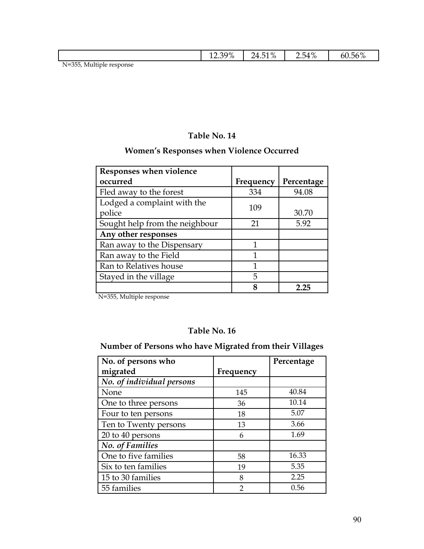| -                                                                                                                                                                                     |  |
|---------------------------------------------------------------------------------------------------------------------------------------------------------------------------------------|--|
| $\Omega \equiv 4.07$<br>200 <sup>1</sup><br>$^{\circ}$ 0/<br>.56%<br>$\overline{\phantom{a}}$<br>$\mathbf{v}$<br>⊸∡u∾<br>h<br>74<br>. .<br>70<br>/O<br>$\sqrt{6}$<br>$\sqrt{0}$<br>-⊷ |  |

N=355, Multiple response

## **Table No. 14**

# **Women's Responses when Violence Occurred**

| Responses when violence        |           |            |
|--------------------------------|-----------|------------|
| occurred                       | Frequency | Percentage |
| Fled away to the forest        | 334       | 94.08      |
| Lodged a complaint with the    | 109       |            |
| police                         |           | 30.70      |
| Sought help from the neighbour | 21        | 5.92       |
| Any other responses            |           |            |
| Ran away to the Dispensary     |           |            |
| Ran away to the Field          | 1         |            |
| Ran to Relatives house         | 1         |            |
| Stayed in the village          | 5         |            |
|                                |           | フフラ        |

N=355, Multiple response

### **Table No. 16**

## **Number of Persons who have Migrated from their Villages**

| No. of persons who        |           | Percentage |
|---------------------------|-----------|------------|
|                           |           |            |
| migrated                  | Frequency |            |
| No. of individual persons |           |            |
| None                      | 145       | 40.84      |
| One to three persons      | 36        | 10.14      |
| Four to ten persons       | 18        | 5.07       |
| Ten to Twenty persons     | 13        | 3.66       |
| 20 to 40 persons          | 6         | 1.69       |
| <b>No.</b> of Families    |           |            |
| One to five families      | 58        | 16.33      |
| Six to ten families       | 19        | 5.35       |
| 15 to 30 families         | 8         | 2.25       |
| 55 families               | っ         | 0.56       |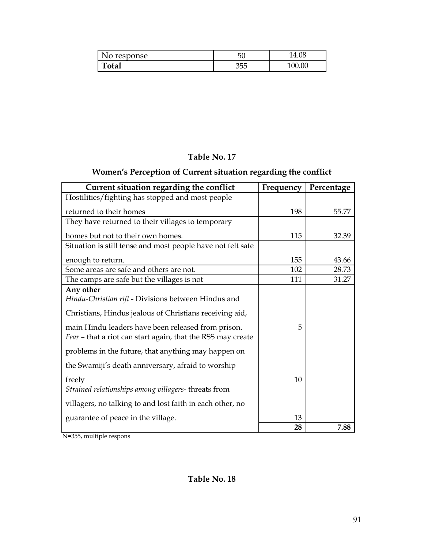| lo response | 50           | 4.U8 |
|-------------|--------------|------|
| otal        | n E E<br>くわト | 0C   |

### **Table No. 17**

# **Women's Perception of Current situation regarding the conflict**

| Current situation regarding the conflict                                                                          | Frequency | Percentage |
|-------------------------------------------------------------------------------------------------------------------|-----------|------------|
| Hostilities/fighting has stopped and most people                                                                  |           |            |
| returned to their homes                                                                                           | 198       | 55.77      |
| They have returned to their villages to temporary                                                                 |           |            |
| homes but not to their own homes.                                                                                 | 115       | 32.39      |
| Situation is still tense and most people have not felt safe                                                       |           |            |
| enough to return.                                                                                                 | 155       | 43.66      |
| Some areas are safe and others are not.                                                                           | 102       | 28.73      |
| The camps are safe but the villages is not                                                                        | 111       | 31.27      |
| Any other<br>Hindu-Christian rift - Divisions between Hindus and                                                  |           |            |
| Christians, Hindus jealous of Christians receiving aid,                                                           |           |            |
| main Hindu leaders have been released from prison.<br>Fear - that a riot can start again, that the RSS may create | 5         |            |
| problems in the future, that anything may happen on                                                               |           |            |
| the Swamiji's death anniversary, afraid to worship                                                                |           |            |
| freely<br>Strained relationships among villagers-threats from                                                     | 10        |            |
| villagers, no talking to and lost faith in each other, no                                                         |           |            |
| guarantee of peace in the village.                                                                                | 13        |            |
|                                                                                                                   | 28        | 7.88       |

N=355, multiple respons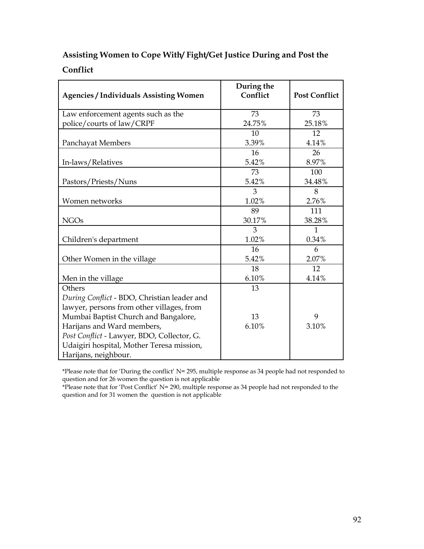# **Assisting Women to Cope With/ Fight/Get Justice During and Post the**

## **Conflict**

| <b>Agencies / Individuals Assisting Women</b> | During the<br>Conflict | <b>Post Conflict</b> |
|-----------------------------------------------|------------------------|----------------------|
| Law enforcement agents such as the            | 73                     | 73                   |
| police/courts of law/CRPF                     | 24.75%                 | 25.18%               |
|                                               | 10                     | 12                   |
| Panchayat Members                             | 3.39%                  | 4.14%                |
|                                               | 16                     | 26                   |
| In-laws/Relatives                             | 5.42%                  | 8.97%                |
|                                               | 73                     | 100                  |
| Pastors/Priests/Nuns                          | 5.42%                  | 34.48%               |
|                                               | 3                      | 8                    |
| Women networks                                | 1.02%                  | 2.76%                |
|                                               | 89                     | 111                  |
| <b>NGOs</b>                                   | 30.17%                 | 38.28%               |
|                                               | 3                      | $\mathbf{1}$         |
| Children's department                         | 1.02%                  | 0.34%                |
|                                               | 16                     | 6                    |
| Other Women in the village                    | 5.42%                  | 2.07%                |
|                                               | 18                     | 12                   |
| Men in the village                            | 6.10%                  | 4.14%                |
| Others                                        | 13                     |                      |
| During Conflict - BDO, Christian leader and   |                        |                      |
| lawyer, persons from other villages, from     |                        |                      |
| Mumbai Baptist Church and Bangalore,          | 13                     | 9                    |
| Harijans and Ward members,                    | 6.10%                  | 3.10%                |
| Post Conflict - Lawyer, BDO, Collector, G.    |                        |                      |
| Udaigiri hospital, Mother Teresa mission,     |                        |                      |
| Harijans, neighbour.                          |                        |                      |

\*Please note that for 'During the conflict' N= 295, multiple response as 34 people had not responded to question and for 26 women the question is not applicable

\*Please note that for 'Post Conflict' N= 290, multiple response as 34 people had not responded to the question and for 31 women the question is not applicable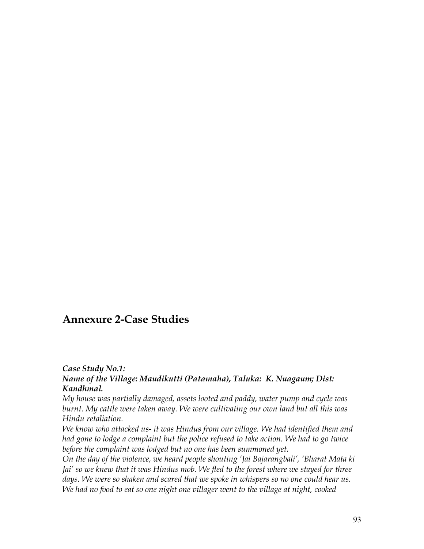# **Annexure 2-Case Studies**

#### *Case Study No.1:*

#### *Name of the Village: Maudikutti (Patamaha), Taluka: K. Nuagaum; Dist: Kandhmal.*

*My house was partially damaged, assets looted and paddy, water pump and cycle was burnt. My cattle were taken away. We were cultivating our own land but all this was Hindu retaliation.* 

*We know who attacked us- it was Hindus from our village. We had identified them and had gone to lodge a complaint but the police refused to take action. We had to go twice before the complaint was lodged but no one has been summoned yet.*

*On the day of the violence, we heard people shouting 'Jai Bajarangbali', 'Bharat Mata ki Jai' so we knew that it was Hindus mob. We fled to the forest where we stayed for three days. We were so shaken and scared that we spoke in whispers so no one could hear us. We had no food to eat so one night one villager went to the village at night, cooked*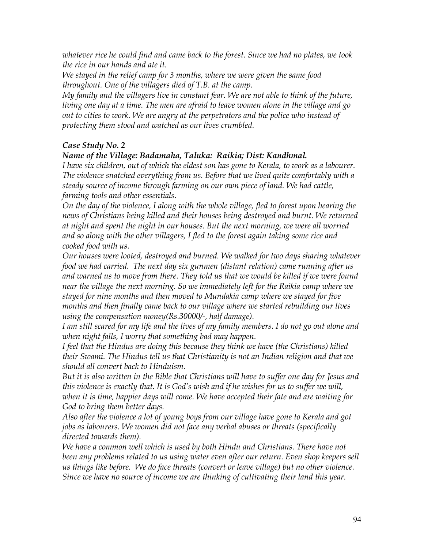*whatever rice he could find and came back to the forest. Since we had no plates, we took the rice in our hands and ate it.*

*We stayed in the relief camp for 3 months, where we were given the same food throughout. One of the villagers died of T.B. at the camp.*

*My family and the villagers live in constant fear. We are not able to think of the future, living one day at a time. The men are afraid to leave women alone in the village and go out to cities to work. We are angry at the perpetrators and the police who instead of protecting them stood and watched as our lives crumbled.*

#### *Case Study No. 2*

#### *Name of the Village: Badamaha, Taluka: Raikia; Dist: Kandhmal.*

*I have six children, out of which the eldest son has gone to Kerala, to work as a labourer. The violence snatched everything from us. Before that we lived quite comfortably with a steady source of income through farming on our own piece of land. We had cattle, farming tools and other essentials.*

*On the day of the violence, I along with the whole village, fled to forest upon hearing the news of Christians being killed and their houses being destroyed and burnt. We returned at night and spent the night in our houses. But the next morning, we were all worried and so along with the other villagers, I fled to the forest again taking some rice and cooked food with us.*

*Our houses were looted, destroyed and burned. We walked for two days sharing whatever food we had carried. The next day six gunmen (distant relation) came running after us and warned us to move from there. They told us that we would be killed if we were found near the village the next morning. So we immediately left for the Raikia camp where we stayed for nine months and then moved to Mundakia camp where we stayed for five months and then finally came back to our village where we started rebuilding our lives using the compensation money(Rs.30000/-, half damage).*

*I am still scared for my life and the lives of my family members. I do not go out alone and when night falls, I worry that something bad may happen.*

*I feel that the Hindus are doing this because they think we have (the Christians) killed their Swami. The Hindus tell us that Christianity is not an Indian religion and that we should all convert back to Hinduism.* 

*But it is also written in the Bible that Christians will have to suffer one day for Jesus and this violence is exactly that. It is God's wish and if he wishes for us to suffer we will, when it is time, happier days will come. We have accepted their fate and are waiting for God to bring them better days.*

*Also after the violence a lot of young boys from our village have gone to Kerala and got jobs as labourers. We women did not face any verbal abuses or threats (specifically directed towards them).* 

*We have a common well which is used by both Hindu and Christians. There have not been any problems related to us using water even after our return. Even shop keepers sell us things like before. We do face threats (convert or leave village) but no other violence. Since we have no source of income we are thinking of cultivating their land this year.*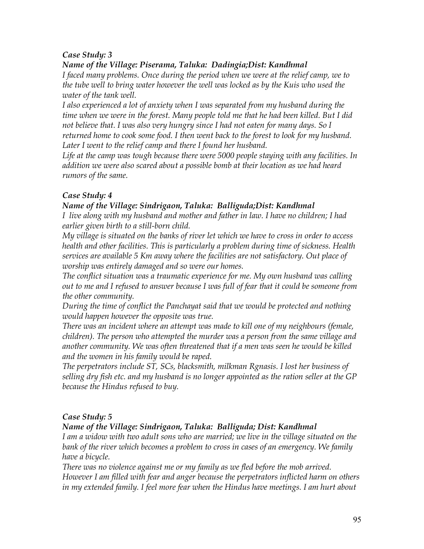## *Case Study: 3*

### *Name of the Village: Piserama, Taluka: Dadingia;Dist: Kandhmal*

*I faced many problems. Once during the period when we were at the relief camp, we to the tube well to bring water however the well was locked as by the Kuis who used the water of the tank well.*

*I also experienced a lot of anxiety when I was separated from my husband during the time when we were in the forest. Many people told me that he had been killed. But I did not believe that. I was also very hungry since I had not eaten for many days. So I returned home to cook some food. I then went back to the forest to look for my husband.* Later I went to the relief camp and there I found her husband.

*Life at the camp was tough because there were 5000 people staying with any facilities. In addition we were also scared about a possible bomb at their location as we had heard rumors of the same.* 

### *Case Study: 4*

#### *Name of the Village: Sindrigaon, Taluka: Balliguda;Dist: Kandhmal*

*I live along with my husband and mother and father in law. I have no children; I had earlier given birth to a still-born child.*

*My village is situated on the banks of river let which we have to cross in order to access health and other facilities. This is particularly a problem during time of sickness. Health services are available 5 Km away where the facilities are not satisfactory. Out place of worship was entirely damaged and so were our homes.*

*The conflict situation was a traumatic experience for me. My own husband was calling out to me and I refused to answer because I was full of fear that it could be someone from the other community.*

*During the time of conflict the Panchayat said that we would be protected and nothing would happen however the opposite was true.*

*There was an incident where an attempt was made to kill one of my neighbours (female, children). The person who attempted the murder was a person from the same village and another community. We was often threatened that if a men was seen he would be killed and the women in his family would be raped.* 

*The perpetrators include ST, SCs, blacksmith, milkman Rgnasis. I lost her business of selling dry fish etc. and my husband is no longer appointed as the ration seller at the GP because the Hindus refused to buy.*

### *Case Study: 5*

### *Name of the Village: Sindrigaon, Taluka: Balliguda; Dist: Kandhmal*

*I am a widow with two adult sons who are married; we live in the village situated on the bank of the river which becomes a problem to cross in cases of an emergency. We family have a bicycle.* 

*There was no violence against me or my family as we fled before the mob arrived. However I am filled with fear and anger because the perpetrators inflicted harm on others in my extended family. I feel more fear when the Hindus have meetings. I am hurt about*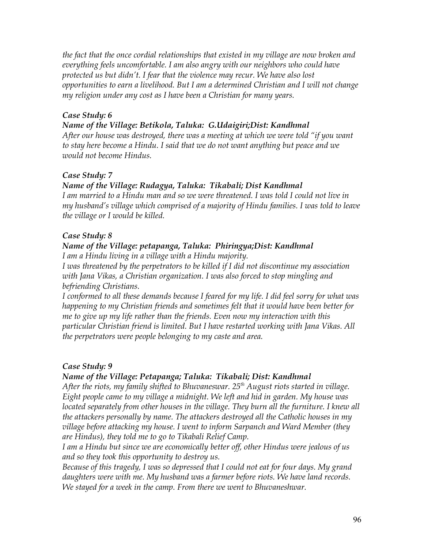*the fact that the once cordial relationships that existed in my village are now broken and everything feels uncomfortable. I am also angry with our neighbors who could have protected us but didn't. I fear that the violence may recur. We have also lost opportunities to earn a livelihood. But I am a determined Christian and I will not change my religion under any cost as I have been a Christian for many years.* 

#### *Case Study: 6*

#### *Name of the Village: Betikola, Taluka: G.Udaigiri;Dist: Kandhmal*

*After our house was destroyed, there was a meeting at which we were told "if you want to stay here become a Hindu. I said that we do not want anything but peace and we would not become Hindus.*

#### *Case Study: 7*

### *Name of the Village: Rudagya, Taluka: Tikabali; Dist Kandhmal*

*I am married to a Hindu man and so we were threatened. I was told I could not live in my husband's village which comprised of a majority of Hindu families. I was told to leave the village or I would be killed.*

#### *Case Study: 8*

#### *Name of the Village: petapanga, Taluka: Phiringya;Dist: Kandhmal I am a Hindu living in a village with a Hindu majority.*

*I was threatened by the perpetrators to be killed if I did not discontinue my association with Jana Vikas, a Christian organization. I was also forced to stop mingling and befriending Christians.* 

*I conformed to all these demands because I feared for my life. I did feel sorry for what was happening to my Christian friends and sometimes felt that it would have been better for me to give up my life rather than the friends. Even now my interaction with this particular Christian friend is limited. But I have restarted working with Jana Vikas. All the perpetrators were people belonging to my caste and area.*

### *Case Study: 9*

### *Name of the Village: Petapanga; Taluka: Tikabali; Dist: Kandhmal*

*After the riots, my family shifted to Bhuvaneswar. 25th August riots started in village. Eight people came to my village a midnight. We left and hid in garden. My house was located separately from other houses in the village. They burn all the furniture. I knew all the attackers personally by name. The attackers destroyed all the Catholic houses in my village before attacking my house. I went to inform Sarpanch and Ward Member (they are Hindus), they told me to go to Tikabali Relief Camp.*

*I am a Hindu but since we are economically better off, other Hindus were jealous of us and so they took this opportunity to destroy us.*

*Because of this tragedy, I was so depressed that I could not eat for four days. My grand daughters were with me. My husband was a farmer before riots. We have land records. We stayed for a week in the camp. From there we went to Bhuvaneshwar.*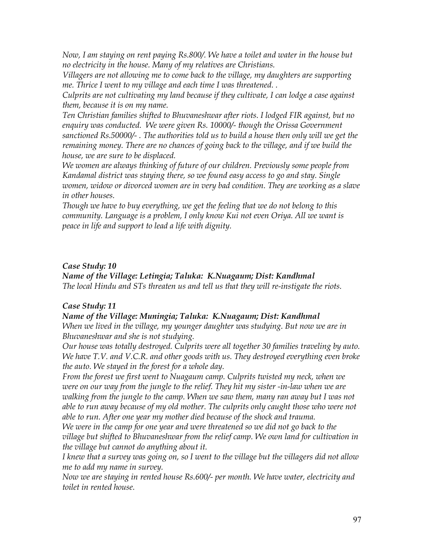*Now, I am staying on rent paying Rs.800/. We have a toilet and water in the house but no electricity in the house. Many of my relatives are Christians.* 

*Villagers are not allowing me to come back to the village, my daughters are supporting me. Thrice I went to my village and each time I was threatened. .*

*Culprits are not cultivating my land because if they cultivate, I can lodge a case against them, because it is on my name.*

*Ten Christian families shifted to Bhuvaneshwar after riots. I lodged FIR against, but no enquiry was conducted. We were given Rs. 10000/- though the Orissa Government sanctioned Rs.50000/- . The authorities told us to build a house then only will we get the remaining money. There are no chances of going back to the village, and if we build the house, we are sure to be displaced.* 

*We women are always thinking of future of our children. Previously some people from Kandamal district was staying there, so we found easy access to go and stay. Single women, widow or divorced women are in very bad condition. They are working as a slave in other houses.* 

*Though we have to buy everything, we get the feeling that we do not belong to this community. Language is a problem, I only know Kui not even Oriya. All we want is peace in life and support to lead a life with dignity.*

#### *Case Study: 10*

#### *Name of the Village: Letingia; Taluka: K.Nuagaum; Dist: Kandhmal The local Hindu and STs threaten us and tell us that they will re-instigate the riots.*

#### *Case Study: 11*

#### *Name of the Village: Muningia; Taluka: K.Nuagaum; Dist: Kandhmal*

*When we lived in the village, my younger daughter was studying. But now we are in Bhuvaneshwar and she is not studying.* 

*Our house was totally destroyed. Culprits were all together 30 families traveling by auto. We have T.V. and V.C.R. and other goods with us. They destroyed everything even broke the auto. We stayed in the forest for a whole day.* 

*From the forest we first went to Nuagaum camp. Culprits twisted my neck, when we were on our way from the jungle to the relief. They hit my sister -in-law when we are walking from the jungle to the camp. When we saw them, many ran away but I was not able to run away because of my old mother. The culprits only caught those who were not able to run. After one year my mother died because of the shock and trauma.*

*We were in the camp for one year and were threatened so we did not go back to the village but shifted to Bhuvaneshwar from the relief camp. We own land for cultivation in the village but cannot do anything about it.*

*I knew that a survey was going on, so I went to the village but the villagers did not allow me to add my name in survey.* 

*Now we are staying in rented house Rs.600/- per month. We have water, electricity and toilet in rented house.*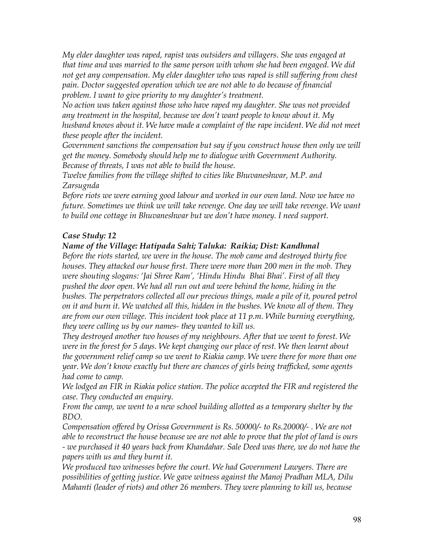*My elder daughter was raped, rapist was outsiders and villagers. She was engaged at that time and was married to the same person with whom she had been engaged. We did not get any compensation. My elder daughter who was raped is still suffering from chest pain. Doctor suggested operation which we are not able to do because of financial problem. I want to give priority to my daughter's treatment.* 

*No action was taken against those who have raped my daughter. She was not provided any treatment in the hospital, because we don't want people to know about it. My husband knows about it. We have made a complaint of the rape incident. We did not meet these people after the incident.*

*Government sanctions the compensation but say if you construct house then only we will get the money. Somebody should help me to dialogue with Government Authority. Because of threats, I was not able to build the house.*

*Twelve families from the village shifted to cities like Bhuvaneshwar, M.P. and Zarsugnda* 

*Before riots we were earning good labour and worked in our own land. Now we have no future. Sometimes we think we will take revenge. One day we will take revenge. We want to build one cottage in Bhuvaneshwar but we don't have money. I need support.*

#### *Case Study: 12*

#### *Name of the Village: Hatipada Sahi; Taluka: Raikia; Dist: Kandhmal*

*Before the riots started, we were in the house. The mob came and destroyed thirty five houses. They attacked our house first. There were more than 200 men in the mob. They were shouting slogans: 'Jai Shree Ram', 'Hindu Hindu Bhai Bhai'. First of all they pushed the door open. We had all run out and were behind the home, hiding in the bushes. The perpetrators collected all our precious things, made a pile of it, poured petrol on it and burn it. We watched all this, hidden in the bushes. We know all of them. They are from our own village. This incident took place at 11 p.m. While burning everything, they were calling us by our names- they wanted to kill us.*

*They destroyed another two houses of my neighbours. After that we went to forest. We were in the forest for 5 days. We kept changing our place of rest. We then learnt about the government relief camp so we went to Riakia camp. We were there for more than one year. We don't know exactly but there are chances of girls being trafficked, some agents had come to camp.*

*We lodged an FIR in Riakia police station. The police accepted the FIR and registered the case. They conducted an enquiry.* 

*From the camp, we went to a new school building allotted as a temporary shelter by the BDO.* 

*Compensation offered by Orissa Government is Rs. 50000/- to Rs.20000/- . We are not able to reconstruct the house because we are not able to prove that the plot of land is ours - we purchased it 40 years back from Khandahar. Sale Deed was there, we do not have the papers with us and they burnt it.*

*We produced two witnesses before the court. We had Government Lawyers. There are possibilities of getting justice. We gave witness against the Manoj Pradhan MLA, Dilu Mahanti (leader of riots) and other 26 members. They were planning to kill us, because*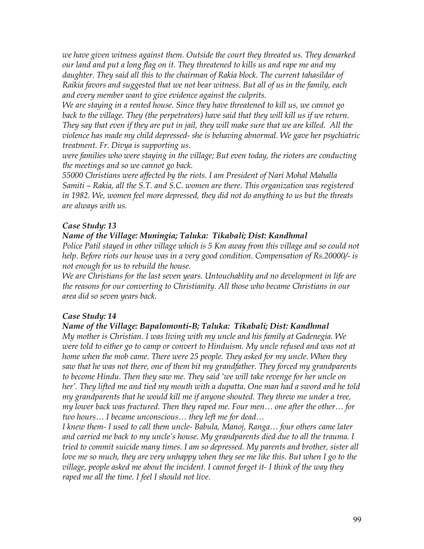*we have given witness against them. Outside the court they threated us. They demarked our land and put a long flag on it. They threatened to kills us and rape me and my daughter. They said all this to the chairman of Rakia block. The current tahasildar of Raikia favors and suggested that we not bear witness. But all of us in the family, each and every member want to give evidence against the culprits.* 

*We are staying in a rented house. Since they have threatened to kill us, we cannot go back to the village. They (the perpetrators) have said that they will kill us if we return. They say that even if they are put in jail, they will make sure that we are killed. All the violence has made my child depressed- she is behaving abnormal. We gave her psychiatric treatment. Fr. Divya is supporting us.*

*were families who were staying in the village; But even today, the rioters are conducting the meetings and so we cannot go back.* 

*55000 Christians were affected by the riots. I am President of Nari Mohal Mahalla Samiti – Rakia, all the S.T. and S.C. women are there. This organization was registered in 1982. We, women feel more depressed, they did not do anything to us but the threats are always with us.* 

## *Case Study: 13*

#### *Name of the Village: Muningia; Taluka: Tikabali; Dist: Kandhmal*

*Police Patil stayed in other village which is 5 Km away from this village and so could not help. Before riots our house was in a very good condition. Compensation of Rs.20000/- is not enough for us to rebuild the house.*

*We are Christians for the last seven years. Untouchablity and no development in life are the reasons for our converting to Christianity. All those who became Christians in our area did so seven years back.*

### *Case Study: 14*

#### *Name of the Village: Bapalomonti-B; Taluka: Tikabali; Dist: Kandhmal*

*My mother is Christian. I was living with my uncle and his family at Gadenegia. We were told to either go to camp or convert to Hinduism. My uncle refused and was not at home when the mob came. There were 25 people. They asked for my uncle. When they saw that he was not there, one of them bit my grandfather. They forced my grandparents to become Hindu. Then they saw me. They said 'we will take revenge for her uncle on her'. They lifted me and tied my mouth with a dupatta. One man had a sword and he told my grandparents that he would kill me if anyone shouted. They threw me under a tree, my lower back was fractured. Then they raped me. Four men… one after the other… for two hours… I became unconscious… they left me for dead…*

*I knew them- I used to call them uncle- Babula, Manoj, Ranga… four others came later and carried me back to my uncle's house. My grandparents died due to all the trauma. I tried to commit suicide many times. I am so depressed. My parents and brother, sister all love me so much, they are very unhappy when they see me like this. But when I go to the village, people asked me about the incident. I cannot forget it- I think of the way they raped me all the time. I feel I should not live.*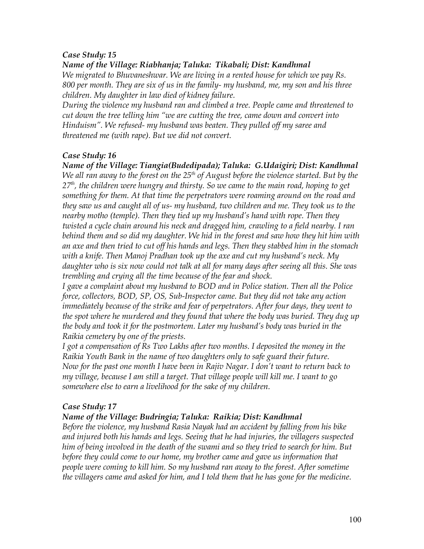#### *Case Study: 15*

*Name of the Village: Riabhanja; Taluka: Tikabali; Dist: Kandhmal*

*We migrated to Bhuvaneshwar. We are living in a rented house for which we pay Rs. 800 per month. They are six of us in the family- my husband, me, my son and his three children. My daughter in law died of kidney failure.* 

*During the violence my husband ran and climbed a tree. People came and threatened to cut down the tree telling him "we are cutting the tree, came down and convert into Hinduism". We refused- my husband was beaten. They pulled off my saree and threatened me (with rape). But we did not convert.* 

#### *Case Study: 16*

*Name of the Village: Tiangia(Budedipada); Taluka: G.Udaigiri; Dist: Kandhmal We all ran away to the forest on the 25th of August before the violence started. But by the 27th, the children were hungry and thirsty. So we came to the main road, hoping to get something for them. At that time the perpetrators were roaming around on the road and they saw us and caught all of us- my husband, two children and me. They took us to the nearby motho (temple). Then they tied up my husband's hand with rope. Then they twisted a cycle chain around his neck and dragged him, crawling to a field nearby. I ran behind them and so did my daughter. We hid in the forest and saw how they hit him with an axe and then tried to cut off his hands and legs. Then they stabbed him in the stomach with a knife. Then Manoj Pradhan took up the axe and cut my husband's neck. My daughter who is six now could not talk at all for many days after seeing all this. She was trembling and crying all the time because of the fear and shock.* 

*I gave a complaint about my husband to BOD and in Police station. Then all the Police force, collectors, BOD, SP, OS, Sub-Inspector came. But they did not take any action immediately because of the strike and fear of perpetrators. After four days, they went to the spot where he murdered and they found that where the body was buried. They dug up the body and took it for the postmortem. Later my husband's body was buried in the Raikia cemetery by one of the priests.* 

*I got a compensation of Rs Two Lakhs after two months. I deposited the money in the Raikia Youth Bank in the name of two daughters only to safe guard their future. Now for the past one month I have been in Rajiv Nagar. I don't want to return back to my village, because I am still a target. That village people will kill me. I want to go somewhere else to earn a livelihood for the sake of my children.*

### *Case Study: 17*

#### *Name of the Village: Budringia; Taluka: Raikia; Dist: Kandhmal*

*Before the violence, my husband Rasia Nayak had an accident by falling from his bike and injured both his hands and legs. Seeing that he had injuries, the villagers suspected him of being involved in the death of the swami and so they tried to search for him. But before they could come to our home, my brother came and gave us information that people were coming to kill him. So my husband ran away to the forest. After sometime the villagers came and asked for him, and I told them that he has gone for the medicine.*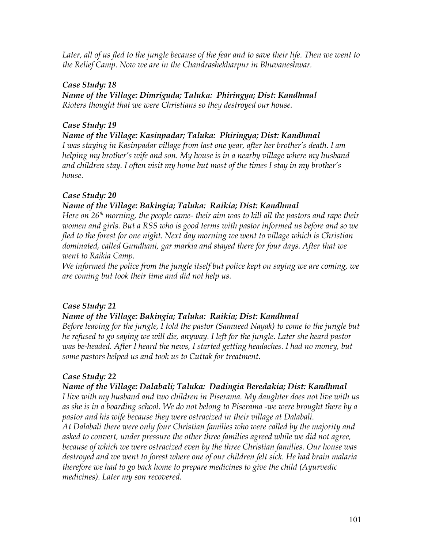*Later, all of us fled to the jungle because of the fear and to save their life. Then we went to the Relief Camp. Now we are in the Chandrashekharpur in Bhuvaneshwar.*

### *Case Study: 18*

*Name of the Village: Dimriguda; Taluka: Phiringya; Dist: Kandhmal Rioters thought that we were Christians so they destroyed our house.*

## *Case Study: 19*

### *Name of the Village: Kasinpadar; Taluka: Phiringya; Dist: Kandhmal*

*I was staying in Kasinpadar village from last one year, after her brother's death. I am helping my brother's wife and son. My house is in a nearby village where my husband and children stay. I often visit my home but most of the times I stay in my brother's house.*

## *Case Study: 20*

### *Name of the Village: Bakingia; Taluka: Raikia; Dist: Kandhmal*

*Here on 26th morning, the people came- their aim was to kill all the pastors and rape their women and girls. But a RSS who is good terms with pastor informed us before and so we fled to the forest for one night. Next day morning we went to village which is Christian dominated, called Gundhani, gar markia and stayed there for four days. After that we went to Raikia Camp.* 

*We informed the police from the jungle itself but police kept on saying we are coming, we are coming but took their time and did not help us.* 

## *Case Study: 21*

### *Name of the Village: Bakingia; Taluka: Raikia; Dist: Kandhmal*

*Before leaving for the jungle, I told the pastor (Samueed Nayak) to come to the jungle but he refused to go saying we will die, anyway. I left for the jungle. Later she heard pastor was be-headed. After I heard the news, I started getting headaches. I had no money, but some pastors helped us and took us to Cuttak for treatment.*

## *Case Study: 22*

### *Name of the Village: Dalabali; Taluka: Dadingia Beredakia; Dist: Kandhmal*

*I live with my husband and two children in Piserama. My daughter does not live with us as she is in a boarding school. We do not belong to Piserama -we were brought there by a pastor and his wife because they were ostracized in their village at Dalabali.*

*At Dalabali there were only four Christian families who were called by the majority and asked to convert, under pressure the other three families agreed while we did not agree, because of which we were ostracized even by the three Christian families. Our house was destroyed and we went to forest where one of our children felt sick. He had brain malaria therefore we had to go back home to prepare medicines to give the child (Ayurvedic medicines). Later my son recovered.*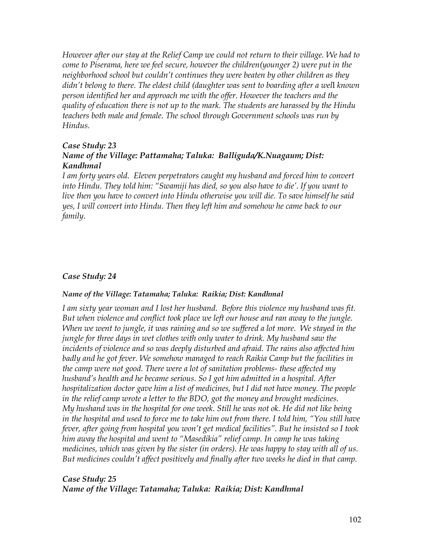*However after our stay at the Relief Camp we could not return to their village. We had to come to Piserama, here we feel secure, however the children(younger 2) were put in the neighborhood school but couldn't continues they were beaten by other children as they didn't belong to there. The eldest child (daughter was sent to boarding after a wel*l *known person identified her and approach me with the offer. However the teachers and the quality of education there is not up to the mark. The students are harassed by the Hindu teachers both male and female. The school through Government schools was run by Hindus.*

#### *Case Study: 23 Name of the Village: Pattamaha; Taluka: Balliguda/K.Nuagaum; Dist: Kandhmal*

*I am forty years old. Eleven perpetrators caught my husband and forced him to convert into Hindu. They told him: "Swamiji has died, so you also have to die'. If you want to live then you have to convert into Hindu otherwise you will die. To save himself he said yes, I will convert into Hindu. Then they left him and somehow he came back to our family.*

#### *Case Study: 24*

#### *Name of the Village: Tatamaha; Taluka: Raikia; Dist: Kandhmal*

*I am sixty year woman and I lost her husband. Before this violence my husband was fit. But when violence and conflict took place we left our house and ran away to the jungle. When we went to jungle, it was raining and so we suffered a lot more. We stayed in the jungle for three days in wet clothes with only water to drink. My husband saw the incidents of violence and so was deeply disturbed and afraid. The rains also affected him badly and he got fever. We somehow managed to reach Raikia Camp but the facilities in the camp were not good. There were a lot of sanitation problems- these affected my husband's health and he became serious. So I got him admitted in a hospital. After hospitalization doctor gave him a list of medicines, but I did not have money. The people in the relief camp wrote a letter to the BDO, got the money and brought medicines. My hushand was in the hospital for one week. Still he was not ok. He did not like being in the hospital and used to force me to take him out from there. I told him, "You still have fever, after going from hospital you won't get medical facilities". But he insisted so I took him away the hospital and went to "Masedikia" relief camp. In camp he was taking medicines, which was given by the sister (in orders). He was happy to stay with all of us. But medicines couldn't affect positively and finally after two weeks he died in that camp.*

#### *Case Study: 25 Name of the Village: Tatamaha; Taluka: Raikia; Dist: Kandhmal*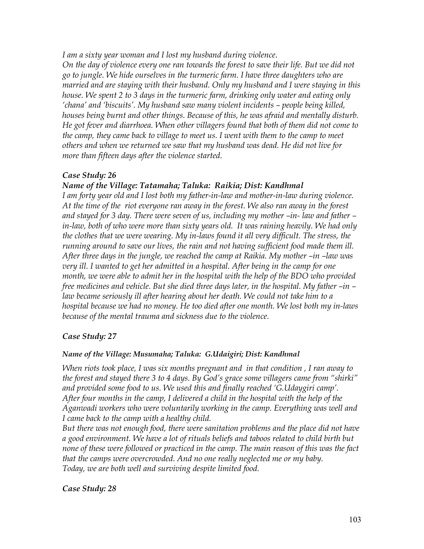*I am a sixty year woman and I lost my husband during violence.* 

*On the day of violence every one ran towards the forest to save their life. But we did not go to jungle. We hide ourselves in the turmeric farm. I have three daughters who are married and are staying with their husband. Only my husband and I were staying in this house. We spent 2 to 3 days in the turmeric farm, drinking only water and eating only 'chana' and 'biscuits'. My husband saw many violent incidents – people being killed, houses being burnt and other things. Because of this, he was afraid and mentally disturb. He got fever and diarrhoea. When other villagers found that both of them did not come to the camp, they came back to village to meet us. I went with them to the camp to meet others and when we returned we saw that my husband was dead. He did not live for more than fifteen days after the violence started.* 

#### *Case Study: 26*

*Name of the Village: Tatamaha; Taluka: Raikia; Dist: Kandhmal*

*I am forty year old and I lost both my father-in-law and mother-in-law during violence. At the time of the riot everyone ran away in the forest. We also ran away in the forest and stayed for 3 day. There were seven of us, including my mother –in- law and father – in-law, both of who were more than sixty years old. It was raining heavily. We had only the clothes that we were wearing. My in-laws found it all very difficult. The stress, the running around to save our lives, the rain and not having sufficient food made them ill. After three days in the jungle, we reached the camp at Raikia. My mother –in –law was very ill. I wanted to get her admitted in a hospital. After being in the camp for one month, we were able to admit her in the hospital with the help of the BDO who provided free medicines and vehicle. But she died three days later, in the hospital. My father –in – law became seriously ill after hearing about her death. We could not take him to a hospital because we had no money. He too died after one month. We lost both my in-laws because of the mental trauma and sickness due to the violence.*

### *Case Study: 27*

#### *Name of the Village: Musumaha; Taluka: G.Udaigiri; Dist: Kandhmal*

*When riots took place, I was six months pregnant and in that condition , I ran away to the forest and stayed there 3 to 4 days. By God's grace some villagers came from "shirki"* and provided some food to us. We used this and finally reached 'G.Udaygiri camp'. *After four months in the camp, I delivered a child in the hospital with the help of the Aganwadi workers who were voluntarily working in the camp. Everything was well and I came back to the camp with a healthy child.* 

*But there was not enough food, there were sanitation problems and the place did not have a good environment. We have a lot of rituals beliefs and taboos related to child birth but none of these were followed or practiced in the camp. The main reason of this was the fact that the camps were overcrowded. And no one really neglected me or my baby. Today, we are both well and surviving despite limited food.* 

#### *Case Study: 28*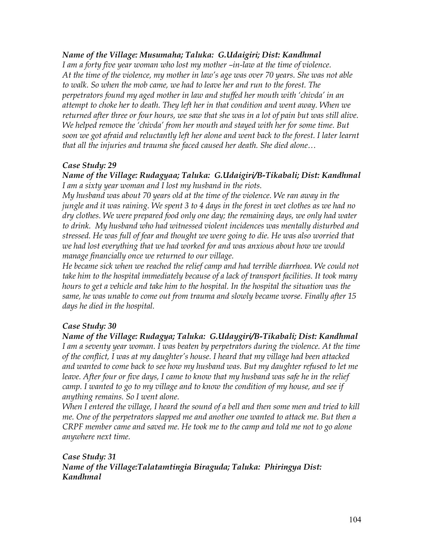#### *Name of the Village: Musumaha; Taluka: G.Udaigiri; Dist: Kandhmal*

*I am a forty five year woman who lost my mother –in-law at the time of violence. At the time of the violence, my mother in law's age was over 70 years. She was not able to walk. So when the mob came, we had to leave her and run to the forest. The perpetrators found my aged mother in law and stuffed her mouth with 'chivda' in an attempt to choke her to death. They left her in that condition and went away. When we returned after three or four hours, we saw that she was in a lot of pain but was still alive. We helped remove the 'chivda' from her mouth and stayed with her for some time. But soon we got afraid and reluctantly left her alone and went back to the forest. I later learnt that all the injuries and trauma she faced caused her death. She died alone…* 

#### *Case Study: 29*

#### *Name of the Village: Rudagyaa; Taluka: G.Udaigiri/B-Tikabali; Dist: Kandhmal I am a sixty year woman and I lost my husband in the riots.*

*My husband was about 70 years old at the time of the violence. We ran away in the jungle and it was raining. We spent 3 to 4 days in the forest in wet clothes as we had no dry clothes. We were prepared food only one day; the remaining days, we only had water to drink. My husband who had witnessed violent incidences was mentally disturbed and stressed. He was full of fear and thought we were going to die. He was also worried that we had lost everything that we had worked for and was anxious about how we would manage financially once we returned to our village.* 

*He became sick when we reached the relief camp and had terrible diarrhoea. We could not take him to the hospital immediately because of a lack of transport facilities. It took many hours to get a vehicle and take him to the hospital. In the hospital the situation was the same, he was unable to come out from trauma and slowly became worse. Finally after 15 days he died in the hospital.*

### *Case Study: 30*

#### *Name of the Village: Rudagya; Taluka: G.Udaygiri/B-Tikabali; Dist: Kandhmal I am a seventy year woman. I was beaten by perpetrators during the violence. At the time of the conflict, I was at my daughter's house. I heard that my village had been attacked and wanted to come back to see how my husband was. But my daughter refused to let me leave. After four or five days, I came to know that my husband was safe he in the relief camp. I wanted to go to my village and to know the condition of my house, and see if anything remains. So I went alone.*

*When I entered the village, I heard the sound of a bell and then some men and tried to kill me. One of the perpetrators slapped me and another one wanted to attack me. But then a CRPF member came and saved me. He took me to the camp and told me not to go alone anywhere next time.* 

#### *Case Study: 31 Name of the Village:Talatamtingia Biraguda; Taluka: Phiringya Dist: Kandhmal*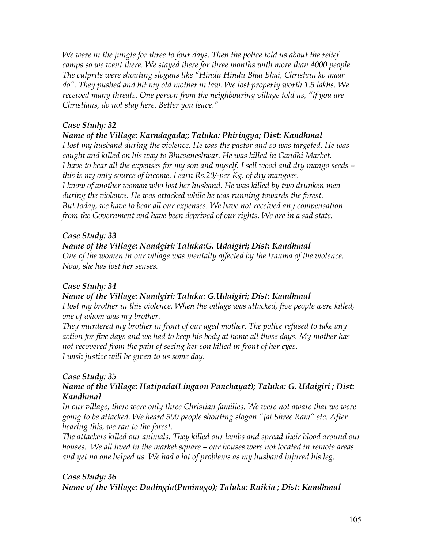*We were in the jungle for three to four days. Then the police told us about the relief camps so we went there. We stayed there for three months with more than 4000 people. The culprits were shouting slogans like "Hindu Hindu Bhai Bhai, Christain ko maar do". They pushed and hit my old mother in law. We lost property worth 1.5 lakhs. We received many threats. One person from the neighbouring village told us, "if you are Christians, do not stay here. Better you leave."*

## *Case Study: 32*

#### *Name of the Village: Karndagada;; Taluka: Phiringya; Dist: Kandhmal*

*I lost my husband during the violence. He was the pastor and so was targeted. He was caught and killed on his way to Bhuvaneshwar. He was killed in Gandhi Market. I have to bear all the expenses for my son and myself. I sell wood and dry mango seeds – this is my only source of income. I earn Rs.20/-per Kg. of dry mangoes. I know of another woman who lost her husband. He was killed by two drunken men during the violence. He was attacked while he was running towards the forest. But today, we have to bear all our expenses. We have not received any compensation from the Government and have been deprived of our rights. We are in a sad state.*

#### *Case Study: 33*

#### *Name of the Village: Nandgiri; Taluka:G. Udaigiri; Dist: Kandhmal*

*One of the women in our village was mentally affected by the trauma of the violence. Now, she has lost her senses.*

### *Case Study: 34*

#### *Name of the Village: Nandgiri; Taluka: G.Udaigiri; Dist: Kandhmal*

*I lost my brother in this violence. When the village was attacked, five people were killed, one of whom was my brother.* 

*They murdered my brother in front of our aged mother. The police refused to take any action for five days and we had to keep his body at home all those days. My mother has not recovered from the pain of seeing her son killed in front of her eyes. I wish justice will be given to us some day.*

### *Case Study: 35*

### *Name of the Village: Hatipada(Lingaon Panchayat); Taluka: G. Udaigiri ; Dist: Kandhmal*

*In our village, there were only three Christian families. We were not aware that we were going to be attacked. We heard 500 people shouting slogan "Jai Shree Ram" etc. After hearing this, we ran to the forest.* 

*The attackers killed our animals. They killed our lambs and spread their blood around our houses. We all lived in the market square – our houses were not located in remote areas and yet no one helped us. We had a lot of problems as my husband injured his leg.*

### *Case Study: 36*

*Name of the Village: Dadingia(Puninago); Taluka: Raikia ; Dist: Kandhmal*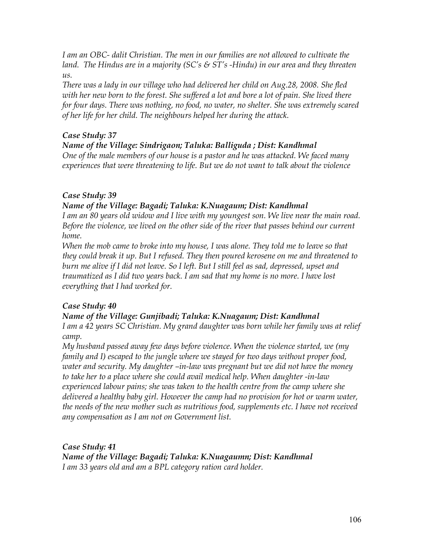*I am an OBC- dalit Christian. The men in our families are not allowed to cultivate the land. The Hindus are in a majority (SC's & ST's -Hindu) in our area and they threaten us.* 

*There was a lady in our village who had delivered her child on Aug.28, 2008. She fled with her new born to the forest. She suffered a lot and bore a lot of pain. She lived there for four days. There was nothing, no food, no water, no shelter. She was extremely scared of her life for her child. The neighbours helped her during the attack.* 

### *Case Study: 37*

### *Name of the Village: Sindrigaon; Taluka: Balliguda ; Dist: Kandhmal*

*One of the male members of our house is a pastor and he was attacked. We faced many experiences that were threatening to life. But we do not want to talk about the violence* 

## *Case Study: 39*

#### *Name of the Village: Bagadi; Taluka: K.Nuagaum; Dist: Kandhmal*

*I am an 80 years old widow and I live with my youngest son. We live near the main road. Before the violence, we lived on the other side of the river that passes behind our current home.*

*When the mob came to broke into my house, I was alone. They told me to leave so that they could break it up. But I refused. They then poured kerosene on me and threatened to burn me alive if I did not leave. So I left. But I still feel as sad, depressed, upset and traumatized as I did two years back. I am sad that my home is no more. I have lost everything that I had worked for.*

### *Case Study: 40*

### *Name of the Village: Gunjibadi; Taluka: K.Nuagaum; Dist: Kandhmal*

*I am a 42 years SC Christian. My grand daughter was born while her family was at relief camp.* 

*My husband passed away few days before violence. When the violence started, we (my family and I) escaped to the jungle where we stayed for two days without proper food, water and security. My daughter –in-law was pregnant but we did not have the money to take her to a place where she could avail medical help. When daughter -in-law experienced labour pains; she was taken to the health centre from the camp where she delivered a healthy baby girl. However the camp had no provision for hot or warm water, the needs of the new mother such as nutritious food, supplements etc. I have not received any compensation as I am not on Government list.*

*Case Study: 41 Name of the Village: Bagadi; Taluka: K.Nuagaumn; Dist: Kandhmal I am 33 years old and am a BPL category ration card holder.*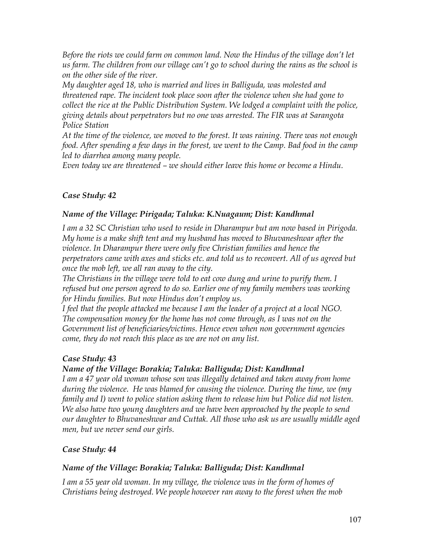*Before the riots we could farm on common land. Now the Hindus of the village don't let us farm. The children from our village can't go to school during the rains as the school is on the other side of the river.*

*My daughter aged 18, who is married and lives in Balliguda, was molested and threatened rape. The incident took place soon after the violence when she had gone to collect the rice at the Public Distribution System. We lodged a complaint with the police, giving details about perpetrators but no one was arrested. The FIR was at Sarangota Police Station*

*At the time of the violence, we moved to the forest. It was raining. There was not enough food. After spending a few days in the forest, we went to the Camp. Bad food in the camp led to diarrhea among many people.*

*Even today we are threatened – we should either leave this home or become a Hindu.* 

### *Case Study: 42*

### *Name of the Village: Pirigada; Taluka: K.Nuagaum; Dist: Kandhmal*

*I am a 32 SC Christian who used to reside in Dharampur but am now based in Pirigoda. My home is a make shift tent and my husband has moved to Bhuvaneshwar after the violence. In Dharampur there were only five Christian families and hence the perpetrators came with axes and sticks etc. and told us to reconvert. All of us agreed but once the mob left, we all ran away to the city.* 

*The Christians in the village were told to eat cow dung and urine to purify them. I refused but one person agreed to do so. Earlier one of my family members was working for Hindu families. But now Hindus don't employ us.*

*I feel that the people attacked me because I am the leader of a project at a local NGO. The compensation money for the home has not come through, as I was not on the Government list of beneficiaries/victims. Hence even when non government agencies come, they do not reach this place as we are not on any list.* 

### *Case Study: 43*

### *Name of the Village: Borakia; Taluka: Balliguda; Dist: Kandhmal*

*I am a 47 year old woman whose son was illegally detained and taken away from home during the violence. He was blamed for causing the violence. During the time, we (my family and I) went to police station asking them to release him but Police did not listen. We also have two young daughters and we have been approached by the people to send our daughter to Bhuvaneshwar and Cuttak. All those who ask us are usually middle aged men, but we never send our girls.*

### *Case Study: 44*

### *Name of the Village: Borakia; Taluka: Balliguda; Dist: Kandhmal*

*I am a 55 year old woman. In my village, the violence was in the form of homes of Christians being destroyed. We people however ran away to the forest when the mob*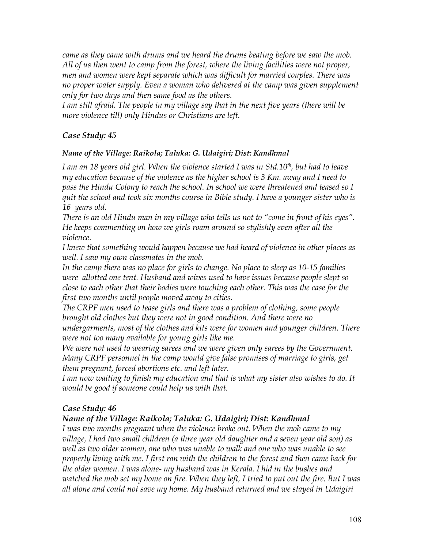*came as they came with drums and we heard the drums beating before we saw the mob. All of us then went to camp from the forest, where the living facilities were not proper, men and women were kept separate which was difficult for married couples. There was no proper water supply. Even a woman who delivered at the camp was given supplement only for two days and then same food as the others.*

*I am still afraid. The people in my village say that in the next five years (there will be more violence till) only Hindus or Christians are left.*

### *Case Study: 45*

#### *Name of the Village: Raikola; Taluka: G. Udaigiri; Dist: Kandhmal*

*I am an 18 years old girl. When the violence started I was in Std.10th, but had to leave my education because of the violence as the higher school is 3 Km. away and I need to pass the Hindu Colony to reach the school. In school we were threatened and teased so I quit the school and took six months course in Bible study. I have a younger sister who is 16 years old.* 

*There is an old Hindu man in my village who tells us not to "come in front of his eyes". He keeps commenting on how we girls roam around so stylishly even after all the violence.* 

*I knew that something would happen because we had heard of violence in other places as well. I saw my own classmates in the mob.* 

*In the camp there was no place for girls to change. No place to sleep as 10-15 families were allotted one tent. Husband and wives used to have issues because people slept so close to each other that their bodies were touching each other. This was the case for the first two months until people moved away to cities.*

*The CRPF men used to tease girls and there was a problem of clothing, some people brought old clothes but they were not in good condition. And there were no*

*undergarments, most of the clothes and kits were for women and younger children. There were not too many available for young girls like me.*

*We were not used to wearing sarees and we were given only sarees by the Government. Many CRPF personnel in the camp would give false promises of marriage to girls, get them pregnant, forced abortions etc. and left later.* 

*I am now waiting to finish my education and that is what my sister also wishes to do. It would be good if someone could help us with that.* 

#### *Case Study: 46*

#### *Name of the Village: Raikola; Taluka: G. Udaigiri; Dist: Kandhmal*

*I was two months pregnant when the violence broke out. When the mob came to my village, I had two small children (a three year old daughter and a seven year old son) as well as two older women, one who was unable to walk and one who was unable to see properly living with me. I first ran with the children to the forest and then came back for the older women. I was alone- my husband was in Kerala. I hid in the bushes and watched the mob set my home on fire. When they left, I tried to put out the fire. But I was all alone and could not save my home. My husband returned and we stayed in Udaigiri*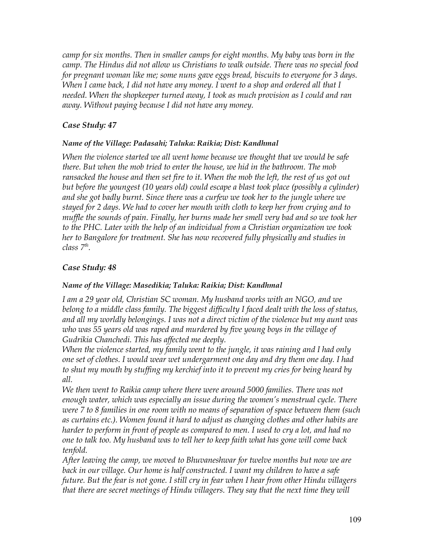*camp for six months. Then in smaller camps for eight months. My baby was born in the camp. The Hindus did not allow us Christians to walk outside. There was no special food for pregnant woman like me; some nuns gave eggs bread, biscuits to everyone for 3 days. When I came back, I did not have any money. I went to a shop and ordered all that I needed. When the shopkeeper turned away, I took as much provision as I could and ran away. Without paying because I did not have any money.*

# *Case Study: 47*

### *Name of the Village: Padasahi; Taluka: Raikia; Dist: Kandhmal*

*When the violence started we all went home because we thought that we would be safe there. But when the mob tried to enter the house, we hid in the bathroom. The mob ransacked the house and then set fire to it. When the mob the left, the rest of us got out but before the youngest (10 years old) could escape a blast took place (possibly a cylinder) and she got badly burnt. Since there was a curfew we took her to the jungle where we stayed for 2 days. We had to cover her mouth with cloth to keep her from crying and to muffle the sounds of pain. Finally, her burns made her smell very bad and so we took her to the PHC. Later with the help of an individual from a Christian organization we took her to Bangalore for treatment. She has now recovered fully physically and studies in class 7th .*

## *Case Study: 48*

### *Name of the Village: Masedikia; Taluka: Raikia; Dist: Kandhmal*

*I am a 29 year old, Christian SC woman. My husband works with an NGO, and we belong to a middle class family. The biggest difficulty I faced dealt with the loss of status, and all my worldly belongings. I was not a direct victim of the violence but my aunt was who was 55 years old was raped and murdered by five young boys in the village of Gudrikia Chanchedi. This has affected me deeply.*

*When the violence started, my family went to the jungle, it was raining and I had only one set of clothes. I would wear wet undergarment one day and dry them one day. I had to shut my mouth by stuffing my kerchief into it to prevent my cries for being heard by all.*

*We then went to Raikia camp where there were around 5000 families. There was not enough water, which was especially an issue during the women's menstrual cycle. There were 7 to 8 families in one room with no means of separation of space between them (such as curtains etc.). Women found it hard to adjust as changing clothes and other habits are harder to perform in front of people as compared to men. I used to cry a lot, and had no one to talk too. My husband was to tell her to keep faith what has gone will come back tenfold.*

*After leaving the camp, we moved to Bhuvaneshwar for twelve months but now we are back in our village. Our home is half constructed. I want my children to have a safe future. But the fear is not gone. I still cry in fear when I hear from other Hindu villagers that there are secret meetings of Hindu villagers. They say that the next time they will*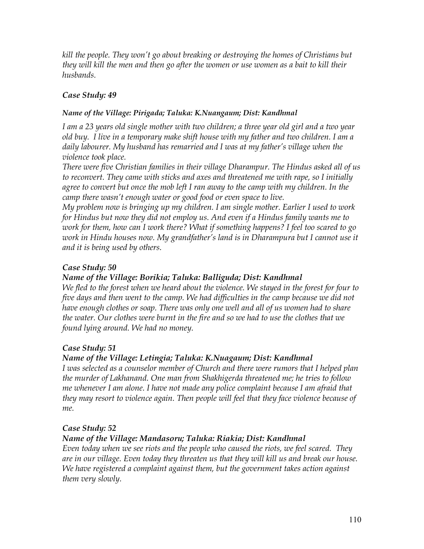*kill the people. They won't go about breaking or destroying the homes of Christians but they will kill the men and then go after the women or use women as a bait to kill their husbands.* 

# *Case Study: 49*

## *Name of the Village: Pirigada; Taluka: K.Nuangaum; Dist: Kandhmal*

*I am a 23 years old single mother with two children; a three year old girl and a two year old buy. I live in a temporary make shift house with my father and two children. I am a daily labourer. My husband has remarried and I was at my father's village when the violence took place.*

*There were five Christian families in their village Dharampur. The Hindus asked all of us to reconvert. They came with sticks and axes and threatened me with rape, so I initially agree to convert but once the mob left I ran away to the camp with my children. In the camp there wasn't enough water or good food or even space to live.* 

*My problem now is bringing up my children. I am single mother. Earlier I used to work for Hindus but now they did not employ us. And even if a Hindus family wants me to work for them, how can I work there? What if something happens? I feel too scared to go work in Hindu houses now. My grandfather's land is in Dharampura but I cannot use it and it is being used by others.*

# *Case Study: 50*

# *Name of the Village: Borikia; Taluka: Balliguda; Dist: Kandhmal*

*We fled to the forest when we heard about the violence. We stayed in the forest for four to five days and then went to the camp. We had difficulties in the camp because we did not have enough clothes or soap. There was only one well and all of us women had to share the water. Our clothes were burnt in the fire and so we had to use the clothes that we found lying around. We had no money.* 

# *Case Study: 51*

# *Name of the Village: Letingia; Taluka: K.Nuagaum; Dist: Kandhmal*

*I was selected as a counselor member of Church and there were rumors that I helped plan the murder of Lakhanand. One man from Shakhigerda threatened me; he tries to follow me whenever I am alone. I have not made any police complaint because I am afraid that they may resort to violence again. Then people will feel that they face violence because of me.* 

### *Case Study: 52*

# *Name of the Village: Mandasoru; Taluka: Riakia; Dist: Kandhmal*

*Even today when we see riots and the people who caused the riots, we feel scared. They are in our village. Even today they threaten us that they will kill us and break our house. We have registered a complaint against them, but the government takes action against them very slowly.*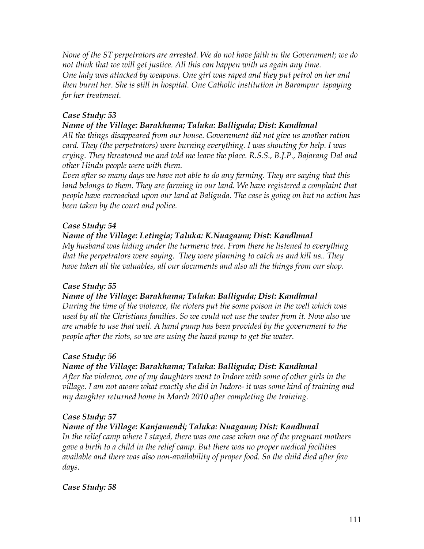*None of the ST perpetrators are arrested. We do not have faith in the Government; we do not think that we will get justice. All this can happen with us again any time. One lady was attacked by weapons. One girl was raped and they put petrol on her and then burnt her. She is still in hospital. One Catholic institution in Barampur ispaying for her treatment.*

# *Case Study: 53*

## *Name of the Village: Barakhama; Taluka: Balliguda; Dist: Kandhmal*

*All the things disappeared from our house. Government did not give us another ration card. They (the perpetrators) were burning everything. I was shouting for help. I was crying. They threatened me and told me leave the place. R.S.S., B.J.P., Bajarang Dal and other Hindu people were with them.*

*Even after so many days we have not able to do any farming. They are saying that this land belongs to them. They are farming in our land. We have registered a complaint that people have encroached upon our land at Baliguda. The case is going on but no action has been taken by the court and police.*

# *Case Study: 54*

## *Name of the Village: Letingia; Taluka: K.Nuagaum; Dist: Kandhmal*

*My husband was hiding under the turmeric tree. From there he listened to everything that the perpetrators were saying. They were planning to catch us and kill us.. They have taken all the valuables, all our documents and also all the things from our shop.*

### *Case Study: 55*

# *Name of the Village: Barakhama; Taluka: Balliguda; Dist: Kandhmal*

*During the time of the violence, the rioters put the some poison in the well which was used by all the Christians families. So we could not use the water from it. Now also we are unable to use that well. A hand pump has been provided by the government to the people after the riots, so we are using the hand pump to get the water.*

### *Case Study: 56*

# *Name of the Village: Barakhama; Taluka: Balliguda; Dist: Kandhmal*

*After the violence, one of my daughters went to Indore with some of other girls in the village. I am not aware what exactly she did in Indore- it was some kind of training and my daughter returned home in March 2010 after completing the training.*

### *Case Study: 57*

# *Name of the Village: Kanjamendi; Taluka: Nuagaum; Dist: Kandhmal*

*In the relief camp where I stayed, there was one case when one of the pregnant mothers gave a birth to a child in the relief camp. But there was no proper medical facilities available and there was also non-availability of proper food. So the child died after few days.* 

### *Case Study: 58*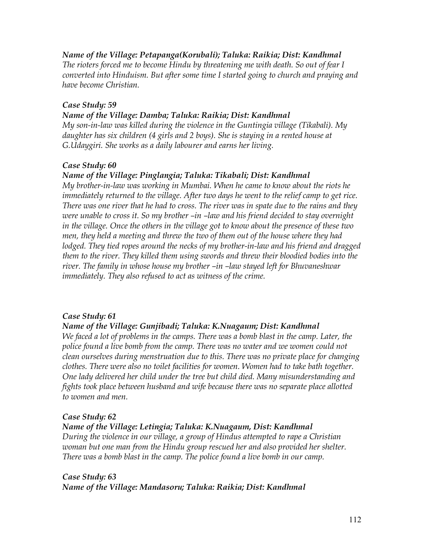## *Name of the Village: Petapanga(Korubali); Taluka: Raikia; Dist: Kandhmal*

*The rioters forced me to become Hindu by threatening me with death. So out of fear I converted into Hinduism. But after some time I started going to church and praying and have become Christian.* 

### *Case Study: 59*

#### *Name of the Village: Damba; Taluka: Raikia; Dist: Kandhmal*

*My son-in-law was killed during the violence in the Guntingia village (Tikabali). My daughter has six children (4 girls and 2 boys). She is staying in a rented house at G.Udaygiri. She works as a daily labourer and earns her living.*

### *Case Study: 60*

### *Name of the Village: Pinglangia; Taluka: Tikabali; Dist: Kandhmal*

*My brother-in-law was working in Mumbai. When he came to know about the riots he immediately returned to the village. After two days he went to the relief camp to get rice. There was one river that he had to cross. The river was in spate due to the rains and they were unable to cross it. So my brother –in –law and his friend decided to stay overnight in the village. Once the others in the village got to know about the presence of these two men, they held a meeting and threw the two of them out of the house where they had lodged. They tied ropes around the necks of my brother-in-law and his friend and dragged them to the river. They killed them using swords and threw their bloodied bodies into the river. The family in whose house my brother –in –law stayed left for Bhuvaneshwar immediately. They also refused to act as witness of the crime.* 

### *Case Study: 61*

### *Name of the Village: Gunjibadi; Taluka: K.Nuagaum; Dist: Kandhmal*

*We faced a lot of problems in the camps. There was a bomb blast in the camp. Later, the police found a live bomb from the camp. There was no water and we women could not clean ourselves during menstruation due to this. There was no private place for changing clothes. There were also no toilet facilities for women. Women had to take bath together. One lady delivered her child under the tree but child died. Many misunderstanding and fights took place between husband and wife because there was no separate place allotted to women and men.*

### *Case Study: 62*

### *Name of the Village: Letingia; Taluka: K.Nuagaum, Dist: Kandhmal*

*During the violence in our village, a group of Hindus attempted to rape a Christian woman but one man from the Hindu group rescued her and also provided her shelter. There was a bomb blast in the camp. The police found a live bomb in our camp.*

## *Case Study: 63 Name of the Village: Mandasoru; Taluka: Raikia; Dist: Kandhmal*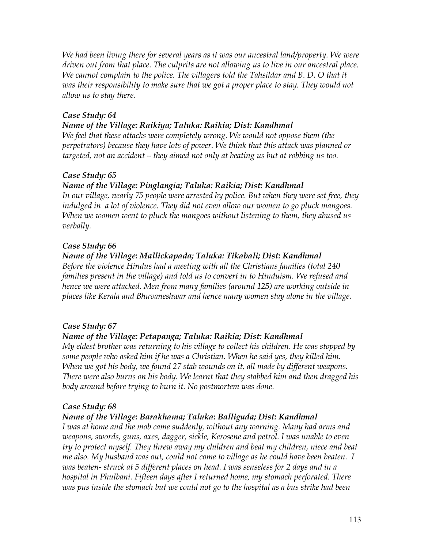*We had been living there for several years as it was our ancestral land/property. We were driven out from that place. The culprits are not allowing us to live in our ancestral place. We cannot complain to the police. The villagers told the Tahsildar and B. D. O that it was their responsibility to make sure that we got a proper place to stay. They would not allow us to stay there.* 

## *Case Study: 64*

## *Name of the Village: Raikiya; Taluka: Raikia; Dist: Kandhmal*

*We feel that these attacks were completely wrong. We would not oppose them (the perpetrators) because they have lots of power. We think that this attack was planned or targeted, not an accident – they aimed not only at beating us but at robbing us too.* 

# *Case Study: 65*

## *Name of the Village: Pinglangia; Taluka: Raikia; Dist: Kandhmal*

*In our village, nearly 75 people were arrested by police. But when they were set free, they indulged in a lot of violence. They did not even allow our women to go pluck mangoes. When we women went to pluck the mangoes without listening to them, they abused us verbally.*

## *Case Study: 66*

## *Name of the Village: Mallickapada; Taluka: Tikabali; Dist: Kandhmal*

*Before the violence Hindus had a meeting with all the Christians families (total 240 families present in the village) and told us to convert in to Hinduism. We refused and hence we were attacked. Men from many families (around 125) are working outside in places like Kerala and Bhuvaneshwar and hence many women stay alone in the village.*

# *Case Study: 67*

# *Name of the Village: Petapanga; Taluka: Raikia; Dist: Kandhmal*

*My eldest brother was returning to his village to collect his children. He was stopped by some people who asked him if he was a Christian. When he said yes, they killed him. When we got his body, we found 27 stab wounds on it, all made by different weapons. There were also burns on his body. We learnt that they stabbed him and then dragged his body around before trying to burn it. No postmortem was done.*

### *Case Study: 68*

# *Name of the Village: Barakhama; Taluka: Balliguda; Dist: Kandhmal*

*I was at home and the mob came suddenly, without any warning. Many had arms and weapons, swords, guns, axes, dagger, sickle, Kerosene and petrol. I was unable to even try to protect myself. They threw away my children and beat my children, niece and beat me also. My husband was out, could not come to village as he could have been beaten. I was beaten- struck at 5 different places on head. I was senseless for 2 days and in a hospital in Phulbani. Fifteen days after I returned home, my stomach perforated. There was pus inside the stomach but we could not go to the hospital as a bus strike had been*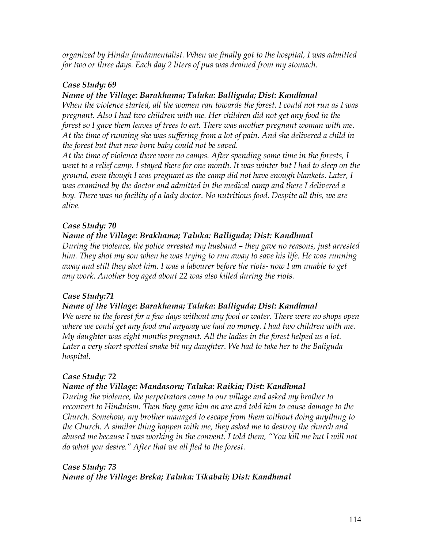*organized by Hindu fundamentalist. When we finally got to the hospital, I was admitted for two or three days. Each day 2 liters of pus was drained from my stomach.* 

## *Case Study: 69*

# *Name of the Village: Barakhama; Taluka: Balliguda; Dist: Kandhmal*

*When the violence started, all the women ran towards the forest. I could not run as I was pregnant. Also I had two children with me. Her children did not get any food in the forest so I gave them leaves of trees to eat. There was another pregnant woman with me. At the time of running she was suffering from a lot of pain. And she delivered a child in the forest but that new born baby could not be saved.* 

*At the time of violence there were no camps. After spending some time in the forests, I went to a relief camp. I stayed there for one month. It was winter but I had to sleep on the ground, even though I was pregnant as the camp did not have enough blankets. Later, I was examined by the doctor and admitted in the medical camp and there I delivered a boy. There was no facility of a lady doctor. No nutritious food. Despite all this, we are alive.*

# *Case Study: 70*

## *Name of the Village: Brakhama; Taluka: Balliguda; Dist: Kandhmal*

*During the violence, the police arrested my husband – they gave no reasons, just arrested him. They shot my son when he was trying to run away to save his life. He was running away and still they shot him. I was a labourer before the riots- now I am unable to get any work. Another boy aged about 22 was also killed during the riots.* 

# *Case Study:71*

### *Name of the Village: Barakhama; Taluka: Balliguda; Dist: Kandhmal*

*We were in the forest for a few days without any food or water. There were no shops open where we could get any food and anyway we had no money. I had two children with me. My daughter was eight months pregnant. All the ladies in the forest helped us a lot. Later a very short spotted snake bit my daughter. We had to take her to the Baliguda hospital.*

# *Case Study: 72*

# *Name of the Village: Mandasoru; Taluka: Raikia; Dist: Kandhmal*

*During the violence, the perpetrators came to our village and asked my brother to reconvert to Hinduism. Then they gave him an axe and told him to cause damage to the Church. Somehow, my brother managed to escape from them without doing anything to the Church. A similar thing happen with me, they asked me to destroy the church and abused me because I was working in the convent. I told them, "You kill me but I will not do what you desire." After that we all fled to the forest.*

# *Case Study: 73 Name of the Village: Breka; Taluka: Tikabali; Dist: Kandhmal*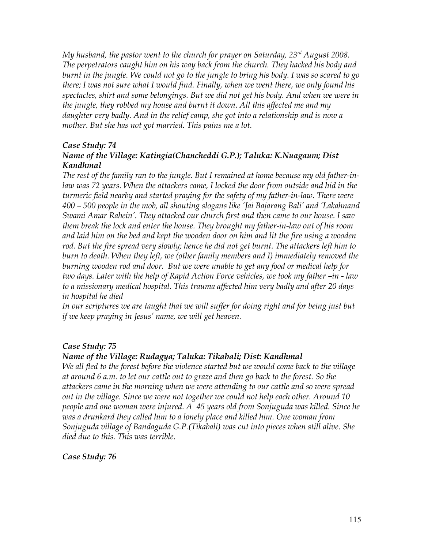*My husband, the pastor went to the church for prayer on Saturday, 23rd August 2008. The perpetrators caught him on his way back from the church. They hacked his body and burnt in the jungle. We could not go to the jungle to bring his body. I was so scared to go there; I was not sure what I would find. Finally, when we went there, we only found his spectacles, shirt and some belongings. But we did not get his body. And when we were in the jungle, they robbed my house and burnt it down. All this affected me and my daughter very badly. And in the relief camp, she got into a relationship and is now a mother. But she has not got married. This pains me a lot.*

## *Case Study: 74*

## *Name of the Village: Katingia(Chancheddi G.P.); Taluka: K.Nuagaum; Dist Kandhmal*

*The rest of the family ran to the jungle. But I remained at home because my old father-inlaw was 72 years. When the attackers came, I locked the door from outside and hid in the turmeric field nearby and started praying for the safety of my father-in-law. There were 400 – 500 people in the mob, all shouting slogans like 'Jai Bajarang Bali' and 'Lakahnand Swami Amar Rahein'. They attacked our church first and then came to our house. I saw them break the lock and enter the house. They brought my father-in-law out of his room and laid him on the bed and kept the wooden door on him and lit the fire using a wooden rod. But the fire spread very slowly; hence he did not get burnt. The attackers left him to burn to death. When they left, we (other family members and I) immediately removed the burning wooden rod and door. But we were unable to get any food or medical help for two days. Later with the help of Rapid Action Force vehicles, we took my father –in - law to a missionary medical hospital. This trauma affected him very badly and after 20 days in hospital he died*

*In our scriptures we are taught that we will suffer for doing right and for being just but if we keep praying in Jesus' name, we will get heaven.*

### *Case Study: 75*

### *Name of the Village: Rudagya; Taluka: Tikabali; Dist: Kandhmal*

*We all fled to the forest before the violence started but we would come back to the village at around 6 a.m. to let our cattle out to graze and then go back to the forest. So the attackers came in the morning when we were attending to our cattle and so were spread out in the village. Since we were not together we could not help each other. Around 10 people and one woman were injured. A 45 years old from Sonjuguda was killed. Since he was a drunkard they called him to a lonely place and killed him. One woman from Sonjuguda village of Bandaguda G.P.(Tikabali) was cut into pieces when still alive. She died due to this. This was terrible.* 

### *Case Study: 76*